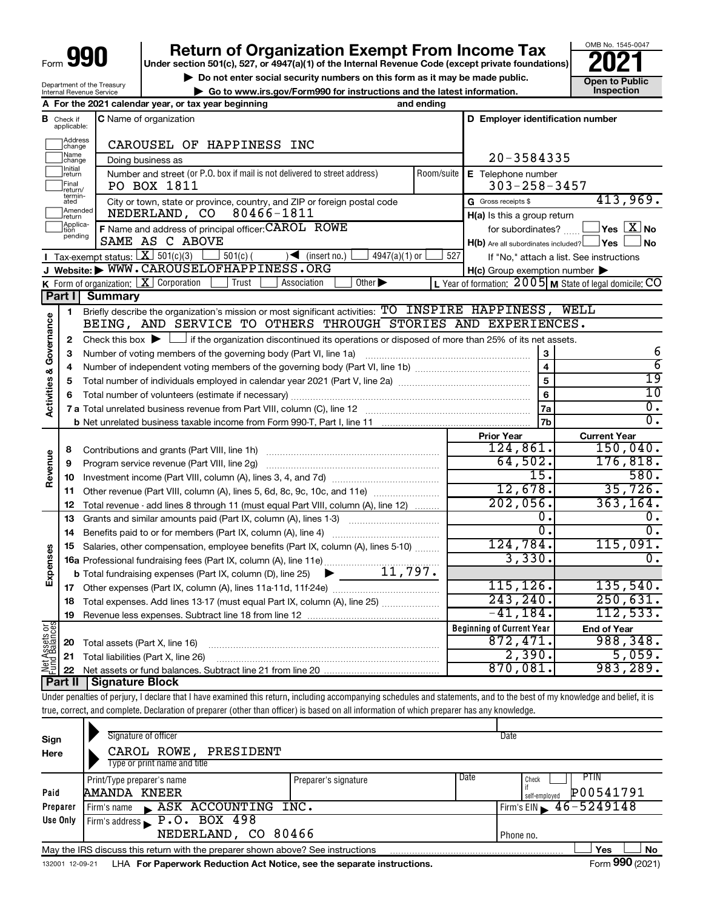| Form |  |
|------|--|

## **Return of Organization Exempt From Income Tax**<br>r section 501(c), 527, or 4947(a)(1) of the Internal Revenue Code (except private foundations)

**Under section 501(c), 527, or 4947(a)(1) of the Internal Revenue Code (except private foundations)**

**▶ Do not enter social security numbers on this form as it may be made public. Open to Public**<br> **▶ Go to www.irs.gov/Form990 for instructions and the latest information.** Inspection **| Go to www.irs.gov/Form990 for instructions and the latest information. Inspection**

OMB No. 1545-0047

|                                                        | <b>Do not enter social security numbers on this form as it in</b>            |            |
|--------------------------------------------------------|------------------------------------------------------------------------------|------------|
| Department of the Treasury<br>Internal Revenue Service | $\blacktriangleright$ Go to www.irs.gov/Form990 for instructions and the lat |            |
|                                                        | A For the 2021 calendar year, or tax year beginning                          | and ending |

|                                    | <b>B</b> Check if applicable: | <b>C</b> Name of organization                                                                                                               |                    | D Employer identification number                    |                                                         |
|------------------------------------|-------------------------------|---------------------------------------------------------------------------------------------------------------------------------------------|--------------------|-----------------------------------------------------|---------------------------------------------------------|
|                                    | Address<br>change             | CAROUSEL OF HAPPINESS INC                                                                                                                   |                    |                                                     |                                                         |
|                                    | Name<br>change                | Doing business as                                                                                                                           |                    | $20 - 3584335$                                      |                                                         |
|                                    | Initial<br>return             | Number and street (or P.O. box if mail is not delivered to street address)                                                                  | E Telephone number |                                                     |                                                         |
|                                    | Final<br>return/              | PO BOX 1811                                                                                                                                 |                    | $303 - 258 - 3457$                                  |                                                         |
|                                    | termin-<br>ated               | City or town, state or province, country, and ZIP or foreign postal code                                                                    |                    | G Gross receipts \$                                 | 413,969.                                                |
|                                    | Amended<br>return             | NEDERLAND, CO<br>80466-1811                                                                                                                 |                    | H(a) Is this a group return                         |                                                         |
|                                    | Applica-<br>tion              | F Name and address of principal officer: CAROL ROWE                                                                                         |                    |                                                     | for subordinates? $\Box$ Yes $\boxed{X}$ No             |
|                                    | pending                       | SAME AS C ABOVE                                                                                                                             |                    | $H(b)$ Are all subordinates included? $\Box$ Yes    | ⊥No                                                     |
|                                    |                               | Tax-exempt status: $X \over 301(c)(3)$<br>$501(c)$ (<br>$4947(a)(1)$ or<br>$\sqrt{\frac{1}{1}}$ (insert no.)                                | 527                |                                                     | If "No," attach a list. See instructions                |
|                                    |                               | J Website: WWW.CAROUSELOFHAPPINESS.ORG                                                                                                      |                    | $H(c)$ Group exemption number $\blacktriangleright$ |                                                         |
|                                    |                               | <b>K</b> Form of organization: $\boxed{\textbf{X}}$ Corporation<br>Other $\blacktriangleright$<br>Trust<br>Association                      |                    |                                                     | L Year of formation: 2005 M State of legal domicile: CO |
|                                    | Part I                        | <b>Summary</b>                                                                                                                              |                    |                                                     |                                                         |
|                                    | $\mathbf{1}$                  | Briefly describe the organization's mission or most significant activities: TO INSPIRE HAPPINESS, WELL                                      |                    |                                                     |                                                         |
| <b>Activities &amp; Governance</b> |                               | BEING, AND SERVICE TO OTHERS THROUGH STORIES AND EXPERIENCES.                                                                               |                    |                                                     |                                                         |
|                                    | 2                             | Check this box $\blacktriangleright$ $\Box$ if the organization discontinued its operations or disposed of more than 25% of its net assets. |                    |                                                     |                                                         |
|                                    | 3                             |                                                                                                                                             |                    |                                                     | 6                                                       |
|                                    | 4                             |                                                                                                                                             |                    | $\overline{\mathbf{4}}$                             | $\overline{6}$                                          |
|                                    | 5                             |                                                                                                                                             |                    | 5                                                   | 19                                                      |
|                                    | 6                             |                                                                                                                                             |                    | 6                                                   | $\overline{10}$                                         |
|                                    |                               |                                                                                                                                             |                    | 7a                                                  | $\overline{\mathfrak{o}}$ .                             |
|                                    |                               |                                                                                                                                             |                    | 7 <sub>b</sub>                                      | σ.                                                      |
|                                    |                               |                                                                                                                                             |                    | <b>Prior Year</b>                                   | <b>Current Year</b>                                     |
|                                    | 8                             |                                                                                                                                             |                    | 124,861.                                            | 150,040.                                                |
| Revenue                            | 9                             | Program service revenue (Part VIII, line 2g)                                                                                                |                    | 64,502.                                             | 176,818.                                                |
|                                    | 10                            |                                                                                                                                             |                    | $\overline{15}$ .                                   | 580.                                                    |
|                                    | 11                            | Other revenue (Part VIII, column (A), lines 5, 6d, 8c, 9c, 10c, and 11e)                                                                    |                    | 12,678.                                             | 35,726.                                                 |
|                                    | 12                            | Total revenue - add lines 8 through 11 (must equal Part VIII, column (A), line 12)                                                          |                    | 202,056.                                            | 363, 164.                                               |
|                                    | 13                            | Grants and similar amounts paid (Part IX, column (A), lines 1-3)                                                                            |                    | О.                                                  | О.                                                      |
|                                    | 14                            | Benefits paid to or for members (Part IX, column (A), line 4)                                                                               |                    | σ.                                                  | σ.                                                      |
| Expenses                           | 15                            | Salaries, other compensation, employee benefits (Part IX, column (A), lines 5-10)                                                           |                    | 124,784.                                            | 115,091.                                                |
|                                    |                               |                                                                                                                                             |                    | 3,330.                                              | $\overline{0}$ .                                        |
|                                    |                               | $\blacktriangleright$ 11,797.<br><b>b</b> Total fundraising expenses (Part IX, column (D), line 25)                                         |                    |                                                     |                                                         |
|                                    | 17                            |                                                                                                                                             |                    | 115, 126.                                           | 135,540.                                                |
|                                    | 18                            | Total expenses. Add lines 13-17 (must equal Part IX, column (A), line 25)                                                                   |                    | 243, 240.                                           | 250,631.                                                |
|                                    | 19                            |                                                                                                                                             |                    | $-41, 184.$                                         | 112,533.                                                |
| Net Assets or<br>Fund Balances     |                               |                                                                                                                                             |                    | <b>Beginning of Current Year</b>                    | <b>End of Year</b>                                      |
|                                    | 20                            | Total assets (Part X, line 16)                                                                                                              |                    | 872,471.                                            | 988,348.                                                |
|                                    | 21                            | Total liabilities (Part X, line 26)                                                                                                         |                    | 2,390.                                              | 5,059.                                                  |
|                                    | 22                            |                                                                                                                                             |                    | 870,081.                                            | 983,289.                                                |
|                                    | Part II                       | <b>Signature Block</b>                                                                                                                      |                    |                                                     |                                                         |

Under penalties of perjury, I declare that I have examined this return, including accompanying schedules and statements, and to the best of my knowledge and belief, it is true, correct, and complete. Declaration of preparer (other than officer) is based on all information of which preparer has any knowledge.

| Sign<br>Here | Signature of officer<br>CAROL ROWE, PRESIDENT<br>Type or print name and title   |                              | Date                                              |
|--------------|---------------------------------------------------------------------------------|------------------------------|---------------------------------------------------|
| Paid         | Print/Type preparer's name<br>AMANDA KNEER                                      | Date<br>Preparer's signature | PTIN<br>Check<br>if<br>P00541791<br>self-emploved |
| Preparer     | ASK ACCOUNTING INC.<br>Firm's name                                              |                              | $I$ Firm's EIN $\geq 46 - 5249148$                |
| Use Only     | Firm's address P.O. BOX 498<br>NEDERLAND, CO 80466                              |                              | Phone no.                                         |
|              | May the IRS discuss this return with the preparer shown above? See instructions |                              | <b>No</b><br>Yes<br><b>AAA</b>                    |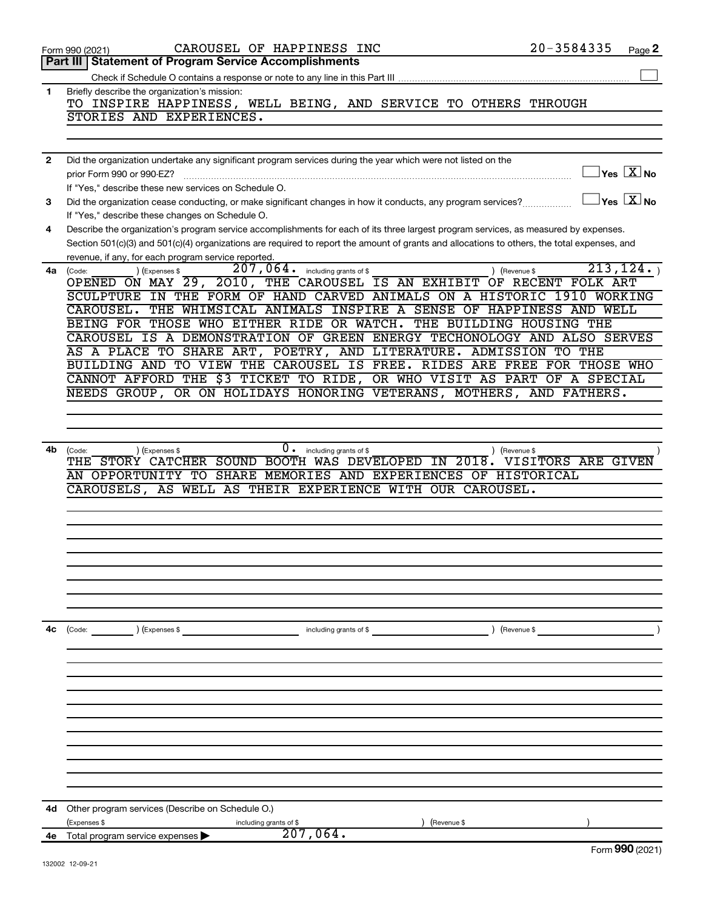|    | CAROUSEL OF HAPPINESS INC<br>Form 990 (2021)                                                                                                 | 20-3584335<br>Page 2                      |
|----|----------------------------------------------------------------------------------------------------------------------------------------------|-------------------------------------------|
|    | <b>Statement of Program Service Accomplishments</b><br>Part III                                                                              |                                           |
|    |                                                                                                                                              |                                           |
| 1  | Briefly describe the organization's mission:                                                                                                 |                                           |
|    | TO INSPIRE HAPPINESS, WELL BEING, AND SERVICE TO OTHERS THROUGH                                                                              |                                           |
|    | STORIES AND EXPERIENCES.                                                                                                                     |                                           |
|    |                                                                                                                                              |                                           |
| 2  | Did the organization undertake any significant program services during the year which were not listed on the                                 |                                           |
|    | prior Form 990 or 990-EZ?                                                                                                                    | $\overline{\ }$ Yes $\overline{\rm X}$ No |
|    | If "Yes," describe these new services on Schedule O.                                                                                         |                                           |
| з  | Did the organization cease conducting, or make significant changes in how it conducts, any program services?                                 | $\Box$ Yes $[\overline{\mathrm{X}}]$ No   |
|    | If "Yes," describe these changes on Schedule O.                                                                                              |                                           |
| 4  | Describe the organization's program service accomplishments for each of its three largest program services, as measured by expenses.         |                                           |
|    | Section 501(c)(3) and 501(c)(4) organizations are required to report the amount of grants and allocations to others, the total expenses, and |                                           |
|    | revenue, if any, for each program service reported.                                                                                          |                                           |
| 4a | $207$ , $064$ $\cdot$ including grants of \$<br>) (Expenses \$<br>) (Revenue \$<br>(Code:                                                    | 213, 124.                                 |
|    | OPENED ON MAY 29, 2010, THE CAROUSEL IS AN EXHIBIT OF RECENT FOLK ART                                                                        |                                           |
|    | SCULPTURE IN THE FORM OF HAND CARVED ANIMALS ON A HISTORIC 1910 WORKING                                                                      |                                           |
|    | CAROUSEL. THE WHIMSICAL ANIMALS INSPIRE A SENSE OF HAPPINESS AND WELL                                                                        |                                           |
|    | BEING FOR THOSE WHO EITHER RIDE OR WATCH. THE BUILDING HOUSING THE                                                                           |                                           |
|    | CAROUSEL IS A DEMONSTRATION OF GREEN ENERGY TECHONOLOGY AND ALSO SERVES                                                                      |                                           |
|    | AS A PLACE TO SHARE ART, POETRY, AND LITERATURE. ADMISSION TO THE                                                                            |                                           |
|    | BUILDING AND TO VIEW THE CAROUSEL IS FREE. RIDES ARE FREE FOR THOSE WHO                                                                      |                                           |
|    | CANNOT AFFORD THE \$3 TICKET TO RIDE, OR WHO VISIT AS PART OF A SPECIAL                                                                      |                                           |
|    | NEEDS GROUP, OR ON HOLIDAYS HONORING VETERANS, MOTHERS, AND FATHERS.                                                                         |                                           |
|    |                                                                                                                                              |                                           |
|    |                                                                                                                                              |                                           |
|    |                                                                                                                                              |                                           |
| 4b | $0 \cdot$ including grants of \$<br>) (Revenue \$<br>(Code:<br>) (Expenses \$                                                                |                                           |
|    | THE STORY CATCHER SOUND BOOTH WAS DEVELOPED IN 2018. VISITORS ARE GIVEN                                                                      |                                           |
|    | AN OPPORTUNITY TO SHARE MEMORIES AND EXPERIENCES OF HISTORICAL                                                                               |                                           |
|    | CAROUSELS, AS WELL AS THEIR EXPERIENCE WITH OUR CAROUSEL.                                                                                    |                                           |
|    |                                                                                                                                              |                                           |
|    |                                                                                                                                              |                                           |
|    |                                                                                                                                              |                                           |
|    |                                                                                                                                              |                                           |
|    |                                                                                                                                              |                                           |
|    |                                                                                                                                              |                                           |
|    |                                                                                                                                              |                                           |
|    |                                                                                                                                              |                                           |
|    |                                                                                                                                              |                                           |
| 4c | (Code: ) (Expenses \$<br>including grants of \$<br>) (Revenue \$                                                                             |                                           |
|    |                                                                                                                                              |                                           |
|    |                                                                                                                                              |                                           |
|    |                                                                                                                                              |                                           |
|    |                                                                                                                                              |                                           |
|    |                                                                                                                                              |                                           |
|    |                                                                                                                                              |                                           |
|    |                                                                                                                                              |                                           |
|    |                                                                                                                                              |                                           |
|    |                                                                                                                                              |                                           |
|    |                                                                                                                                              |                                           |
|    |                                                                                                                                              |                                           |
|    |                                                                                                                                              |                                           |
| 4d | Other program services (Describe on Schedule O.)                                                                                             |                                           |
|    | (Expenses \$<br>(Revenue \$<br>including grants of \$                                                                                        |                                           |
| 4е | 207,064.<br>Total program service expenses                                                                                                   |                                           |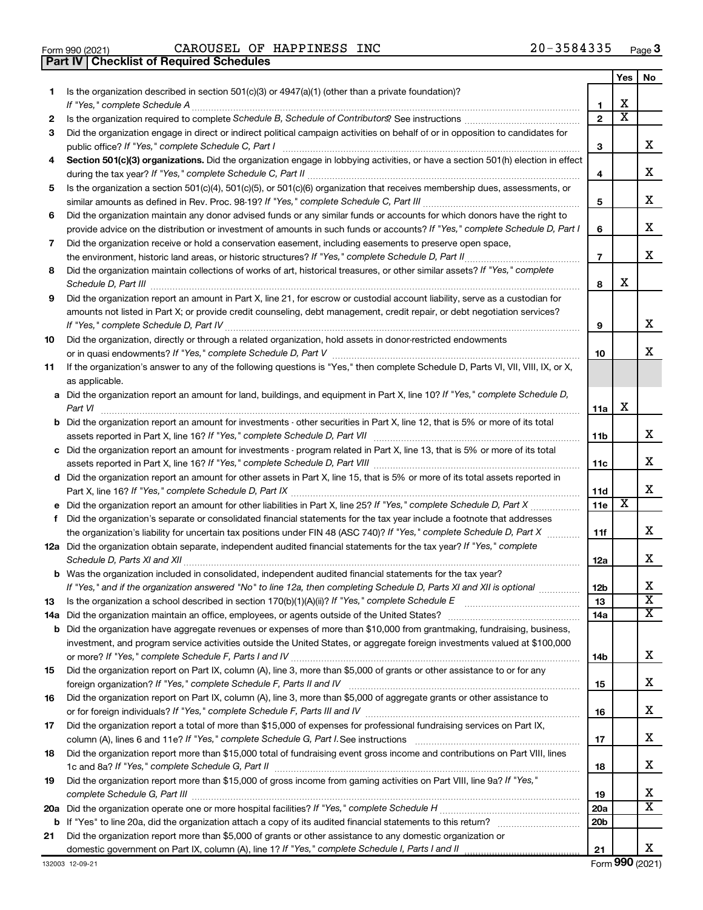|  | Form 990 (2021) |
|--|-----------------|

**Part IV Checklist of Required Schedules**

 $\frac{1}{100}$   $\frac{1}{2021}$   $\frac{1}{200}$   $\frac{1}{200}$   $\frac{1}{200}$   $\frac{1}{200}$   $\frac{1}{200}$   $\frac{1}{200}$   $\frac{1}{200}$   $\frac{1}{200}$   $\frac{1}{200}$   $\frac{1}{200}$   $\frac{1}{200}$   $\frac{1}{200}$   $\frac{1}{200}$   $\frac{1}{200}$   $\frac{1}{200}$   $\frac{1}{200}$   $\frac{$ CAROUSEL OF HAPPINESS INC 20-3584335

|    |                                                                                                                                                                                                                                                                |                          | Yes | No.                          |
|----|----------------------------------------------------------------------------------------------------------------------------------------------------------------------------------------------------------------------------------------------------------------|--------------------------|-----|------------------------------|
| 1  | Is the organization described in section 501(c)(3) or 4947(a)(1) (other than a private foundation)?<br>If "Yes," complete Schedule A                                                                                                                           | 1                        | х   |                              |
| 2  |                                                                                                                                                                                                                                                                | $\mathbf{2}$             | х   |                              |
| 3  | Did the organization engage in direct or indirect political campaign activities on behalf of or in opposition to candidates for                                                                                                                                |                          |     |                              |
|    | public office? If "Yes," complete Schedule C, Part I                                                                                                                                                                                                           | з                        |     | х                            |
| 4  | Section 501(c)(3) organizations. Did the organization engage in lobbying activities, or have a section 501(h) election in effect                                                                                                                               |                          |     |                              |
|    |                                                                                                                                                                                                                                                                | 4                        |     | х                            |
| 5  | Is the organization a section 501(c)(4), 501(c)(5), or 501(c)(6) organization that receives membership dues, assessments, or                                                                                                                                   |                          |     |                              |
|    |                                                                                                                                                                                                                                                                | 5                        |     | х                            |
| 6  | Did the organization maintain any donor advised funds or any similar funds or accounts for which donors have the right to                                                                                                                                      |                          |     |                              |
|    | provide advice on the distribution or investment of amounts in such funds or accounts? If "Yes," complete Schedule D, Part I                                                                                                                                   | 6                        |     | х                            |
| 7  | Did the organization receive or hold a conservation easement, including easements to preserve open space,                                                                                                                                                      |                          |     |                              |
|    |                                                                                                                                                                                                                                                                | $\overline{\phantom{a}}$ |     | x                            |
| 8  | Did the organization maintain collections of works of art, historical treasures, or other similar assets? If "Yes," complete                                                                                                                                   |                          |     |                              |
|    |                                                                                                                                                                                                                                                                | 8                        | х   |                              |
| 9  | Did the organization report an amount in Part X, line 21, for escrow or custodial account liability, serve as a custodian for                                                                                                                                  |                          |     |                              |
|    | amounts not listed in Part X; or provide credit counseling, debt management, credit repair, or debt negotiation services?                                                                                                                                      |                          |     |                              |
|    |                                                                                                                                                                                                                                                                | 9                        |     | х                            |
| 10 | Did the organization, directly or through a related organization, hold assets in donor-restricted endowments                                                                                                                                                   |                          |     |                              |
|    |                                                                                                                                                                                                                                                                | 10                       |     | x                            |
| 11 | If the organization's answer to any of the following questions is "Yes," then complete Schedule D, Parts VI, VII, VIII, IX, or X,                                                                                                                              |                          |     |                              |
|    | as applicable.                                                                                                                                                                                                                                                 |                          |     |                              |
|    | a Did the organization report an amount for land, buildings, and equipment in Part X, line 10? If "Yes," complete Schedule D,<br>Part VI                                                                                                                       | 11a                      | х   |                              |
|    | <b>b</b> Did the organization report an amount for investments - other securities in Part X, line 12, that is 5% or more of its total                                                                                                                          |                          |     |                              |
|    |                                                                                                                                                                                                                                                                | <b>11b</b>               |     | х                            |
|    | c Did the organization report an amount for investments - program related in Part X, line 13, that is 5% or more of its total                                                                                                                                  |                          |     |                              |
|    |                                                                                                                                                                                                                                                                | 11c                      |     | х                            |
|    | d Did the organization report an amount for other assets in Part X, line 15, that is 5% or more of its total assets reported in                                                                                                                                |                          |     |                              |
|    |                                                                                                                                                                                                                                                                | 11d                      |     | x                            |
|    |                                                                                                                                                                                                                                                                | 11e                      | х   |                              |
| f  | Did the organization's separate or consolidated financial statements for the tax year include a footnote that addresses                                                                                                                                        |                          |     |                              |
|    | the organization's liability for uncertain tax positions under FIN 48 (ASC 740)? If "Yes," complete Schedule D, Part X                                                                                                                                         | 11f                      |     | x                            |
|    | 12a Did the organization obtain separate, independent audited financial statements for the tax year? If "Yes," complete                                                                                                                                        |                          |     |                              |
|    |                                                                                                                                                                                                                                                                | 12a                      |     | х                            |
|    | <b>b</b> Was the organization included in consolidated, independent audited financial statements for the tax year?                                                                                                                                             |                          |     |                              |
|    | If "Yes," and if the organization answered "No" to line 12a, then completing Schedule D, Parts XI and XII is optional                                                                                                                                          | 12 <sub>b</sub>          |     | х                            |
| 13 |                                                                                                                                                                                                                                                                | 13                       |     | $\overline{\mathbf{X}}$<br>х |
|    |                                                                                                                                                                                                                                                                | 14a                      |     |                              |
|    | <b>b</b> Did the organization have aggregate revenues or expenses of more than \$10,000 from grantmaking, fundraising, business,<br>investment, and program service activities outside the United States, or aggregate foreign investments valued at \$100,000 |                          |     |                              |
|    |                                                                                                                                                                                                                                                                | 14b                      |     | х                            |
| 15 | Did the organization report on Part IX, column (A), line 3, more than \$5,000 of grants or other assistance to or for any                                                                                                                                      |                          |     |                              |
|    |                                                                                                                                                                                                                                                                | 15                       |     | х                            |
| 16 | Did the organization report on Part IX, column (A), line 3, more than \$5,000 of aggregate grants or other assistance to                                                                                                                                       |                          |     |                              |
|    |                                                                                                                                                                                                                                                                | 16                       |     | х                            |
| 17 | Did the organization report a total of more than \$15,000 of expenses for professional fundraising services on Part IX,                                                                                                                                        |                          |     |                              |
|    |                                                                                                                                                                                                                                                                | 17                       |     | х                            |
| 18 | Did the organization report more than \$15,000 total of fundraising event gross income and contributions on Part VIII, lines                                                                                                                                   |                          |     |                              |
|    |                                                                                                                                                                                                                                                                | 18                       |     | х                            |
| 19 | Did the organization report more than \$15,000 of gross income from gaming activities on Part VIII, line 9a? If "Yes,"                                                                                                                                         |                          |     |                              |
|    |                                                                                                                                                                                                                                                                | 19                       |     | х<br>х                       |
|    |                                                                                                                                                                                                                                                                | 20a                      |     |                              |
|    |                                                                                                                                                                                                                                                                | 20 <sub>b</sub>          |     |                              |
| 21 | Did the organization report more than \$5,000 of grants or other assistance to any domestic organization or                                                                                                                                                    | 21                       |     | x                            |
|    |                                                                                                                                                                                                                                                                |                          |     |                              |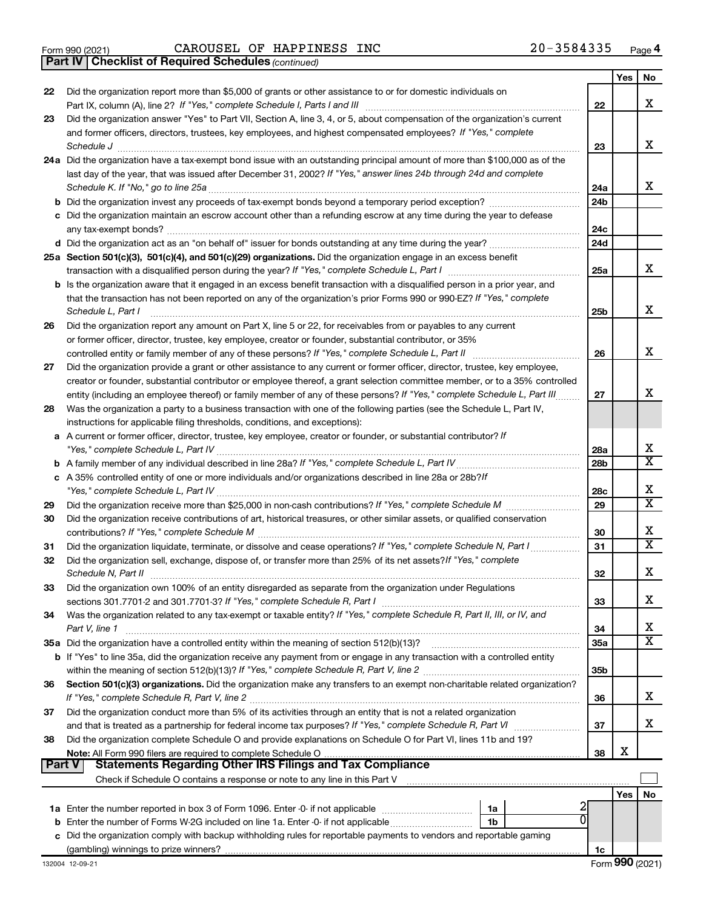**Part IV Checklist of Required Schedules**

*(continued)*

| 22 | Did the organization report more than \$5,000 of grants or other assistance to or for domestic individuals on                                                         |                 | Yes | No                      |
|----|-----------------------------------------------------------------------------------------------------------------------------------------------------------------------|-----------------|-----|-------------------------|
|    |                                                                                                                                                                       | 22              |     | x                       |
| 23 | Did the organization answer "Yes" to Part VII, Section A, line 3, 4, or 5, about compensation of the organization's current                                           |                 |     |                         |
|    | and former officers, directors, trustees, key employees, and highest compensated employees? If "Yes," complete                                                        |                 |     |                         |
|    | Schedule J <b>Execute Schedule J Execute Schedule J</b>                                                                                                               | 23              |     | x                       |
|    | 24a Did the organization have a tax-exempt bond issue with an outstanding principal amount of more than \$100,000 as of the                                           |                 |     |                         |
|    | last day of the year, that was issued after December 31, 2002? If "Yes," answer lines 24b through 24d and complete                                                    |                 |     |                         |
|    |                                                                                                                                                                       | 24a             |     | X.                      |
|    |                                                                                                                                                                       | 24 <sub>b</sub> |     |                         |
|    | c Did the organization maintain an escrow account other than a refunding escrow at any time during the year to defease                                                |                 |     |                         |
|    |                                                                                                                                                                       | 24c             |     |                         |
|    |                                                                                                                                                                       | 24d             |     |                         |
|    | 25a Section 501(c)(3), 501(c)(4), and 501(c)(29) organizations. Did the organization engage in an excess benefit                                                      |                 |     |                         |
|    |                                                                                                                                                                       | 25a             |     | x                       |
|    | b Is the organization aware that it engaged in an excess benefit transaction with a disqualified person in a prior year, and                                          |                 |     |                         |
|    | that the transaction has not been reported on any of the organization's prior Forms 990 or 990-EZ? If "Yes," complete                                                 |                 |     |                         |
|    | Schedule L, Part I                                                                                                                                                    | 25b             |     | X.                      |
| 26 | Did the organization report any amount on Part X, line 5 or 22, for receivables from or payables to any current                                                       |                 |     |                         |
|    | or former officer, director, trustee, key employee, creator or founder, substantial contributor, or 35%                                                               |                 |     |                         |
|    |                                                                                                                                                                       | 26              |     | x                       |
| 27 | Did the organization provide a grant or other assistance to any current or former officer, director, trustee, key employee,                                           |                 |     |                         |
|    | creator or founder, substantial contributor or employee thereof, a grant selection committee member, or to a 35% controlled                                           |                 |     |                         |
|    | entity (including an employee thereof) or family member of any of these persons? If "Yes," complete Schedule L, Part III                                              | 27              |     | X.                      |
| 28 | Was the organization a party to a business transaction with one of the following parties (see the Schedule L, Part IV,                                                |                 |     |                         |
|    | instructions for applicable filing thresholds, conditions, and exceptions):                                                                                           |                 |     |                         |
|    | a A current or former officer, director, trustee, key employee, creator or founder, or substantial contributor? If                                                    | 28a             |     | x                       |
| b  |                                                                                                                                                                       | 28 <sub>b</sub> |     | $\overline{\texttt{x}}$ |
|    | c A 35% controlled entity of one or more individuals and/or organizations described in line 28a or 28b?/f                                                             |                 |     |                         |
|    |                                                                                                                                                                       | 28c             |     | х                       |
| 29 |                                                                                                                                                                       | 29              |     | $\overline{\texttt{x}}$ |
| 30 | Did the organization receive contributions of art, historical treasures, or other similar assets, or qualified conservation                                           |                 |     |                         |
|    |                                                                                                                                                                       | 30              |     | x                       |
| 31 | Did the organization liquidate, terminate, or dissolve and cease operations? If "Yes," complete Schedule N, Part I                                                    | 31              |     | $\overline{\texttt{x}}$ |
| 32 | Did the organization sell, exchange, dispose of, or transfer more than 25% of its net assets? If "Yes," complete                                                      |                 |     |                         |
|    | Schedule N, Part II                                                                                                                                                   | 32              |     | x                       |
| 33 | Did the organization own 100% of an entity disregarded as separate from the organization under Regulations                                                            |                 |     |                         |
|    |                                                                                                                                                                       | 33              |     | х                       |
| 34 | Was the organization related to any tax-exempt or taxable entity? If "Yes," complete Schedule R, Part II, III, or IV, and                                             |                 |     |                         |
|    | Part V, line 1                                                                                                                                                        | 34              |     | х                       |
|    | 35a Did the organization have a controlled entity within the meaning of section 512(b)(13)?                                                                           | 35a             |     | $\overline{\textbf{X}}$ |
|    | <b>b</b> If "Yes" to line 35a, did the organization receive any payment from or engage in any transaction with a controlled entity                                    |                 |     |                         |
|    |                                                                                                                                                                       | 35 <sub>b</sub> |     |                         |
| 36 | Section 501(c)(3) organizations. Did the organization make any transfers to an exempt non-charitable related organization?                                            |                 |     | х                       |
|    | If "Yes," complete Schedule R, Part V, line 2                                                                                                                         | 36              |     |                         |
| 37 | Did the organization conduct more than 5% of its activities through an entity that is not a related organization                                                      |                 |     | х                       |
| 38 | Did the organization complete Schedule O and provide explanations on Schedule O for Part VI, lines 11b and 19?                                                        | 37              |     |                         |
|    |                                                                                                                                                                       | 38              | X   |                         |
|    | <b>Statements Regarding Other IRS Filings and Tax Compliance</b><br>Part V                                                                                            |                 |     |                         |
|    | Check if Schedule O contains a response or note to any line in this Part V [11] manufactured in the Schedule O contains a response or note to any line in this Part V |                 |     |                         |
|    |                                                                                                                                                                       |                 | Yes | No                      |
|    | 1a                                                                                                                                                                    |                 |     |                         |
|    | b Enter the number of Forms W-2G included on line 1a. Enter -0- if not applicable<br>1b                                                                               |                 |     |                         |
|    | c Did the organization comply with backup withholding rules for reportable payments to vendors and reportable gaming                                                  |                 |     |                         |
|    |                                                                                                                                                                       | 1c              |     |                         |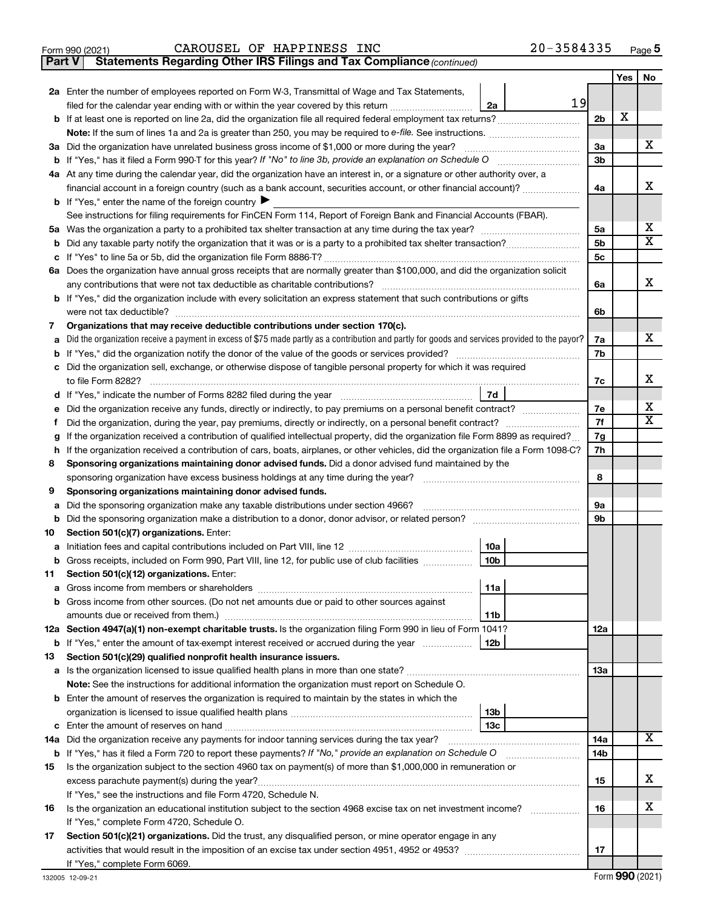|  | Form 990 (2021) |  |
|--|-----------------|--|
|  |                 |  |

**Part V Statements Regarding Other IRS Filings and Tax Compliance**

*(continued)*

|        |                                                                                                                                                                                                                                                                        |                 |    |                | Yes | No                      |
|--------|------------------------------------------------------------------------------------------------------------------------------------------------------------------------------------------------------------------------------------------------------------------------|-----------------|----|----------------|-----|-------------------------|
|        | <b>2a</b> Enter the number of employees reported on Form W-3, Transmittal of Wage and Tax Statements,                                                                                                                                                                  |                 |    |                |     |                         |
|        | filed for the calendar year ending with or within the year covered by this return                                                                                                                                                                                      | 2a              | 19 |                |     |                         |
|        |                                                                                                                                                                                                                                                                        |                 |    | 2 <sub>b</sub> | х   |                         |
|        | Note: If the sum of lines 1a and 2a is greater than 250, you may be required to e-file. See instructions.                                                                                                                                                              |                 |    |                |     |                         |
|        | 3a Did the organization have unrelated business gross income of \$1,000 or more during the year?                                                                                                                                                                       |                 |    | За             |     | x                       |
|        |                                                                                                                                                                                                                                                                        |                 |    | 3b             |     |                         |
|        | 4a At any time during the calendar year, did the organization have an interest in, or a signature or other authority over, a                                                                                                                                           |                 |    |                |     |                         |
|        | financial account in a foreign country (such as a bank account, securities account, or other financial account)?                                                                                                                                                       |                 |    | 4a             |     | х                       |
|        | <b>b</b> If "Yes," enter the name of the foreign country $\blacktriangleright$                                                                                                                                                                                         |                 |    |                |     |                         |
|        | See instructions for filing requirements for FinCEN Form 114, Report of Foreign Bank and Financial Accounts (FBAR).                                                                                                                                                    |                 |    |                |     |                         |
|        |                                                                                                                                                                                                                                                                        |                 |    | 5a             |     | x                       |
|        |                                                                                                                                                                                                                                                                        |                 |    | 5b             |     | $\overline{\mathtt{x}}$ |
|        |                                                                                                                                                                                                                                                                        |                 |    | 5c             |     |                         |
|        | 6a Does the organization have annual gross receipts that are normally greater than \$100,000, and did the organization solicit                                                                                                                                         |                 |    |                |     |                         |
|        | any contributions that were not tax deductible as charitable contributions?                                                                                                                                                                                            |                 |    | 6a             |     | x                       |
|        | <b>b</b> If "Yes," did the organization include with every solicitation an express statement that such contributions or gifts                                                                                                                                          |                 |    |                |     |                         |
|        | were not tax deductible?                                                                                                                                                                                                                                               |                 |    | 6b             |     |                         |
| 7      | Organizations that may receive deductible contributions under section 170(c).                                                                                                                                                                                          |                 |    |                |     |                         |
| a      | Did the organization receive a payment in excess of \$75 made partly as a contribution and partly for goods and services provided to the payor?                                                                                                                        |                 |    | 7a             |     | x                       |
|        | <b>b</b> If "Yes," did the organization notify the donor of the value of the goods or services provided?                                                                                                                                                               |                 |    | 7b             |     |                         |
|        | c Did the organization sell, exchange, or otherwise dispose of tangible personal property for which it was required                                                                                                                                                    |                 |    |                |     |                         |
|        | to file Form 8282?                                                                                                                                                                                                                                                     |                 |    | 7c             |     | x                       |
| d      |                                                                                                                                                                                                                                                                        | 7d              |    |                |     | x                       |
| е      | Did the organization receive any funds, directly or indirectly, to pay premiums on a personal benefit contract?                                                                                                                                                        |                 |    | 7e<br>7f       |     | $\overline{\mathtt{x}}$ |
| Ť.     | Did the organization, during the year, pay premiums, directly or indirectly, on a personal benefit contract?                                                                                                                                                           |                 |    |                |     |                         |
| g<br>h | If the organization received a contribution of qualified intellectual property, did the organization file Form 8899 as required?<br>If the organization received a contribution of cars, boats, airplanes, or other vehicles, did the organization file a Form 1098-C? |                 |    | 7g<br>7h       |     |                         |
| 8      | Sponsoring organizations maintaining donor advised funds. Did a donor advised fund maintained by the                                                                                                                                                                   |                 |    |                |     |                         |
|        | sponsoring organization have excess business holdings at any time during the year?                                                                                                                                                                                     |                 |    |                |     |                         |
| 9      | Sponsoring organizations maintaining donor advised funds.                                                                                                                                                                                                              |                 |    | 8              |     |                         |
| а      | Did the sponsoring organization make any taxable distributions under section 4966?                                                                                                                                                                                     |                 |    | 9а             |     |                         |
| b      |                                                                                                                                                                                                                                                                        |                 |    | 9b             |     |                         |
| 10     | Section 501(c)(7) organizations. Enter:                                                                                                                                                                                                                                |                 |    |                |     |                         |
| а      |                                                                                                                                                                                                                                                                        | 10a             |    |                |     |                         |
| b      | Gross receipts, included on Form 990, Part VIII, line 12, for public use of club facilities                                                                                                                                                                            | 10 <sub>b</sub> |    |                |     |                         |
| 11.    | Section 501(c)(12) organizations. Enter:                                                                                                                                                                                                                               |                 |    |                |     |                         |
|        |                                                                                                                                                                                                                                                                        | 11a             |    |                |     |                         |
|        | <b>b</b> Gross income from other sources. (Do not net amounts due or paid to other sources against                                                                                                                                                                     |                 |    |                |     |                         |
|        |                                                                                                                                                                                                                                                                        | 11b             |    |                |     |                         |
|        | 12a Section 4947(a)(1) non-exempt charitable trusts. Is the organization filing Form 990 in lieu of Form 1041?                                                                                                                                                         |                 |    | 12a            |     |                         |
|        | <b>b</b> If "Yes," enter the amount of tax-exempt interest received or accrued during the year                                                                                                                                                                         | 12b             |    |                |     |                         |
| 13     | Section 501(c)(29) qualified nonprofit health insurance issuers.                                                                                                                                                                                                       |                 |    |                |     |                         |
|        | Note: See the instructions for additional information the organization must report on Schedule O.                                                                                                                                                                      |                 |    | 1За            |     |                         |
|        | <b>b</b> Enter the amount of reserves the organization is required to maintain by the states in which the                                                                                                                                                              |                 |    |                |     |                         |
|        |                                                                                                                                                                                                                                                                        | 13b             |    |                |     |                         |
|        |                                                                                                                                                                                                                                                                        | 13c             |    |                |     |                         |
|        | 14a Did the organization receive any payments for indoor tanning services during the tax year?                                                                                                                                                                         |                 |    | 14a            |     | $\overline{\text{X}}$   |
|        | b If "Yes," has it filed a Form 720 to report these payments? If "No," provide an explanation on Schedule O                                                                                                                                                            |                 |    | 14b            |     |                         |
| 15     | Is the organization subject to the section 4960 tax on payment(s) of more than \$1,000,000 in remuneration or                                                                                                                                                          |                 |    |                |     |                         |
|        |                                                                                                                                                                                                                                                                        |                 |    | 15             |     | x                       |
|        | If "Yes," see the instructions and file Form 4720, Schedule N.                                                                                                                                                                                                         |                 |    |                |     |                         |
| 16     | Is the organization an educational institution subject to the section 4968 excise tax on net investment income?                                                                                                                                                        |                 |    | 16             |     | x                       |
|        | If "Yes," complete Form 4720, Schedule O.                                                                                                                                                                                                                              |                 |    |                |     |                         |
| 17     | Section 501(c)(21) organizations. Did the trust, any disqualified person, or mine operator engage in any                                                                                                                                                               |                 |    |                |     |                         |
|        |                                                                                                                                                                                                                                                                        |                 |    | 17             |     |                         |
|        | If "Yes," complete Form 6069.                                                                                                                                                                                                                                          |                 |    |                |     |                         |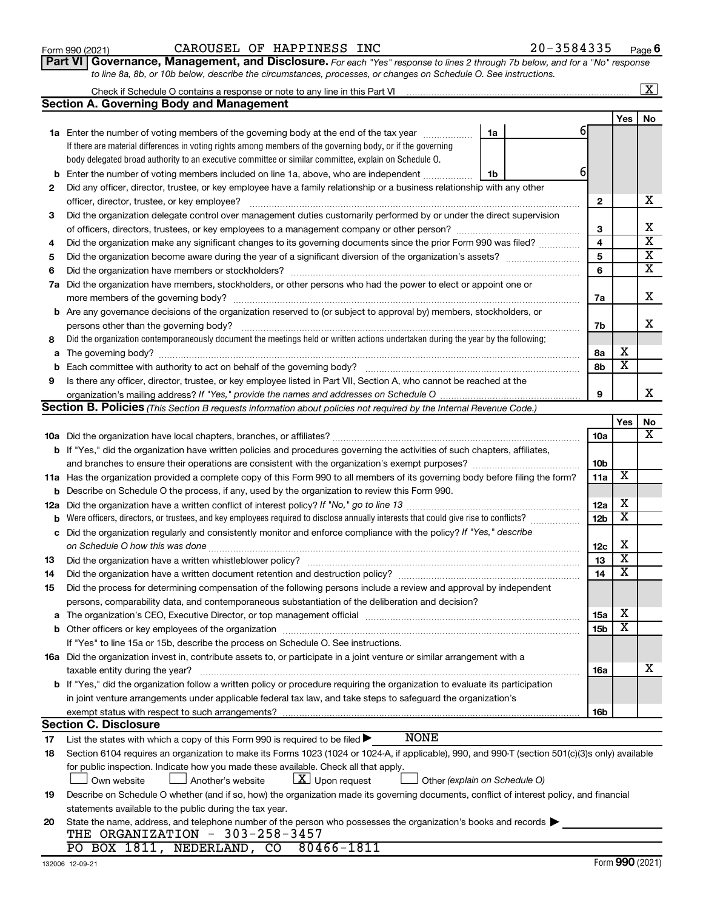### Form 990 (2021)  $CAROUSEL$  OF HAPPINESS INC  $20-3584335$  Page

Check if Schedule O contains a response or note to any line in this Part VI

**Part VI** Governance, Management, and Disclosure. For each "Yes" response to lines 2 through 7b below, and for a "No" response *to line 8a, 8b, or 10b below, describe the circumstances, processes, or changes on Schedule O. See instructions.*

|     | <b>Section A. Governing Body and Management</b>                                                                                                                                                                                |    |                         |                         |                         |
|-----|--------------------------------------------------------------------------------------------------------------------------------------------------------------------------------------------------------------------------------|----|-------------------------|-------------------------|-------------------------|
|     |                                                                                                                                                                                                                                |    |                         | Yes                     | No                      |
|     | 1a Enter the number of voting members of the governing body at the end of the tax year <i>manumum</i>                                                                                                                          | 1a | 6                       |                         |                         |
|     | If there are material differences in voting rights among members of the governing body, or if the governing                                                                                                                    |    |                         |                         |                         |
|     | body delegated broad authority to an executive committee or similar committee, explain on Schedule O.                                                                                                                          |    |                         |                         |                         |
| b   | Enter the number of voting members included on line 1a, above, who are independent                                                                                                                                             | 1b | 61                      |                         |                         |
| 2   | Did any officer, director, trustee, or key employee have a family relationship or a business relationship with any other                                                                                                       |    |                         |                         |                         |
|     |                                                                                                                                                                                                                                |    | $\mathbf{2}$            |                         | х                       |
| 3   | Did the organization delegate control over management duties customarily performed by or under the direct supervision                                                                                                          |    |                         |                         |                         |
|     | of officers, directors, trustees, or key employees to a management company or other person?                                                                                                                                    |    | 3                       |                         | Х                       |
| 4   | Did the organization make any significant changes to its governing documents since the prior Form 990 was filed?                                                                                                               |    | $\overline{\mathbf{4}}$ |                         | $\overline{\textbf{x}}$ |
| 5   |                                                                                                                                                                                                                                |    | 5                       |                         | $\overline{\mathbf{X}}$ |
| 6   |                                                                                                                                                                                                                                |    | 6                       |                         | $\overline{\mathbf{x}}$ |
| 7a  | Did the organization have members, stockholders, or other persons who had the power to elect or appoint one or                                                                                                                 |    |                         |                         |                         |
|     |                                                                                                                                                                                                                                |    | 7a                      |                         | х                       |
|     | <b>b</b> Are any governance decisions of the organization reserved to (or subject to approval by) members, stockholders, or                                                                                                    |    |                         |                         |                         |
|     | persons other than the governing body?                                                                                                                                                                                         |    | 7b                      |                         | x                       |
| 8   | Did the organization contemporaneously document the meetings held or written actions undertaken during the year by the following:                                                                                              |    |                         |                         |                         |
|     |                                                                                                                                                                                                                                |    | 8a                      | х                       |                         |
| а   |                                                                                                                                                                                                                                |    | 8b                      | $\overline{\text{x}}$   |                         |
|     |                                                                                                                                                                                                                                |    |                         |                         |                         |
| 9   | Is there any officer, director, trustee, or key employee listed in Part VII, Section A, who cannot be reached at the                                                                                                           |    | 9                       |                         | x                       |
|     | organization's mailing address? If "Yes," provide the names and addresses on Schedule O.<br>Section B. Policies (This Section B requests information about policies not required by the Internal Revenue Code.)                |    |                         |                         |                         |
|     |                                                                                                                                                                                                                                |    |                         |                         |                         |
|     |                                                                                                                                                                                                                                |    |                         | Yes                     | No<br>х                 |
|     |                                                                                                                                                                                                                                |    | 10a                     |                         |                         |
|     | <b>b</b> If "Yes," did the organization have written policies and procedures governing the activities of such chapters, affiliates,                                                                                            |    |                         |                         |                         |
|     |                                                                                                                                                                                                                                |    | 10 <sub>b</sub>         | х                       |                         |
|     | 11a Has the organization provided a complete copy of this Form 990 to all members of its governing body before filing the form?                                                                                                |    | 11a                     |                         |                         |
|     | <b>b</b> Describe on Schedule O the process, if any, used by the organization to review this Form 990.                                                                                                                         |    |                         | х                       |                         |
| 12a |                                                                                                                                                                                                                                |    | 12a                     | $\overline{\text{x}}$   |                         |
| b   | Were officers, directors, or trustees, and key employees required to disclose annually interests that could give rise to conflicts?                                                                                            |    | 12 <sub>b</sub>         |                         |                         |
| с   | Did the organization regularly and consistently monitor and enforce compliance with the policy? If "Yes," describe                                                                                                             |    |                         | х                       |                         |
|     |                                                                                                                                                                                                                                |    | 12c                     | $\overline{\textbf{x}}$ |                         |
| 13  |                                                                                                                                                                                                                                |    | 13                      | $\overline{\textbf{x}}$ |                         |
| 14  |                                                                                                                                                                                                                                |    | 14                      |                         |                         |
| 15  | Did the process for determining compensation of the following persons include a review and approval by independent                                                                                                             |    |                         |                         |                         |
|     | persons, comparability data, and contemporaneous substantiation of the deliberation and decision?                                                                                                                              |    |                         | X                       |                         |
|     | The organization's CEO, Executive Director, or top management official [111] [12] manuscription and an intervention of the organization's CEO, Executive Director, or top management official [12] manuscription and an interv |    | 15a                     | х                       |                         |
|     |                                                                                                                                                                                                                                |    | 15b                     |                         |                         |
|     | If "Yes" to line 15a or 15b, describe the process on Schedule O. See instructions.                                                                                                                                             |    |                         |                         |                         |
|     | 16a Did the organization invest in, contribute assets to, or participate in a joint venture or similar arrangement with a                                                                                                      |    |                         |                         |                         |
|     | taxable entity during the year?                                                                                                                                                                                                |    | 16a                     |                         | х                       |
|     | b If "Yes," did the organization follow a written policy or procedure requiring the organization to evaluate its participation                                                                                                 |    |                         |                         |                         |
|     | in joint venture arrangements under applicable federal tax law, and take steps to safeguard the organization's                                                                                                                 |    |                         |                         |                         |
|     | exempt status with respect to such arrangements?                                                                                                                                                                               |    | 16b                     |                         |                         |
|     | <b>Section C. Disclosure</b>                                                                                                                                                                                                   |    |                         |                         |                         |
| 17  | <b>NONE</b><br>List the states with which a copy of this Form 990 is required to be filed $\blacktriangleright$                                                                                                                |    |                         |                         |                         |
| 18  | Section 6104 requires an organization to make its Forms 1023 (1024 or 1024-A, if applicable), 990, and 990-T (section 501(c)(3)s only) available                                                                               |    |                         |                         |                         |
|     | for public inspection. Indicate how you made these available. Check all that apply.                                                                                                                                            |    |                         |                         |                         |
|     | $X$ Upon request<br>Own website<br>Another's website<br>Other (explain on Schedule O)                                                                                                                                          |    |                         |                         |                         |
| 19  | Describe on Schedule O whether (and if so, how) the organization made its governing documents, conflict of interest policy, and financial                                                                                      |    |                         |                         |                         |
|     | statements available to the public during the tax year.                                                                                                                                                                        |    |                         |                         |                         |
| 20  | State the name, address, and telephone number of the person who possesses the organization's books and records                                                                                                                 |    |                         |                         |                         |
|     | THE ORGANIZATION - 303-258-3457                                                                                                                                                                                                |    |                         |                         |                         |
|     | PO BOX 1811, NEDERLAND, CO 80466-1811                                                                                                                                                                                          |    |                         |                         |                         |

**6**

 $\boxed{\text{X}}$ 

|  |  | . . |   |
|--|--|-----|---|
|  |  |     | ۰ |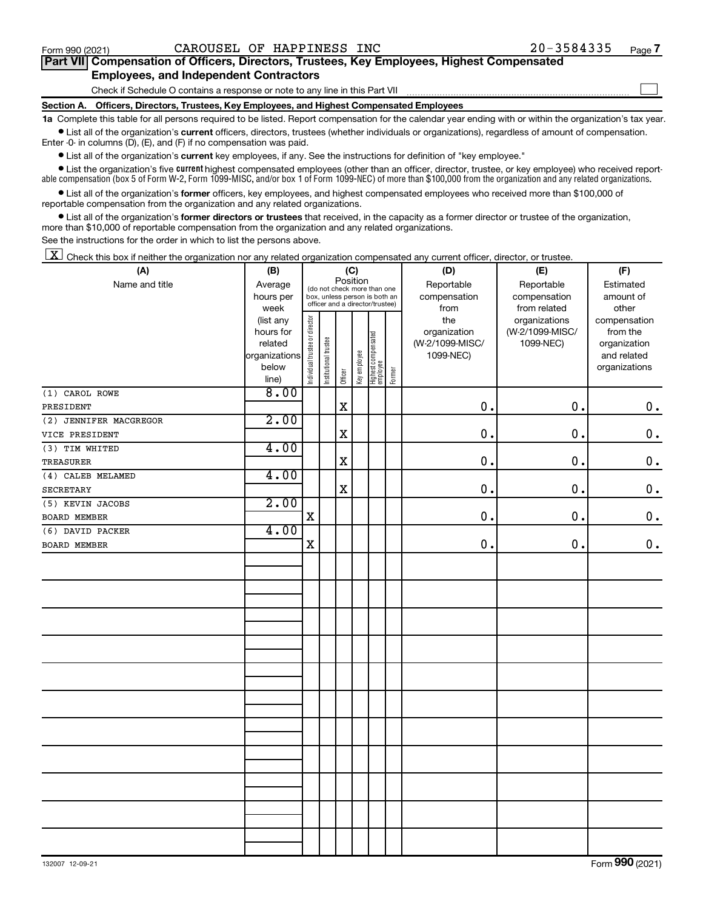$\Box$ 

| Part VII Compensation of Officers, Directors, Trustees, Key Employees, Highest Compensated |  |
|--------------------------------------------------------------------------------------------|--|
| <b>Employees, and Independent Contractors</b>                                              |  |

Check if Schedule O contains a response or note to any line in this Part VII

**Section A. Officers, Directors, Trustees, Key Employees, and Highest Compensated Employees**

**1a**  Complete this table for all persons required to be listed. Report compensation for the calendar year ending with or within the organization's tax year.  $\bullet$  List all of the organization's current officers, directors, trustees (whether individuals or organizations), regardless of amount of compensation.

Enter -0- in columns (D), (E), and (F) if no compensation was paid.

**•** List all of the organization's **current** key employees, if any. See the instructions for definition of "key employee."

• List the organization's five *current* highest compensated employees (other than an officer, director, trustee, or key employee) who received reportable compensation (box 5 of Form W-2, Form 1099-MISC, and/or box 1 of Form 1099-NEC) of more than \$100,000 from the organization and any related organizations.

 $\bullet$  List all of the organization's former officers, key employees, and highest compensated employees who received more than \$100,000 of reportable compensation from the organization and any related organizations.

**•** List all of the organization's former directors or trustees that received, in the capacity as a former director or trustee of the organization, more than \$10,000 of reportable compensation from the organization and any related organizations.

See the instructions for the order in which to list the persons above.

 $\boxed{\textbf{X}}$  Check this box if neither the organization nor any related organization compensated any current officer, director, or trustee.

| (A)                    | (B)           | (C)                            |                                                              |                         |              |                                   |        | (D)             | (E)             | (F)           |
|------------------------|---------------|--------------------------------|--------------------------------------------------------------|-------------------------|--------------|-----------------------------------|--------|-----------------|-----------------|---------------|
| Name and title         | Average       |                                |                                                              | Position                |              |                                   |        | Reportable      | Reportable      | Estimated     |
|                        | hours per     |                                | (do not check more than one<br>box, unless person is both an |                         |              |                                   |        | compensation    | compensation    | amount of     |
|                        | week          |                                |                                                              |                         |              | officer and a director/trustee)   |        | from            | from related    | other         |
|                        | (list any     |                                |                                                              |                         |              |                                   |        | the             | organizations   | compensation  |
|                        | hours for     |                                |                                                              |                         |              |                                   |        | organization    | (W-2/1099-MISC/ | from the      |
|                        | related       |                                |                                                              |                         |              |                                   |        | (W-2/1099-MISC/ | 1099-NEC)       | organization  |
|                        | organizations |                                |                                                              |                         |              |                                   |        | 1099-NEC)       |                 | and related   |
|                        | below         | Individual trustee or director | Institutional trustee                                        |                         | Key employee |                                   | Former |                 |                 | organizations |
|                        | line)         |                                |                                                              | Officer                 |              | Highest compensated<br>  employee |        |                 |                 |               |
| (1) CAROL ROWE         | 8.00          |                                |                                                              |                         |              |                                   |        |                 |                 |               |
| PRESIDENT              |               |                                |                                                              | $\rm X$                 |              |                                   |        | 0.              | 0.              | $\mathbf 0$ . |
| (2) JENNIFER MACGREGOR | 2.00          |                                |                                                              |                         |              |                                   |        |                 |                 |               |
| VICE PRESIDENT         |               |                                |                                                              | $\overline{\mathbf{X}}$ |              |                                   |        | 0.              | 0.              | $0$ .         |
| (3) TIM WHITED         | 4.00          |                                |                                                              |                         |              |                                   |        |                 |                 |               |
| <b>TREASURER</b>       |               |                                |                                                              | $\mathbf x$             |              |                                   |        | 0.              | $\mathbf 0$ .   | $\mathbf 0$ . |
| (4) CALEB MELAMED      | 4.00          |                                |                                                              |                         |              |                                   |        |                 |                 |               |
| SECRETARY              |               |                                |                                                              | $\mathbf X$             |              |                                   |        | 0.              | 0.              | $\mathbf 0$ . |
| (5) KEVIN JACOBS       | 2.00          |                                |                                                              |                         |              |                                   |        |                 |                 |               |
| <b>BOARD MEMBER</b>    |               | $\mathbf X$                    |                                                              |                         |              |                                   |        | 0.              | 0.              | $\mathbf 0$ . |
| (6) DAVID PACKER       | 4.00          |                                |                                                              |                         |              |                                   |        |                 |                 |               |
| BOARD MEMBER           |               | X                              |                                                              |                         |              |                                   |        | $\mathbf 0$     | 0.              | $0$ .         |
|                        |               |                                |                                                              |                         |              |                                   |        |                 |                 |               |
|                        |               |                                |                                                              |                         |              |                                   |        |                 |                 |               |
|                        |               |                                |                                                              |                         |              |                                   |        |                 |                 |               |
|                        |               |                                |                                                              |                         |              |                                   |        |                 |                 |               |
|                        |               |                                |                                                              |                         |              |                                   |        |                 |                 |               |
|                        |               |                                |                                                              |                         |              |                                   |        |                 |                 |               |
|                        |               |                                |                                                              |                         |              |                                   |        |                 |                 |               |
|                        |               |                                |                                                              |                         |              |                                   |        |                 |                 |               |
|                        |               |                                |                                                              |                         |              |                                   |        |                 |                 |               |
|                        |               |                                |                                                              |                         |              |                                   |        |                 |                 |               |
|                        |               |                                |                                                              |                         |              |                                   |        |                 |                 |               |
|                        |               |                                |                                                              |                         |              |                                   |        |                 |                 |               |
|                        |               |                                |                                                              |                         |              |                                   |        |                 |                 |               |
|                        |               |                                |                                                              |                         |              |                                   |        |                 |                 |               |
|                        |               |                                |                                                              |                         |              |                                   |        |                 |                 |               |
|                        |               |                                |                                                              |                         |              |                                   |        |                 |                 |               |
|                        |               |                                |                                                              |                         |              |                                   |        |                 |                 |               |
|                        |               |                                |                                                              |                         |              |                                   |        |                 |                 |               |
|                        |               |                                |                                                              |                         |              |                                   |        |                 |                 |               |
|                        |               |                                |                                                              |                         |              |                                   |        |                 |                 |               |
|                        |               |                                |                                                              |                         |              |                                   |        |                 |                 |               |
|                        |               |                                |                                                              |                         |              |                                   |        |                 |                 |               |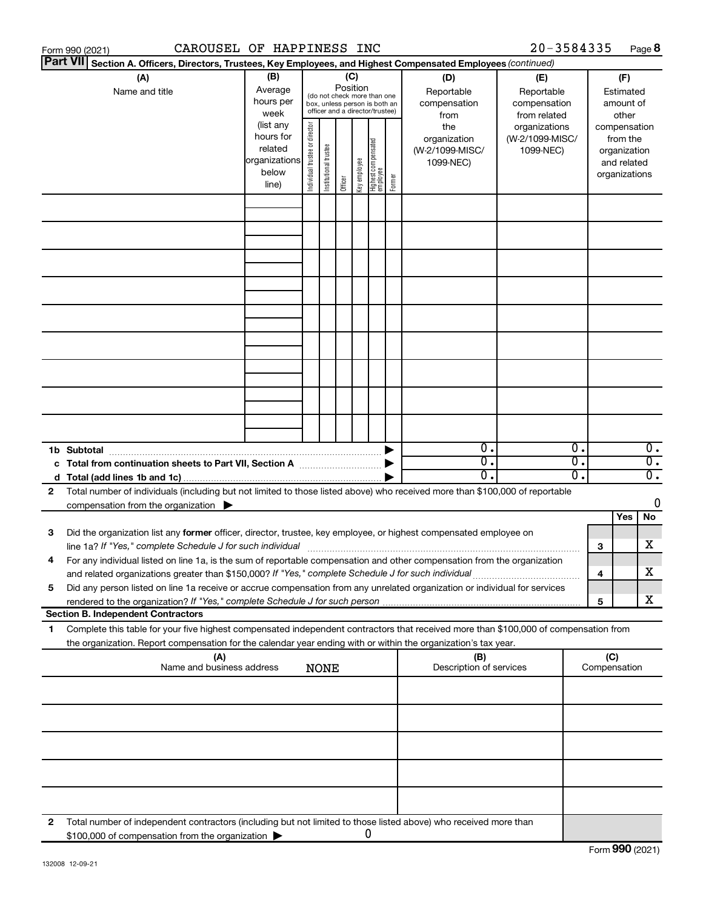|                                                                                   | CAROUSEL OF HAPPINESS INC<br>Form 990 (2021)                                                                                                                                                                                                                                         |                                                                      |                                   |                       |         |              |                                  |        |                                                     | 20-3584335                                    |                        |   | Page 8                                                                   |
|-----------------------------------------------------------------------------------|--------------------------------------------------------------------------------------------------------------------------------------------------------------------------------------------------------------------------------------------------------------------------------------|----------------------------------------------------------------------|-----------------------------------|-----------------------|---------|--------------|----------------------------------|--------|-----------------------------------------------------|-----------------------------------------------|------------------------|---|--------------------------------------------------------------------------|
| <b>Part VII</b>                                                                   | Section A. Officers, Directors, Trustees, Key Employees, and Highest Compensated Employees (continued)                                                                                                                                                                               |                                                                      |                                   |                       |         |              |                                  |        |                                                     |                                               |                        |   |                                                                          |
|                                                                                   | (B)<br>(A)<br>(C)<br>(D)<br>(E)<br>Position<br>Average<br>Name and title<br>Reportable<br>Reportable<br>(do not check more than one<br>hours per<br>compensation<br>compensation<br>box, unless person is both an<br>officer and a director/trustee)<br>week<br>from related<br>from |                                                                      |                                   |                       |         |              |                                  |        | (F)<br>Estimated<br>amount of<br>other              |                                               |                        |   |                                                                          |
|                                                                                   |                                                                                                                                                                                                                                                                                      | (list any<br>hours for<br>related<br>organizations<br>below<br>line) | director<br>Individual trustee or | Institutional trustee | Officer | Key employee | Highest compensated<br> employee | Former | the<br>organization<br>(W-2/1099-MISC/<br>1099-NEC) | organizations<br>(W-2/1099-MISC/<br>1099-NEC) |                        |   | compensation<br>from the<br>organization<br>and related<br>organizations |
|                                                                                   |                                                                                                                                                                                                                                                                                      |                                                                      |                                   |                       |         |              |                                  |        |                                                     |                                               |                        |   |                                                                          |
|                                                                                   |                                                                                                                                                                                                                                                                                      |                                                                      |                                   |                       |         |              |                                  |        |                                                     |                                               |                        |   |                                                                          |
|                                                                                   |                                                                                                                                                                                                                                                                                      |                                                                      |                                   |                       |         |              |                                  |        |                                                     |                                               |                        |   |                                                                          |
|                                                                                   |                                                                                                                                                                                                                                                                                      |                                                                      |                                   |                       |         |              |                                  |        |                                                     |                                               |                        |   |                                                                          |
|                                                                                   |                                                                                                                                                                                                                                                                                      |                                                                      |                                   |                       |         |              |                                  |        |                                                     |                                               |                        |   |                                                                          |
|                                                                                   |                                                                                                                                                                                                                                                                                      |                                                                      |                                   |                       |         |              |                                  |        |                                                     |                                               |                        |   |                                                                          |
|                                                                                   |                                                                                                                                                                                                                                                                                      |                                                                      |                                   |                       |         |              |                                  |        |                                                     |                                               |                        |   |                                                                          |
|                                                                                   |                                                                                                                                                                                                                                                                                      |                                                                      |                                   |                       |         |              |                                  |        |                                                     |                                               |                        |   |                                                                          |
|                                                                                   |                                                                                                                                                                                                                                                                                      |                                                                      |                                   |                       |         |              |                                  |        |                                                     |                                               |                        |   |                                                                          |
|                                                                                   | 1b Subtotal                                                                                                                                                                                                                                                                          |                                                                      |                                   |                       |         |              |                                  |        | σ.                                                  |                                               | Ο.                     |   | $\overline{0}$ .                                                         |
|                                                                                   | c Total from continuation sheets to Part VII, Section A manufactured by                                                                                                                                                                                                              |                                                                      |                                   |                       |         |              |                                  |        | σ.<br>О.                                            |                                               | σ.<br>$\overline{0}$ . |   | $\overline{0}$ .<br>$\overline{0}$ .                                     |
| 2                                                                                 | Total number of individuals (including but not limited to those listed above) who received more than \$100,000 of reportable                                                                                                                                                         |                                                                      |                                   |                       |         |              |                                  |        |                                                     |                                               |                        |   |                                                                          |
|                                                                                   | compensation from the organization $\blacktriangleright$                                                                                                                                                                                                                             |                                                                      |                                   |                       |         |              |                                  |        |                                                     |                                               |                        |   | 0                                                                        |
|                                                                                   |                                                                                                                                                                                                                                                                                      |                                                                      |                                   |                       |         |              |                                  |        |                                                     |                                               |                        |   | No<br>Yes                                                                |
| 3                                                                                 | Did the organization list any former officer, director, trustee, key employee, or highest compensated employee on                                                                                                                                                                    |                                                                      |                                   |                       |         |              |                                  |        |                                                     |                                               |                        | 3 | X                                                                        |
|                                                                                   | For any individual listed on line 1a, is the sum of reportable compensation and other compensation from the organization<br>and related organizations greater than \$150,000? If "Yes," complete Schedule J for such individual                                                      |                                                                      |                                   |                       |         |              |                                  |        |                                                     |                                               |                        | 4 | X                                                                        |
| 5                                                                                 | Did any person listed on line 1a receive or accrue compensation from any unrelated organization or individual for services                                                                                                                                                           |                                                                      |                                   |                       |         |              |                                  |        |                                                     |                                               |                        | 5 | x                                                                        |
|                                                                                   | <b>Section B. Independent Contractors</b>                                                                                                                                                                                                                                            |                                                                      |                                   |                       |         |              |                                  |        |                                                     |                                               |                        |   |                                                                          |
| 1.                                                                                | Complete this table for your five highest compensated independent contractors that received more than \$100,000 of compensation from<br>the organization. Report compensation for the calendar year ending with or within the organization's tax year.                               |                                                                      |                                   |                       |         |              |                                  |        |                                                     |                                               |                        |   |                                                                          |
| (A)<br>(B)<br>Name and business address<br>Description of services<br><b>NONE</b> |                                                                                                                                                                                                                                                                                      |                                                                      |                                   |                       |         |              |                                  |        |                                                     | (C)<br>Compensation                           |                        |   |                                                                          |
|                                                                                   |                                                                                                                                                                                                                                                                                      |                                                                      |                                   |                       |         |              |                                  |        |                                                     |                                               |                        |   |                                                                          |
|                                                                                   |                                                                                                                                                                                                                                                                                      |                                                                      |                                   |                       |         |              |                                  |        |                                                     |                                               |                        |   |                                                                          |
|                                                                                   |                                                                                                                                                                                                                                                                                      |                                                                      |                                   |                       |         |              |                                  |        |                                                     |                                               |                        |   |                                                                          |
|                                                                                   |                                                                                                                                                                                                                                                                                      |                                                                      |                                   |                       |         |              |                                  |        |                                                     |                                               |                        |   |                                                                          |
| 2                                                                                 | Total number of independent contractors (including but not limited to those listed above) who received more than                                                                                                                                                                     |                                                                      |                                   |                       |         |              |                                  |        |                                                     |                                               |                        |   |                                                                          |
|                                                                                   | \$100,000 of compensation from the organization                                                                                                                                                                                                                                      |                                                                      |                                   |                       |         |              | 0                                |        |                                                     |                                               |                        |   |                                                                          |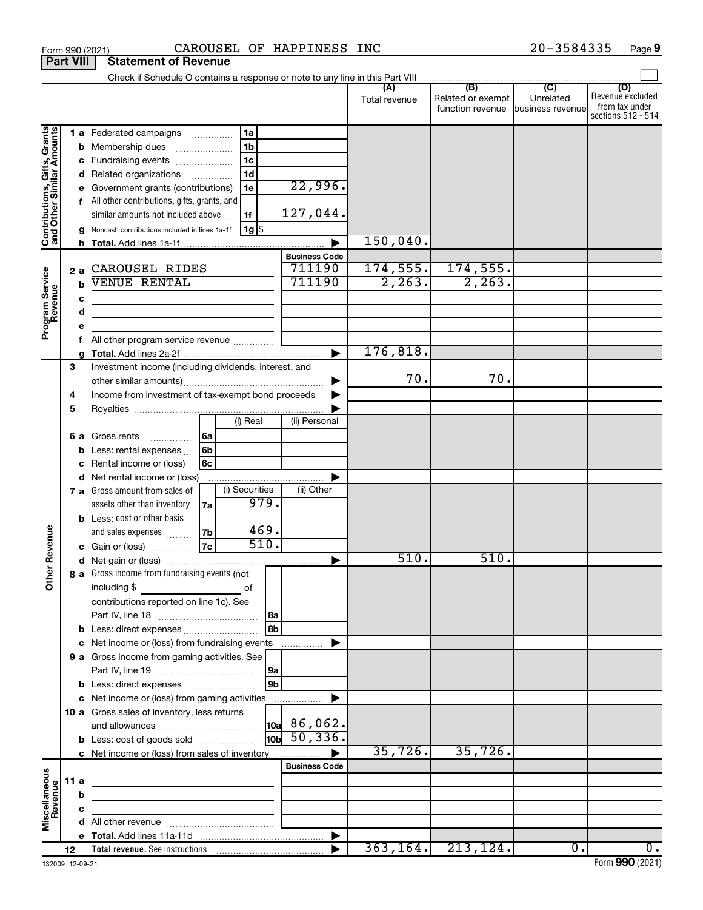|                                                           |    |     | Form 990 (2021)                                       |                                                    |                     |              | CAROUSEL OF HAPPINESS INC                            |                      |                                                        | 20-3584335 | Page 9                                                          |
|-----------------------------------------------------------|----|-----|-------------------------------------------------------|----------------------------------------------------|---------------------|--------------|------------------------------------------------------|----------------------|--------------------------------------------------------|------------|-----------------------------------------------------------------|
| <b>Part VIII</b>                                          |    |     | <b>Statement of Revenue</b>                           |                                                    |                     |              |                                                      |                      |                                                        |            |                                                                 |
|                                                           |    |     |                                                       |                                                    |                     |              |                                                      |                      |                                                        |            |                                                                 |
|                                                           |    |     |                                                       |                                                    |                     |              |                                                      | Total revenue        | Related or exempt<br>function revenue business revenue | Unrelated  | (D)<br>Revenue excluded<br>from tax under<br>sections 512 - 514 |
|                                                           |    |     | <b>1 a</b> Federated campaigns                        |                                                    | 1a                  |              |                                                      |                      |                                                        |            |                                                                 |
|                                                           |    | b   | Membership dues                                       |                                                    | 1 <sub>b</sub>      |              |                                                      |                      |                                                        |            |                                                                 |
|                                                           |    | с   | Fundraising events                                    |                                                    | 1 <sub>c</sub>      |              |                                                      |                      |                                                        |            |                                                                 |
|                                                           |    |     | d Related organizations                               |                                                    | 1 <sub>d</sub><br>. |              |                                                      |                      |                                                        |            |                                                                 |
| Contributions, Gifts, Grants<br>and Other Similar Amounts |    | е   | Government grants (contributions)                     |                                                    | 1e                  |              | 22,996.                                              |                      |                                                        |            |                                                                 |
|                                                           |    |     | All other contributions, gifts, grants, and           |                                                    |                     |              |                                                      |                      |                                                        |            |                                                                 |
|                                                           |    |     | similar amounts not included above                    |                                                    | 1f                  |              | 127,044.                                             |                      |                                                        |            |                                                                 |
|                                                           |    | a   | Noncash contributions included in lines 1a-1f         |                                                    | $1g$ \$             |              |                                                      |                      |                                                        |            |                                                                 |
|                                                           |    |     | h Total. Add lines 1a-1f                              |                                                    |                     |              |                                                      | 150,040.             |                                                        |            |                                                                 |
|                                                           |    |     |                                                       |                                                    |                     |              | <b>Business Code</b>                                 |                      |                                                        |            |                                                                 |
|                                                           |    | 2a  | CAROUSEL RIDES<br><b>VENUE RENTAL</b>                 |                                                    |                     |              | 711190<br>711190                                     | 174, 555.<br>2, 263. | 174,555.<br>2, 263.                                    |            |                                                                 |
|                                                           |    |     |                                                       |                                                    |                     |              |                                                      |                      |                                                        |            |                                                                 |
|                                                           |    | c   |                                                       |                                                    |                     |              |                                                      |                      |                                                        |            |                                                                 |
| Program Service<br>Revenue                                |    | d   | <u> 1980 - Johann Barbara, martxa alemaniar a</u>     |                                                    |                     |              |                                                      |                      |                                                        |            |                                                                 |
|                                                           |    | е   | All other program service revenue                     |                                                    |                     |              |                                                      |                      |                                                        |            |                                                                 |
|                                                           |    | f   |                                                       |                                                    |                     |              |                                                      | 176,818 <b>.</b>     |                                                        |            |                                                                 |
|                                                           | 3  |     | Investment income (including dividends, interest, and |                                                    |                     |              |                                                      |                      |                                                        |            |                                                                 |
|                                                           |    |     |                                                       |                                                    |                     |              |                                                      | 70.                  | 70.                                                    |            |                                                                 |
|                                                           | 4  |     |                                                       | Income from investment of tax-exempt bond proceeds |                     |              |                                                      |                      |                                                        |            |                                                                 |
|                                                           | 5  |     |                                                       |                                                    |                     |              |                                                      |                      |                                                        |            |                                                                 |
|                                                           |    |     |                                                       |                                                    | (i) Real            |              | (ii) Personal                                        |                      |                                                        |            |                                                                 |
|                                                           |    | 6а  | Gross rents<br>.                                      | 6a                                                 |                     |              |                                                      |                      |                                                        |            |                                                                 |
|                                                           |    | b   | Less: rental expenses                                 | 6 <sub>b</sub>                                     |                     |              |                                                      |                      |                                                        |            |                                                                 |
|                                                           |    |     | Rental income or (loss)                               | 6с                                                 |                     |              |                                                      |                      |                                                        |            |                                                                 |
|                                                           |    | d   | Net rental income or (loss)                           |                                                    |                     |              |                                                      |                      |                                                        |            |                                                                 |
|                                                           |    |     | 7 a Gross amount from sales of                        |                                                    | (i) Securities      |              | (ii) Other                                           |                      |                                                        |            |                                                                 |
|                                                           |    |     | assets other than inventory                           | 7а                                                 | 979.                |              |                                                      |                      |                                                        |            |                                                                 |
|                                                           |    |     | <b>b</b> Less: cost or other basis                    |                                                    |                     |              |                                                      |                      |                                                        |            |                                                                 |
|                                                           |    |     | and sales expenses                                    | 7b                                                 | 469.                |              |                                                      |                      |                                                        |            |                                                                 |
| evenue                                                    |    |     | c Gain or (loss)                                      | 7c                                                 | 510.                |              |                                                      |                      |                                                        |            |                                                                 |
| Œ                                                         |    |     |                                                       |                                                    |                     |              |                                                      | 510.                 | 510.                                                   |            |                                                                 |
| Other                                                     |    |     | 8 a Gross income from fundraising events (not         |                                                    |                     |              |                                                      |                      |                                                        |            |                                                                 |
|                                                           |    |     | including \$                                          |                                                    | of                  |              |                                                      |                      |                                                        |            |                                                                 |
|                                                           |    |     | contributions reported on line 1c). See               |                                                    |                     |              |                                                      |                      |                                                        |            |                                                                 |
|                                                           |    |     |                                                       |                                                    |                     | l 8a<br>l 8b |                                                      |                      |                                                        |            |                                                                 |
|                                                           |    |     | c Net income or (loss) from fundraising events        |                                                    |                     |              |                                                      |                      |                                                        |            |                                                                 |
|                                                           |    |     | 9 a Gross income from gaming activities. See          |                                                    |                     |              |                                                      |                      |                                                        |            |                                                                 |
|                                                           |    |     |                                                       |                                                    |                     | 9a           |                                                      |                      |                                                        |            |                                                                 |
|                                                           |    |     |                                                       |                                                    |                     | l 9b         |                                                      |                      |                                                        |            |                                                                 |
|                                                           |    |     | c Net income or (loss) from gaming activities         |                                                    |                     |              |                                                      |                      |                                                        |            |                                                                 |
|                                                           |    |     | 10 a Gross sales of inventory, less returns           |                                                    |                     |              |                                                      |                      |                                                        |            |                                                                 |
|                                                           |    |     |                                                       |                                                    |                     |              |                                                      |                      |                                                        |            |                                                                 |
|                                                           |    |     | <b>b</b> Less: cost of goods sold                     |                                                    |                     |              | $\frac{10a}{10b}$ 86,062.<br>$\frac{10b}{50}$ , 336. |                      |                                                        |            |                                                                 |
|                                                           |    |     | c Net income or (loss) from sales of inventory        |                                                    |                     |              |                                                      | 35,726.              | 35,726.                                                |            |                                                                 |
|                                                           |    |     |                                                       |                                                    |                     |              | <b>Business Code</b>                                 |                      |                                                        |            |                                                                 |
|                                                           |    | 11a |                                                       |                                                    |                     |              |                                                      |                      |                                                        |            |                                                                 |
|                                                           |    | b   |                                                       |                                                    |                     |              |                                                      |                      |                                                        |            |                                                                 |
|                                                           |    | с   |                                                       |                                                    |                     |              |                                                      |                      |                                                        |            |                                                                 |
| Miscellaneous<br>Revenue                                  |    |     |                                                       |                                                    |                     |              |                                                      |                      |                                                        |            |                                                                 |
|                                                           |    |     |                                                       |                                                    |                     |              |                                                      |                      |                                                        |            |                                                                 |
|                                                           | 12 |     |                                                       |                                                    |                     |              |                                                      |                      | $363, 164.$ 213, 124.                                  | 0.         | 0.                                                              |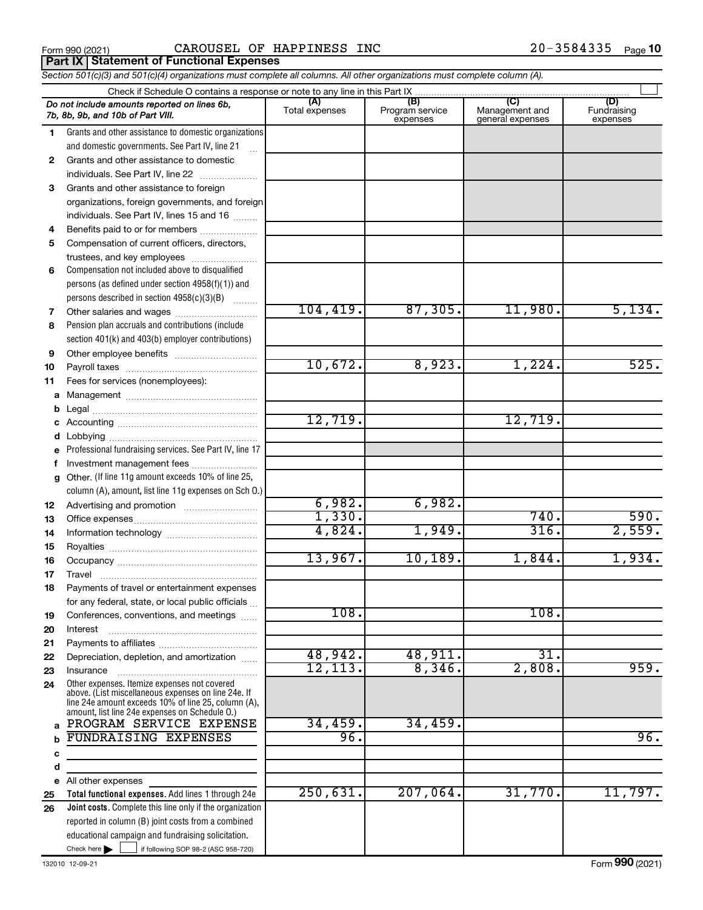Form 990 (2021) **CAROUSEL OF HAPPINESS INC**  $20-3584335$  Page **Porm 990 (2021)**<br>**Part IX | Statement of Functional Expenses** 

*Section 501(c)(3) and 501(c)(4) organizations must complete all columns. All other organizations must complete column (A).*

|              | Check if Schedule O contains a response or note to any line in this Part IX                           |                       |                                    |                                           |                                |
|--------------|-------------------------------------------------------------------------------------------------------|-----------------------|------------------------------------|-------------------------------------------|--------------------------------|
|              | Do not include amounts reported on lines 6b,<br>7b, 8b, 9b, and 10b of Part VIII.                     | (A)<br>Total expenses | (B)<br>Program service<br>expenses | (C)<br>Management and<br>general expenses | (D)<br>Fundraising<br>expenses |
| 1.           | Grants and other assistance to domestic organizations                                                 |                       |                                    |                                           |                                |
|              | and domestic governments. See Part IV, line 21                                                        |                       |                                    |                                           |                                |
| $\mathbf{2}$ | Grants and other assistance to domestic                                                               |                       |                                    |                                           |                                |
|              | individuals. See Part IV, line 22                                                                     |                       |                                    |                                           |                                |
| 3            | Grants and other assistance to foreign                                                                |                       |                                    |                                           |                                |
|              | organizations, foreign governments, and foreign                                                       |                       |                                    |                                           |                                |
|              | individuals. See Part IV, lines 15 and 16                                                             |                       |                                    |                                           |                                |
| 4            | Benefits paid to or for members                                                                       |                       |                                    |                                           |                                |
| 5            | Compensation of current officers, directors,                                                          |                       |                                    |                                           |                                |
|              | trustees, and key employees                                                                           |                       |                                    |                                           |                                |
| 6            | Compensation not included above to disqualified                                                       |                       |                                    |                                           |                                |
|              | persons (as defined under section 4958(f)(1)) and                                                     |                       |                                    |                                           |                                |
|              | persons described in section 4958(c)(3)(B)                                                            | 104, 419.             | 87,305.                            | 11,980.                                   | 5,134.                         |
| 7            | Other salaries and wages<br>Pension plan accruals and contributions (include                          |                       |                                    |                                           |                                |
| 8            | section 401(k) and 403(b) employer contributions)                                                     |                       |                                    |                                           |                                |
| 9            |                                                                                                       |                       |                                    |                                           |                                |
| 10           |                                                                                                       | 10,672.               | 8,923.                             | 1,224.                                    | 525.                           |
| 11           | Fees for services (nonemployees):                                                                     |                       |                                    |                                           |                                |
| a            |                                                                                                       |                       |                                    |                                           |                                |
| b            |                                                                                                       |                       |                                    |                                           |                                |
| с            |                                                                                                       | 12,719.               |                                    | 12,719.                                   |                                |
| d            |                                                                                                       |                       |                                    |                                           |                                |
| е            | Professional fundraising services. See Part IV, line 17                                               |                       |                                    |                                           |                                |
| f            | Investment management fees                                                                            |                       |                                    |                                           |                                |
| g            | Other. (If line 11g amount exceeds 10% of line 25,                                                    |                       |                                    |                                           |                                |
|              | column (A), amount, list line 11g expenses on Sch O.)                                                 |                       |                                    |                                           |                                |
| 12           |                                                                                                       | 6,982.                | 6,982.                             |                                           |                                |
| 13           |                                                                                                       | 1,330.                |                                    | 740.                                      | 590.                           |
| 14           |                                                                                                       | 4,824.                | 1,949.                             | 316.                                      | 2,559.                         |
| 15           |                                                                                                       |                       |                                    |                                           |                                |
| 16           |                                                                                                       | 13,967.               | 10, 189.                           | 1,844.                                    | 1,934.                         |
| 17           | Travel                                                                                                |                       |                                    |                                           |                                |
| 18           | Payments of travel or entertainment expenses                                                          |                       |                                    |                                           |                                |
|              | for any federal, state, or local public officials                                                     | 108.                  |                                    | 108.                                      |                                |
| 19           | Conferences, conventions, and meetings                                                                |                       |                                    |                                           |                                |
| 20<br>21     | Interest                                                                                              |                       |                                    |                                           |                                |
| 22           | Depreciation, depletion, and amortization                                                             | 48,942.               | 48,911.                            | $\overline{31}$ .                         |                                |
| 23           | Insurance                                                                                             | 12, 113.              | 8,346.                             | 2,808.                                    | 959.                           |
| 24           | Other expenses. Itemize expenses not covered<br>above. (List miscellaneous expenses on line 24e. If   |                       |                                    |                                           |                                |
|              | line 24e amount exceeds 10% of line 25, column (A),<br>amount, list line 24e expenses on Schedule O.) |                       |                                    |                                           |                                |
| a            | PROGRAM SERVICE EXPENSE                                                                               | 34,459.               | 34,459.                            |                                           |                                |
|              | FUNDRAISING EXPENSES                                                                                  | 96.                   |                                    |                                           | 96.                            |
| с            |                                                                                                       |                       |                                    |                                           |                                |
| d            |                                                                                                       |                       |                                    |                                           |                                |
| е            | All other expenses                                                                                    |                       |                                    |                                           |                                |
| 25           | Total functional expenses. Add lines 1 through 24e                                                    | 250,631.              | 207,064.                           | 31,770.                                   | 11,797.                        |
| 26           | Joint costs. Complete this line only if the organization                                              |                       |                                    |                                           |                                |
|              | reported in column (B) joint costs from a combined                                                    |                       |                                    |                                           |                                |
|              | educational campaign and fundraising solicitation.                                                    |                       |                                    |                                           |                                |
|              | Check here $\blacktriangleright$<br>if following SOP 98-2 (ASC 958-720)                               |                       |                                    |                                           |                                |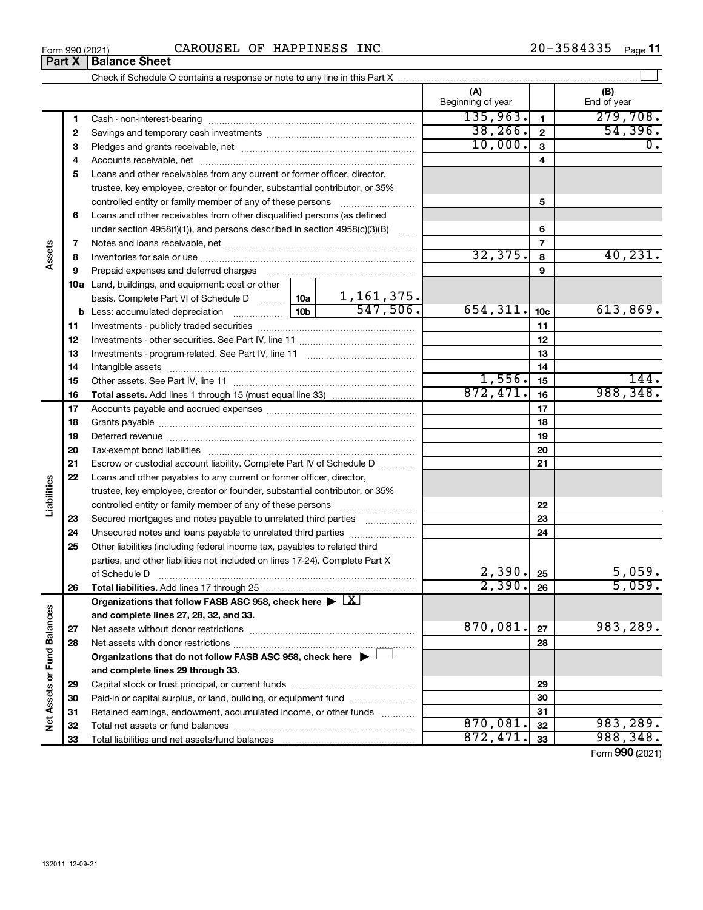|--|

|                             | Part X | <b>Balance Sheet</b>                                                                                           |                          |                          |                    |
|-----------------------------|--------|----------------------------------------------------------------------------------------------------------------|--------------------------|--------------------------|--------------------|
|                             |        |                                                                                                                |                          |                          |                    |
|                             |        |                                                                                                                | (A)<br>Beginning of year |                          | (B)<br>End of year |
|                             | 1      |                                                                                                                | 135,963.                 | $\mathbf{1}$             | 279,708.           |
|                             | 2      |                                                                                                                | 38, 266.                 | $\mathbf{2}$             | 54,396.            |
|                             | 3      |                                                                                                                | 10,000.                  | 3                        | 0.                 |
|                             | 4      |                                                                                                                |                          | 4                        |                    |
|                             | 5      | Loans and other receivables from any current or former officer, director,                                      |                          |                          |                    |
|                             |        | trustee, key employee, creator or founder, substantial contributor, or 35%                                     |                          |                          |                    |
|                             |        | controlled entity or family member of any of these persons                                                     |                          | 5                        |                    |
|                             | 6      | Loans and other receivables from other disqualified persons (as defined                                        |                          |                          |                    |
|                             |        | under section 4958(f)(1)), and persons described in section 4958(c)(3)(B)                                      |                          | 6                        |                    |
|                             | 7      |                                                                                                                |                          | $\overline{\phantom{a}}$ |                    |
| Assets                      | 8      |                                                                                                                | 32,375.                  | 8                        | 40, 231.           |
|                             | 9      | Prepaid expenses and deferred charges [11] [11] [11] [12] [12] [12] [12] [13] [13] [13] [13] [13] [13] [13] [1 |                          | 9                        |                    |
|                             |        | 10a Land, buildings, and equipment: cost or other                                                              |                          |                          |                    |
|                             |        | basis. Complete Part VI of Schedule D    10a   1, 161, 375.                                                    |                          |                          |                    |
|                             |        | 547,506.                                                                                                       | 654, 311.                | 10 <sub>c</sub>          | 613,869.           |
|                             | 11     |                                                                                                                |                          | 11                       |                    |
|                             | 12     |                                                                                                                |                          | 12                       |                    |
|                             | 13     |                                                                                                                |                          | 13                       |                    |
|                             | 14     |                                                                                                                |                          | 14                       |                    |
|                             | 15     |                                                                                                                | 1,556.                   | 15                       | 144.               |
|                             | 16     |                                                                                                                | 872,471.                 | 16                       | 988,348.           |
|                             | 17     |                                                                                                                |                          | 17                       |                    |
|                             | 18     |                                                                                                                |                          | 18                       |                    |
|                             | 19     |                                                                                                                |                          | 19                       |                    |
|                             | 20     |                                                                                                                |                          | 20                       |                    |
|                             | 21     | Escrow or custodial account liability. Complete Part IV of Schedule D                                          |                          | 21                       |                    |
|                             | 22     | Loans and other payables to any current or former officer, director,                                           |                          |                          |                    |
|                             |        | trustee, key employee, creator or founder, substantial contributor, or 35%                                     |                          |                          |                    |
| Liabilities                 |        | controlled entity or family member of any of these persons                                                     |                          | 22                       |                    |
|                             | 23     | Secured mortgages and notes payable to unrelated third parties                                                 |                          | 23                       |                    |
|                             | 24     | Unsecured notes and loans payable to unrelated third parties                                                   |                          | 24                       |                    |
|                             | 25     | Other liabilities (including federal income tax, payables to related third                                     |                          |                          |                    |
|                             |        | parties, and other liabilities not included on lines 17-24). Complete Part X                                   |                          |                          |                    |
|                             |        | of Schedule D                                                                                                  | 2,390.                   | 25                       | 5,059.             |
|                             | 26     |                                                                                                                | 2,390.                   | 26                       | 5,059.             |
|                             |        | Organizations that follow FASB ASC 958, check here $\blacktriangleright \lfloor \underline{X} \rfloor$         |                          |                          |                    |
|                             |        | and complete lines 27, 28, 32, and 33.                                                                         |                          |                          |                    |
|                             | 27     |                                                                                                                | 870,081.                 | 27                       | 983,289.           |
|                             | 28     |                                                                                                                |                          | 28                       |                    |
|                             |        | Organizations that do not follow FASB ASC 958, check here $\blacktriangleright$                                |                          |                          |                    |
| Net Assets or Fund Balances |        | and complete lines 29 through 33.                                                                              |                          |                          |                    |
|                             | 29     |                                                                                                                |                          | 29                       |                    |
|                             | 30     | Paid-in or capital surplus, or land, building, or equipment fund                                               |                          | 30                       |                    |
|                             | 31     | Retained earnings, endowment, accumulated income, or other funds                                               |                          | 31                       |                    |
|                             | 32     |                                                                                                                | 870,081.                 | 32                       | 983,289.           |
|                             | 33     |                                                                                                                | 872,471                  | 33                       | 988,348.           |

Form (2021) **990**

| Form 990 (2021 |  |
|----------------|--|
|----------------|--|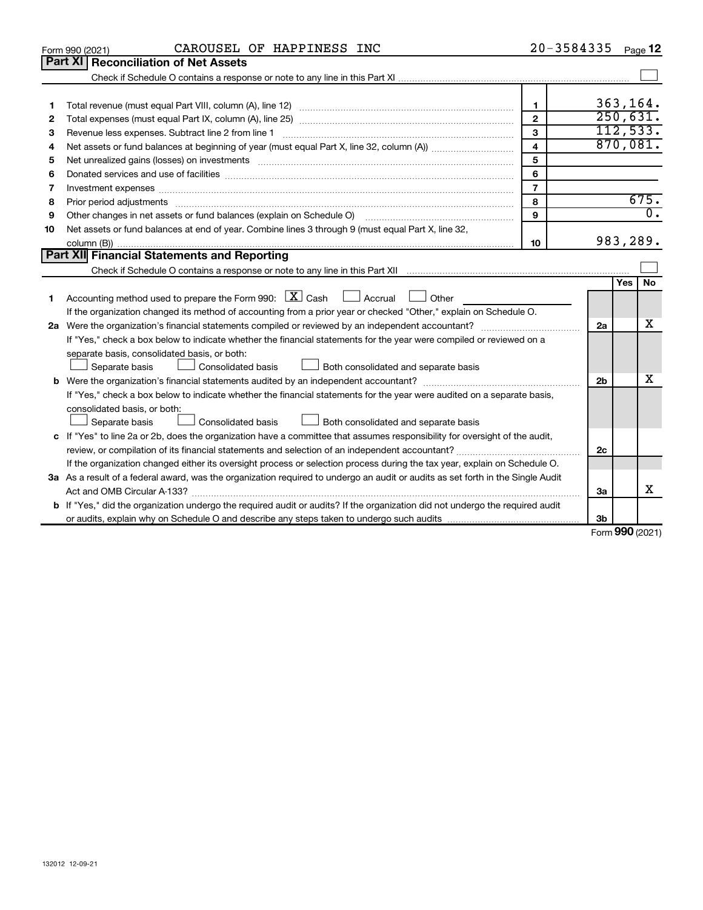|    | CAROUSEL OF HAPPINESS INC<br>Form 990 (2021)                                                                                                                                                                                  |                         | $20 - 3584335$ Page 12 |            |                  |  |  |
|----|-------------------------------------------------------------------------------------------------------------------------------------------------------------------------------------------------------------------------------|-------------------------|------------------------|------------|------------------|--|--|
|    | Part XI<br><b>Reconciliation of Net Assets</b>                                                                                                                                                                                |                         |                        |            |                  |  |  |
|    |                                                                                                                                                                                                                               |                         |                        |            |                  |  |  |
|    |                                                                                                                                                                                                                               |                         |                        |            |                  |  |  |
| 1  |                                                                                                                                                                                                                               | 1                       |                        |            | 363,164.         |  |  |
| 2  |                                                                                                                                                                                                                               | $\mathbf{2}$            |                        |            | 250,631.         |  |  |
| З  | Revenue less expenses. Subtract line 2 from line 1                                                                                                                                                                            | 3                       |                        |            | 112,533.         |  |  |
| 4  |                                                                                                                                                                                                                               | $\overline{\mathbf{4}}$ |                        |            | 870,081.         |  |  |
| 5  | Net unrealized gains (losses) on investments [11] matter in the content of the state of the state of the state of the state of the state of the state of the state of the state of the state of the state of the state of the | 5                       |                        |            |                  |  |  |
| 6  |                                                                                                                                                                                                                               | 6                       |                        |            |                  |  |  |
| 7  | Investment expenses www.communication.communication.com/www.communication.com/www.communication.com                                                                                                                           | $\overline{7}$          |                        |            |                  |  |  |
| 8  | Prior period adjustments www.communication.communication.communication.com/                                                                                                                                                   | 8                       |                        |            | 675.             |  |  |
| 9  |                                                                                                                                                                                                                               | 9                       |                        |            | $\overline{0}$ . |  |  |
| 10 | Net assets or fund balances at end of year. Combine lines 3 through 9 (must equal Part X, line 32,                                                                                                                            |                         |                        |            |                  |  |  |
|    |                                                                                                                                                                                                                               | 10                      |                        |            | 983,289.         |  |  |
|    | Part XII Financial Statements and Reporting                                                                                                                                                                                   |                         |                        |            |                  |  |  |
|    |                                                                                                                                                                                                                               |                         |                        |            |                  |  |  |
|    |                                                                                                                                                                                                                               |                         |                        | <b>Yes</b> | No               |  |  |
| 1  | Accounting method used to prepare the Form 990: $\boxed{\textbf{X}}$ Cash $\boxed{\phantom{1}}$ Accrual $\boxed{\phantom{1}}$<br>Other                                                                                        |                         |                        |            |                  |  |  |
|    | If the organization changed its method of accounting from a prior year or checked "Other," explain on Schedule O.                                                                                                             |                         |                        |            |                  |  |  |
|    |                                                                                                                                                                                                                               |                         | 2a                     |            | x                |  |  |
|    | If "Yes," check a box below to indicate whether the financial statements for the year were compiled or reviewed on a                                                                                                          |                         |                        |            |                  |  |  |
|    | separate basis, consolidated basis, or both:                                                                                                                                                                                  |                         |                        |            |                  |  |  |
|    | Separate basis<br>Consolidated basis<br>Both consolidated and separate basis                                                                                                                                                  |                         |                        |            |                  |  |  |
|    |                                                                                                                                                                                                                               |                         | 2 <sub>b</sub>         |            | X                |  |  |
|    | If "Yes," check a box below to indicate whether the financial statements for the year were audited on a separate basis,                                                                                                       |                         |                        |            |                  |  |  |
|    | consolidated basis, or both:                                                                                                                                                                                                  |                         |                        |            |                  |  |  |
|    | Consolidated basis<br>Separate basis<br>Both consolidated and separate basis                                                                                                                                                  |                         |                        |            |                  |  |  |
|    | c If "Yes" to line 2a or 2b, does the organization have a committee that assumes responsibility for oversight of the audit,                                                                                                   |                         |                        |            |                  |  |  |
|    |                                                                                                                                                                                                                               |                         |                        |            |                  |  |  |
|    | If the organization changed either its oversight process or selection process during the tax year, explain on Schedule O.                                                                                                     |                         |                        |            |                  |  |  |
|    | 3a As a result of a federal award, was the organization required to undergo an audit or audits as set forth in the Single Audit                                                                                               |                         |                        |            |                  |  |  |
|    |                                                                                                                                                                                                                               |                         | За                     |            | х                |  |  |
|    | b If "Yes," did the organization undergo the required audit or audits? If the organization did not undergo the required audit                                                                                                 |                         |                        |            |                  |  |  |
|    |                                                                                                                                                                                                                               |                         | 3b                     |            |                  |  |  |

Form (2021) **990**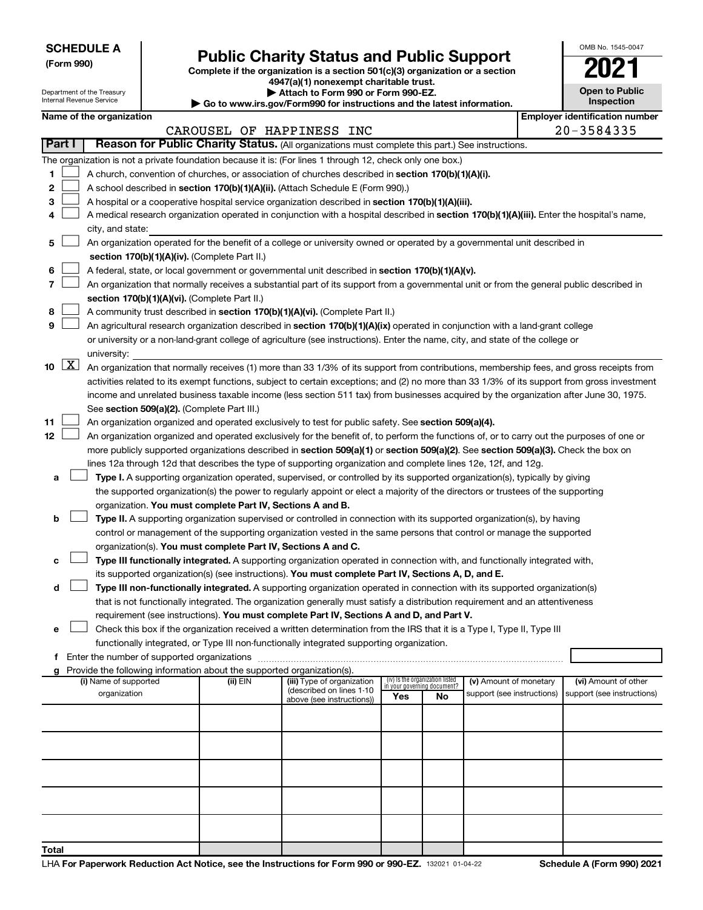| <b>SCHEDULE A</b> |
|-------------------|
|-------------------|

**Total**

# Form 990)<br>
Complete if the organization is a section 501(c)(3) organization or a section<br> **Public Charity Status and Public Support**

**4947(a)(1) nonexempt charitable trust.**

| <b>Open to Public</b><br>Inspection |
|-------------------------------------|
| r ut                                |

OMB No. 1545-0047

|                                                                                                                              |                      | Department of the Treasury<br>Internal Revenue Service |  |                                                                        | Attach to Form 990 or Form 990-EZ.<br>$\blacktriangleright$ Go to www.irs.gov/Form990 for instructions and the latest information.           |     |                                 |                                                      |  | <b>Open to Public</b><br><b>Inspection</b>         |
|------------------------------------------------------------------------------------------------------------------------------|----------------------|--------------------------------------------------------|--|------------------------------------------------------------------------|----------------------------------------------------------------------------------------------------------------------------------------------|-----|---------------------------------|------------------------------------------------------|--|----------------------------------------------------|
|                                                                                                                              |                      | Name of the organization                               |  |                                                                        |                                                                                                                                              |     |                                 |                                                      |  | <b>Employer identification number</b>              |
|                                                                                                                              |                      |                                                        |  |                                                                        | CAROUSEL OF HAPPINESS INC                                                                                                                    |     |                                 |                                                      |  | 20-3584335                                         |
|                                                                                                                              | Part I               |                                                        |  |                                                                        | Reason for Public Charity Status. (All organizations must complete this part.) See instructions.                                             |     |                                 |                                                      |  |                                                    |
|                                                                                                                              |                      |                                                        |  |                                                                        |                                                                                                                                              |     |                                 |                                                      |  |                                                    |
|                                                                                                                              |                      |                                                        |  |                                                                        | The organization is not a private foundation because it is: (For lines 1 through 12, check only one box.)                                    |     |                                 |                                                      |  |                                                    |
| 1                                                                                                                            |                      |                                                        |  |                                                                        | A church, convention of churches, or association of churches described in section 170(b)(1)(A)(i).                                           |     |                                 |                                                      |  |                                                    |
| 2                                                                                                                            |                      |                                                        |  |                                                                        | A school described in section 170(b)(1)(A)(ii). (Attach Schedule E (Form 990).)                                                              |     |                                 |                                                      |  |                                                    |
| 3                                                                                                                            |                      |                                                        |  |                                                                        | A hospital or a cooperative hospital service organization described in section 170(b)(1)(A)(iii).                                            |     |                                 |                                                      |  |                                                    |
| 4                                                                                                                            |                      |                                                        |  |                                                                        | A medical research organization operated in conjunction with a hospital described in section 170(b)(1)(A)(iii). Enter the hospital's name,   |     |                                 |                                                      |  |                                                    |
|                                                                                                                              |                      | city, and state:                                       |  |                                                                        |                                                                                                                                              |     |                                 |                                                      |  |                                                    |
| 5                                                                                                                            |                      |                                                        |  |                                                                        | An organization operated for the benefit of a college or university owned or operated by a governmental unit described in                    |     |                                 |                                                      |  |                                                    |
|                                                                                                                              |                      |                                                        |  | section 170(b)(1)(A)(iv). (Complete Part II.)                          |                                                                                                                                              |     |                                 |                                                      |  |                                                    |
| 6                                                                                                                            |                      |                                                        |  |                                                                        | A federal, state, or local government or governmental unit described in section 170(b)(1)(A)(v).                                             |     |                                 |                                                      |  |                                                    |
| $\overline{7}$                                                                                                               |                      |                                                        |  |                                                                        | An organization that normally receives a substantial part of its support from a governmental unit or from the general public described in    |     |                                 |                                                      |  |                                                    |
|                                                                                                                              |                      |                                                        |  | section 170(b)(1)(A)(vi). (Complete Part II.)                          |                                                                                                                                              |     |                                 |                                                      |  |                                                    |
| 8                                                                                                                            |                      |                                                        |  |                                                                        | A community trust described in section 170(b)(1)(A)(vi). (Complete Part II.)                                                                 |     |                                 |                                                      |  |                                                    |
| 9                                                                                                                            |                      |                                                        |  |                                                                        | An agricultural research organization described in section 170(b)(1)(A)(ix) operated in conjunction with a land-grant college                |     |                                 |                                                      |  |                                                    |
|                                                                                                                              |                      |                                                        |  |                                                                        | or university or a non-land-grant college of agriculture (see instructions). Enter the name, city, and state of the college or               |     |                                 |                                                      |  |                                                    |
|                                                                                                                              |                      | university:                                            |  |                                                                        |                                                                                                                                              |     |                                 |                                                      |  |                                                    |
| 10                                                                                                                           | $\boxed{\mathbf{X}}$ |                                                        |  |                                                                        | An organization that normally receives (1) more than 33 1/3% of its support from contributions, membership fees, and gross receipts from     |     |                                 |                                                      |  |                                                    |
|                                                                                                                              |                      |                                                        |  |                                                                        | activities related to its exempt functions, subject to certain exceptions; and (2) no more than 33 1/3% of its support from gross investment |     |                                 |                                                      |  |                                                    |
|                                                                                                                              |                      |                                                        |  |                                                                        | income and unrelated business taxable income (less section 511 tax) from businesses acquired by the organization after June 30, 1975.        |     |                                 |                                                      |  |                                                    |
|                                                                                                                              |                      |                                                        |  | See section 509(a)(2). (Complete Part III.)                            |                                                                                                                                              |     |                                 |                                                      |  |                                                    |
| 11                                                                                                                           |                      |                                                        |  |                                                                        | An organization organized and operated exclusively to test for public safety. See section 509(a)(4).                                         |     |                                 |                                                      |  |                                                    |
| 12                                                                                                                           |                      |                                                        |  |                                                                        | An organization organized and operated exclusively for the benefit of, to perform the functions of, or to carry out the purposes of one or   |     |                                 |                                                      |  |                                                    |
|                                                                                                                              |                      |                                                        |  |                                                                        | more publicly supported organizations described in section 509(a)(1) or section 509(a)(2). See section 509(a)(3). Check the box on           |     |                                 |                                                      |  |                                                    |
|                                                                                                                              |                      |                                                        |  |                                                                        | lines 12a through 12d that describes the type of supporting organization and complete lines 12e, 12f, and 12g.                               |     |                                 |                                                      |  |                                                    |
| a                                                                                                                            |                      |                                                        |  |                                                                        | Type I. A supporting organization operated, supervised, or controlled by its supported organization(s), typically by giving                  |     |                                 |                                                      |  |                                                    |
|                                                                                                                              |                      |                                                        |  |                                                                        | the supported organization(s) the power to regularly appoint or elect a majority of the directors or trustees of the supporting              |     |                                 |                                                      |  |                                                    |
|                                                                                                                              |                      |                                                        |  | organization. You must complete Part IV, Sections A and B.             |                                                                                                                                              |     |                                 |                                                      |  |                                                    |
| b                                                                                                                            |                      |                                                        |  |                                                                        | Type II. A supporting organization supervised or controlled in connection with its supported organization(s), by having                      |     |                                 |                                                      |  |                                                    |
|                                                                                                                              |                      |                                                        |  |                                                                        | control or management of the supporting organization vested in the same persons that control or manage the supported                         |     |                                 |                                                      |  |                                                    |
|                                                                                                                              |                      |                                                        |  | organization(s). You must complete Part IV, Sections A and C.          |                                                                                                                                              |     |                                 |                                                      |  |                                                    |
| с                                                                                                                            |                      |                                                        |  |                                                                        | Type III functionally integrated. A supporting organization operated in connection with, and functionally integrated with,                   |     |                                 |                                                      |  |                                                    |
|                                                                                                                              |                      |                                                        |  |                                                                        | its supported organization(s) (see instructions). You must complete Part IV, Sections A, D, and E.                                           |     |                                 |                                                      |  |                                                    |
| d                                                                                                                            |                      |                                                        |  |                                                                        | Type III non-functionally integrated. A supporting organization operated in connection with its supported organization(s)                    |     |                                 |                                                      |  |                                                    |
|                                                                                                                              |                      |                                                        |  |                                                                        | that is not functionally integrated. The organization generally must satisfy a distribution requirement and an attentiveness                 |     |                                 |                                                      |  |                                                    |
|                                                                                                                              |                      |                                                        |  |                                                                        | requirement (see instructions). You must complete Part IV, Sections A and D, and Part V.                                                     |     |                                 |                                                      |  |                                                    |
| Check this box if the organization received a written determination from the IRS that it is a Type I, Type II, Type III<br>е |                      |                                                        |  |                                                                        |                                                                                                                                              |     |                                 |                                                      |  |                                                    |
| functionally integrated, or Type III non-functionally integrated supporting organization.                                    |                      |                                                        |  |                                                                        |                                                                                                                                              |     |                                 |                                                      |  |                                                    |
|                                                                                                                              |                      |                                                        |  |                                                                        |                                                                                                                                              |     |                                 |                                                      |  |                                                    |
| g                                                                                                                            |                      |                                                        |  | Provide the following information about the supported organization(s). |                                                                                                                                              |     | (iv) Is the organization listed |                                                      |  |                                                    |
|                                                                                                                              |                      | (i) Name of supported<br>organization                  |  | (ii) EIN                                                               | (iii) Type of organization<br>(described on lines 1-10                                                                                       |     | in your governing document?     | (v) Amount of monetary<br>support (see instructions) |  | (vi) Amount of other<br>support (see instructions) |
|                                                                                                                              |                      |                                                        |  |                                                                        | above (see instructions))                                                                                                                    | Yes | No                              |                                                      |  |                                                    |
|                                                                                                                              |                      |                                                        |  |                                                                        |                                                                                                                                              |     |                                 |                                                      |  |                                                    |
|                                                                                                                              |                      |                                                        |  |                                                                        |                                                                                                                                              |     |                                 |                                                      |  |                                                    |
|                                                                                                                              |                      |                                                        |  |                                                                        |                                                                                                                                              |     |                                 |                                                      |  |                                                    |
|                                                                                                                              |                      |                                                        |  |                                                                        |                                                                                                                                              |     |                                 |                                                      |  |                                                    |
|                                                                                                                              |                      |                                                        |  |                                                                        |                                                                                                                                              |     |                                 |                                                      |  |                                                    |
|                                                                                                                              |                      |                                                        |  |                                                                        |                                                                                                                                              |     |                                 |                                                      |  |                                                    |
|                                                                                                                              |                      |                                                        |  |                                                                        |                                                                                                                                              |     |                                 |                                                      |  |                                                    |
|                                                                                                                              |                      |                                                        |  |                                                                        |                                                                                                                                              |     |                                 |                                                      |  |                                                    |
|                                                                                                                              |                      |                                                        |  |                                                                        |                                                                                                                                              |     |                                 |                                                      |  |                                                    |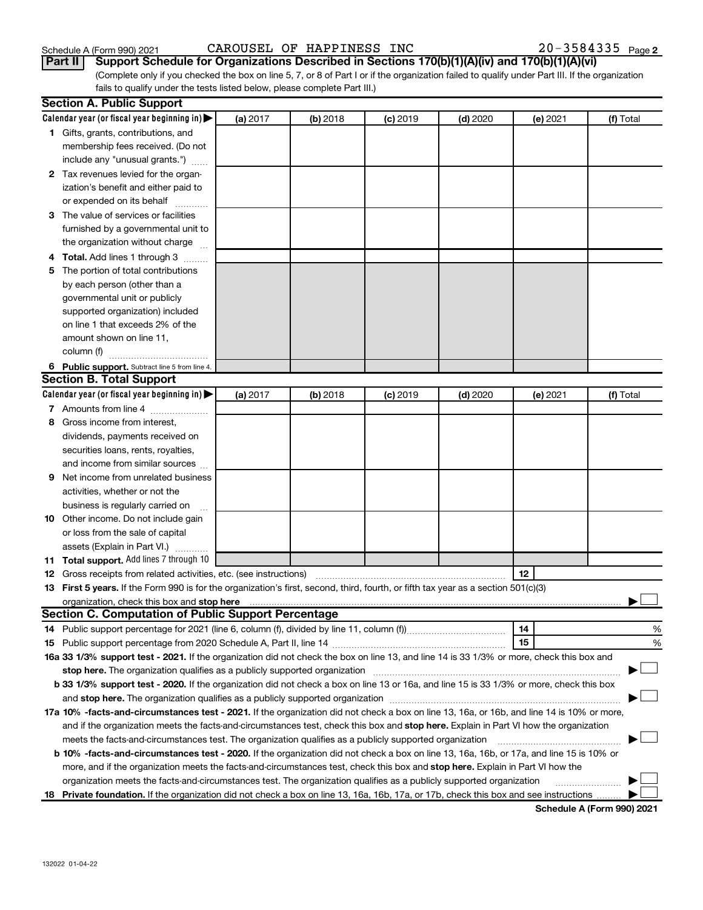| Schedule A (Form 990) 202 |  |  |
|---------------------------|--|--|
|                           |  |  |

Schedule A (Form 990) 2021  $\hbox{CAROUSEL OF HAPPINESS INC}$   $\hbox{NCC}$   $\hbox{20-3584335}$   $\hbox{Page}$ 

(Complete only if you checked the box on line 5, 7, or 8 of Part I or if the organization failed to qualify under Part III. If the organization fails to qualify under the tests listed below, please complete Part III.) **Part II Support Schedule for Organizations Described in Sections 170(b)(1)(A)(iv) and 170(b)(1)(A)(vi)**

|    | <b>Section A. Public Support</b>                                                                                                           |          |            |            |            |          |           |
|----|--------------------------------------------------------------------------------------------------------------------------------------------|----------|------------|------------|------------|----------|-----------|
|    | Calendar year (or fiscal year beginning in)                                                                                                | (a) 2017 | $(b)$ 2018 | $(c)$ 2019 | $(d)$ 2020 | (e) 2021 | (f) Total |
|    | 1 Gifts, grants, contributions, and                                                                                                        |          |            |            |            |          |           |
|    | membership fees received. (Do not                                                                                                          |          |            |            |            |          |           |
|    | include any "unusual grants.")                                                                                                             |          |            |            |            |          |           |
|    | 2 Tax revenues levied for the organ-                                                                                                       |          |            |            |            |          |           |
|    | ization's benefit and either paid to                                                                                                       |          |            |            |            |          |           |
|    | or expended on its behalf                                                                                                                  |          |            |            |            |          |           |
|    | 3 The value of services or facilities                                                                                                      |          |            |            |            |          |           |
|    | furnished by a governmental unit to                                                                                                        |          |            |            |            |          |           |
|    | the organization without charge                                                                                                            |          |            |            |            |          |           |
|    | <b>Total.</b> Add lines 1 through 3<br>.                                                                                                   |          |            |            |            |          |           |
| 5  | The portion of total contributions                                                                                                         |          |            |            |            |          |           |
|    | by each person (other than a                                                                                                               |          |            |            |            |          |           |
|    | governmental unit or publicly                                                                                                              |          |            |            |            |          |           |
|    | supported organization) included                                                                                                           |          |            |            |            |          |           |
|    | on line 1 that exceeds 2% of the                                                                                                           |          |            |            |            |          |           |
|    | amount shown on line 11,                                                                                                                   |          |            |            |            |          |           |
|    | column (f)                                                                                                                                 |          |            |            |            |          |           |
|    | 6 Public support. Subtract line 5 from line 4.                                                                                             |          |            |            |            |          |           |
|    | <b>Section B. Total Support</b>                                                                                                            |          |            |            |            |          |           |
|    | Calendar year (or fiscal year beginning in)                                                                                                | (a) 2017 | $(b)$ 2018 | $(c)$ 2019 | $(d)$ 2020 | (e) 2021 | (f) Total |
|    | 7 Amounts from line 4                                                                                                                      |          |            |            |            |          |           |
| 8  | Gross income from interest,                                                                                                                |          |            |            |            |          |           |
|    | dividends, payments received on                                                                                                            |          |            |            |            |          |           |
|    | securities loans, rents, royalties,                                                                                                        |          |            |            |            |          |           |
|    | and income from similar sources                                                                                                            |          |            |            |            |          |           |
| 9  | Net income from unrelated business                                                                                                         |          |            |            |            |          |           |
|    | activities, whether or not the                                                                                                             |          |            |            |            |          |           |
|    | business is regularly carried on                                                                                                           |          |            |            |            |          |           |
| 10 | Other income. Do not include gain                                                                                                          |          |            |            |            |          |           |
|    | or loss from the sale of capital                                                                                                           |          |            |            |            |          |           |
|    | assets (Explain in Part VI.)                                                                                                               |          |            |            |            |          |           |
|    | 11 Total support. Add lines 7 through 10                                                                                                   |          |            |            |            |          |           |
|    | <b>12</b> Gross receipts from related activities, etc. (see instructions)                                                                  |          |            |            |            | 12       |           |
|    | 13 First 5 years. If the Form 990 is for the organization's first, second, third, fourth, or fifth tax year as a section 501(c)(3)         |          |            |            |            |          |           |
|    | organization, check this box and stop here                                                                                                 |          |            |            |            |          |           |
|    | <b>Section C. Computation of Public Support Percentage</b>                                                                                 |          |            |            |            |          |           |
|    |                                                                                                                                            |          |            |            |            | 14       | %         |
|    |                                                                                                                                            |          |            |            |            | 15       | %         |
|    | 16a 33 1/3% support test - 2021. If the organization did not check the box on line 13, and line 14 is 33 1/3% or more, check this box and  |          |            |            |            |          |           |
|    | stop here. The organization qualifies as a publicly supported organization                                                                 |          |            |            |            |          |           |
|    | b 33 1/3% support test - 2020. If the organization did not check a box on line 13 or 16a, and line 15 is 33 1/3% or more, check this box   |          |            |            |            |          |           |
|    | and stop here. The organization qualifies as a publicly supported organization material content and stop here. The organization            |          |            |            |            |          |           |
|    | 17a 10% -facts-and-circumstances test - 2021. If the organization did not check a box on line 13, 16a, or 16b, and line 14 is 10% or more, |          |            |            |            |          |           |
|    | and if the organization meets the facts-and-circumstances test, check this box and stop here. Explain in Part VI how the organization      |          |            |            |            |          |           |
|    | meets the facts-and-circumstances test. The organization qualifies as a publicly supported organization                                    |          |            |            |            |          |           |
|    | b 10% -facts-and-circumstances test - 2020. If the organization did not check a box on line 13, 16a, 16b, or 17a, and line 15 is 10% or    |          |            |            |            |          |           |
|    | more, and if the organization meets the facts-and-circumstances test, check this box and stop here. Explain in Part VI how the             |          |            |            |            |          |           |
|    | organization meets the facts-and-circumstances test. The organization qualifies as a publicly supported organization                       |          |            |            |            |          |           |
| 18 | Private foundation. If the organization did not check a box on line 13, 16a, 16b, 17a, or 17b, check this box and see instructions         |          |            |            |            |          |           |
|    |                                                                                                                                            |          |            |            |            |          |           |

**Schedule A (Form 990) 2021**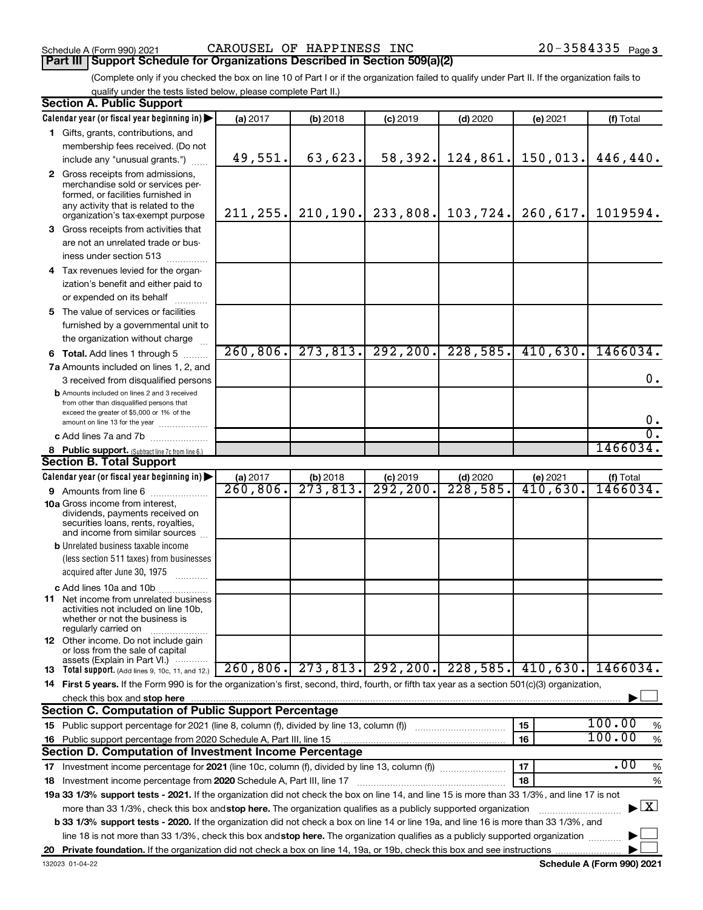## **Part III** | Support Schedule for Organizations Described in Section 509(a)(2) <br>**Part III** | Support Schedule for Organizations Described in Section 509(a)(2)

(Complete only if you checked the box on line 10 of Part I or if the organization failed to qualify under Part II. If the organization fails to qualify under the tests listed below, please complete Part II.)

| <b>Section A. Public Support</b>                                                                                                                 |           |                        |                      |                      |                                              |                                          |
|--------------------------------------------------------------------------------------------------------------------------------------------------|-----------|------------------------|----------------------|----------------------|----------------------------------------------|------------------------------------------|
| Calendar year (or fiscal year beginning in)                                                                                                      | (a) 2017  | (b) 2018               | $(c)$ 2019           | $(d)$ 2020           | (e) 2021                                     | (f) Total                                |
| 1 Gifts, grants, contributions, and                                                                                                              |           |                        |                      |                      |                                              |                                          |
| membership fees received. (Do not                                                                                                                |           |                        |                      |                      |                                              |                                          |
| include any "unusual grants.")                                                                                                                   | 49,551.   | 63,623.                | 58, 392.             | 124,861.             | 150,013.                                     | 446,440.                                 |
| 2 Gross receipts from admissions,                                                                                                                |           |                        |                      |                      |                                              |                                          |
| merchandise sold or services per-                                                                                                                |           |                        |                      |                      |                                              |                                          |
| formed, or facilities furnished in                                                                                                               |           |                        |                      |                      |                                              |                                          |
| any activity that is related to the<br>organization's tax-exempt purpose                                                                         | 211, 255. | 210, 190.              | 233,808.             | 103,724.             | 260,617.                                     | 1019594.                                 |
| <b>3</b> Gross receipts from activities that                                                                                                     |           |                        |                      |                      |                                              |                                          |
| are not an unrelated trade or bus-                                                                                                               |           |                        |                      |                      |                                              |                                          |
| iness under section 513                                                                                                                          |           |                        |                      |                      |                                              |                                          |
| 4 Tax revenues levied for the organ-                                                                                                             |           |                        |                      |                      |                                              |                                          |
| ization's benefit and either paid to                                                                                                             |           |                        |                      |                      |                                              |                                          |
|                                                                                                                                                  |           |                        |                      |                      |                                              |                                          |
| or expended on its behalf                                                                                                                        |           |                        |                      |                      |                                              |                                          |
| 5 The value of services or facilities                                                                                                            |           |                        |                      |                      |                                              |                                          |
| furnished by a governmental unit to                                                                                                              |           |                        |                      |                      |                                              |                                          |
| the organization without charge                                                                                                                  |           |                        |                      |                      |                                              | 1466034.                                 |
| <b>6 Total.</b> Add lines 1 through 5                                                                                                            | 260, 806. | 273,813.               | 292, 200.            | 228,585.             | 410,630.                                     |                                          |
| 7a Amounts included on lines 1, 2, and                                                                                                           |           |                        |                      |                      |                                              |                                          |
| 3 received from disqualified persons                                                                                                             |           |                        |                      |                      |                                              | 0.                                       |
| <b>b</b> Amounts included on lines 2 and 3 received<br>from other than disqualified persons that                                                 |           |                        |                      |                      |                                              |                                          |
| exceed the greater of \$5,000 or 1% of the                                                                                                       |           |                        |                      |                      |                                              |                                          |
| amount on line 13 for the year                                                                                                                   |           |                        |                      |                      |                                              | $\mathbf 0$ .                            |
| c Add lines 7a and 7b                                                                                                                            |           |                        |                      |                      |                                              | σ.                                       |
| 8 Public support. (Subtract line 7c from line 6.)                                                                                                |           |                        |                      |                      |                                              | 1466034.                                 |
| <b>Section B. Total Support</b>                                                                                                                  |           |                        |                      |                      |                                              |                                          |
| Calendar year (or fiscal year beginning in)                                                                                                      | (a) 2017  | (b) 2018               | $(c)$ 2019           | $(d)$ 2020           | (e) 2021                                     | (f) Total                                |
| 9 Amounts from line 6                                                                                                                            | 260,806.  | $\overline{273,813}$ . | $\overline{292,200}$ | $\overline{228,585}$ | 410,630.                                     | 1466034.                                 |
| <b>10a</b> Gross income from interest,                                                                                                           |           |                        |                      |                      |                                              |                                          |
| dividends, payments received on<br>securities loans, rents, royalties,                                                                           |           |                        |                      |                      |                                              |                                          |
| and income from similar sources                                                                                                                  |           |                        |                      |                      |                                              |                                          |
| <b>b</b> Unrelated business taxable income                                                                                                       |           |                        |                      |                      |                                              |                                          |
| (less section 511 taxes) from businesses                                                                                                         |           |                        |                      |                      |                                              |                                          |
| acquired after June 30, 1975<br>1.1.1.1.1.1.1.1.1                                                                                                |           |                        |                      |                      |                                              |                                          |
| c Add lines 10a and 10b                                                                                                                          |           |                        |                      |                      |                                              |                                          |
| <b>11</b> Net income from unrelated business                                                                                                     |           |                        |                      |                      |                                              |                                          |
| activities not included on line 10b,                                                                                                             |           |                        |                      |                      |                                              |                                          |
| whether or not the business is<br>regularly carried on                                                                                           |           |                        |                      |                      |                                              |                                          |
| 12 Other income. Do not include gain                                                                                                             |           |                        |                      |                      |                                              |                                          |
| or loss from the sale of capital                                                                                                                 |           |                        |                      |                      |                                              |                                          |
| assets (Explain in Part VI.)<br><b>13</b> Total support. (Add lines 9, 10c, 11, and 12.)                                                         |           |                        |                      |                      | 260,806. 273,813. 292,200. 228,585. 410,630. | 1466034.                                 |
| 14 First 5 years. If the Form 990 is for the organization's first, second, third, fourth, or fifth tax year as a section 501(c)(3) organization, |           |                        |                      |                      |                                              |                                          |
| check this box and stop here                                                                                                                     |           |                        |                      |                      |                                              |                                          |
| <b>Section C. Computation of Public Support Percentage</b>                                                                                       |           |                        |                      |                      |                                              |                                          |
|                                                                                                                                                  |           |                        |                      |                      | 15                                           | 100.00<br>%                              |
| 16 Public support percentage from 2020 Schedule A, Part III, line 15                                                                             |           |                        |                      |                      | 16                                           | 100.00<br>$\%$                           |
| Section D. Computation of Investment Income Percentage                                                                                           |           |                        |                      |                      |                                              |                                          |
| 17 Investment income percentage for 2021 (line 10c, column (f), divided by line 13, column (f))                                                  |           |                        |                      |                      | 17                                           | .00<br>$\%$                              |
| 18 Investment income percentage from 2020 Schedule A, Part III, line 17                                                                          |           |                        |                      |                      | 18                                           | $\%$                                     |
|                                                                                                                                                  |           |                        |                      |                      |                                              |                                          |
| 19a 33 1/3% support tests - 2021. If the organization did not check the box on line 14, and line 15 is more than 33 1/3%, and line 17 is not     |           |                        |                      |                      |                                              | $\blacktriangleright$ $\boxed{\text{X}}$ |
| more than 33 1/3%, check this box and stop here. The organization qualifies as a publicly supported organization                                 |           |                        |                      |                      |                                              |                                          |
| b 33 1/3% support tests - 2020. If the organization did not check a box on line 14 or line 19a, and line 16 is more than 33 1/3%, and            |           |                        |                      |                      |                                              |                                          |
| line 18 is not more than 33 1/3%, check this box and stop here. The organization qualifies as a publicly supported organization                  |           |                        |                      |                      |                                              |                                          |
|                                                                                                                                                  |           |                        |                      |                      |                                              |                                          |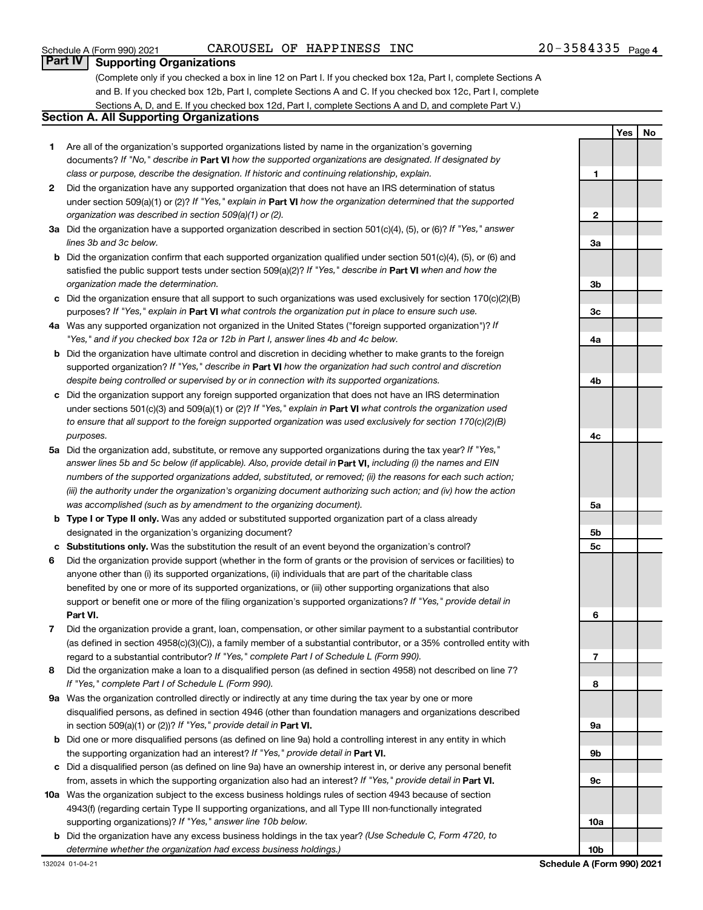### Schedule A (Form 990) 2021  $\hbox{CAROUSEL OF HAPPINESS INC}$   $\hbox{NCC}$   $\hbox{20-3584335}$   $\hbox{Page}$

#### **Part IV Supporting Organizations**

(Complete only if you checked a box in line 12 on Part I. If you checked box 12a, Part I, complete Sections A and B. If you checked box 12b, Part I, complete Sections A and C. If you checked box 12c, Part I, complete Sections A, D, and E. If you checked box 12d, Part I, complete Sections A and D, and complete Part V.)

#### **Section A. All Supporting Organizations**

- **1** Are all of the organization's supported organizations listed by name in the organization's governing documents? If "No," describe in Part VI how the supported organizations are designated. If designated by *class or purpose, describe the designation. If historic and continuing relationship, explain.*
- **2** Did the organization have any supported organization that does not have an IRS determination of status under section 509(a)(1) or (2)? If "Yes," explain in Part **VI** how the organization determined that the supported *organization was described in section 509(a)(1) or (2).*
- **3a** Did the organization have a supported organization described in section 501(c)(4), (5), or (6)? If "Yes," answer *lines 3b and 3c below.*
- **b** Did the organization confirm that each supported organization qualified under section 501(c)(4), (5), or (6) and satisfied the public support tests under section 509(a)(2)? If "Yes," describe in Part VI when and how the *organization made the determination.*
- **c** Did the organization ensure that all support to such organizations was used exclusively for section 170(c)(2)(B) purposes? If "Yes," explain in Part VI what controls the organization put in place to ensure such use.
- **4 a** *If* Was any supported organization not organized in the United States ("foreign supported organization")? *"Yes," and if you checked box 12a or 12b in Part I, answer lines 4b and 4c below.*
- **b** Did the organization have ultimate control and discretion in deciding whether to make grants to the foreign supported organization? If "Yes," describe in Part VI how the organization had such control and discretion *despite being controlled or supervised by or in connection with its supported organizations.*
- **c** Did the organization support any foreign supported organization that does not have an IRS determination under sections 501(c)(3) and 509(a)(1) or (2)? If "Yes," explain in Part VI what controls the organization used *to ensure that all support to the foreign supported organization was used exclusively for section 170(c)(2)(B) purposes.*
- **5a** Did the organization add, substitute, or remove any supported organizations during the tax year? If "Yes," answer lines 5b and 5c below (if applicable). Also, provide detail in **Part VI,** including (i) the names and EIN *numbers of the supported organizations added, substituted, or removed; (ii) the reasons for each such action; (iii) the authority under the organization's organizing document authorizing such action; and (iv) how the action was accomplished (such as by amendment to the organizing document).*
- **b** Type I or Type II only. Was any added or substituted supported organization part of a class already designated in the organization's organizing document?
- **c Substitutions only.**  Was the substitution the result of an event beyond the organization's control?
- **6** Did the organization provide support (whether in the form of grants or the provision of services or facilities) to **Part VI.** support or benefit one or more of the filing organization's supported organizations? If "Yes," provide detail in anyone other than (i) its supported organizations, (ii) individuals that are part of the charitable class benefited by one or more of its supported organizations, or (iii) other supporting organizations that also
- **7** Did the organization provide a grant, loan, compensation, or other similar payment to a substantial contributor regard to a substantial contributor? If "Yes," complete Part I of Schedule L (Form 990). (as defined in section 4958(c)(3)(C)), a family member of a substantial contributor, or a 35% controlled entity with
- **8** Did the organization make a loan to a disqualified person (as defined in section 4958) not described on line 7? *If "Yes," complete Part I of Schedule L (Form 990).*
- **9 a** Was the organization controlled directly or indirectly at any time during the tax year by one or more in section 509(a)(1) or (2))? If "Yes," provide detail in **Part VI.** disqualified persons, as defined in section 4946 (other than foundation managers and organizations described
- **b** Did one or more disqualified persons (as defined on line 9a) hold a controlling interest in any entity in which the supporting organization had an interest? If "Yes," provide detail in Part VI.
- **c** Did a disqualified person (as defined on line 9a) have an ownership interest in, or derive any personal benefit from, assets in which the supporting organization also had an interest? If "Yes," provide detail in Part VI.
- **10 a** Was the organization subject to the excess business holdings rules of section 4943 because of section supporting organizations)? If "Yes," answer line 10b below. 4943(f) (regarding certain Type II supporting organizations, and all Type III non-functionally integrated
	- **b** Did the organization have any excess business holdings in the tax year? (Use Schedule C, Form 4720, to *determine whether the organization had excess business holdings.)*

|                         | <b>Yes</b> | $\sqrt{\phantom{a}}$ No |
|-------------------------|------------|-------------------------|
|                         |            |                         |
|                         |            |                         |
|                         |            |                         |
| 1                       |            |                         |
|                         |            |                         |
|                         |            |                         |
| $\overline{\mathbf{c}}$ |            |                         |
|                         |            |                         |
| Зa                      |            |                         |
|                         |            |                         |
|                         |            |                         |
|                         |            |                         |
| 3b                      |            |                         |
|                         |            |                         |
| 3c                      |            |                         |
|                         |            |                         |
| 4a                      |            |                         |
|                         |            |                         |
|                         |            |                         |
|                         |            |                         |
| 4b                      |            |                         |
|                         |            |                         |
|                         |            |                         |
|                         |            |                         |
| 4 <sub>c</sub>          |            |                         |
|                         |            |                         |
|                         |            |                         |
|                         |            |                         |
|                         |            |                         |
|                         |            |                         |
| 5a                      |            |                         |
|                         |            |                         |
| 5b                      |            |                         |
| 5c                      |            |                         |
|                         |            |                         |
|                         |            |                         |
|                         |            |                         |
|                         |            |                         |
|                         |            |                         |
| 6                       |            |                         |
|                         |            |                         |
|                         |            |                         |
| 7                       |            |                         |
|                         |            |                         |
| 8                       |            |                         |
|                         |            |                         |
|                         |            |                         |
|                         |            |                         |
| 9a                      |            |                         |
|                         |            |                         |
| 9b                      |            |                         |
|                         |            |                         |
| 9с                      |            |                         |
|                         |            |                         |
|                         |            |                         |
|                         |            |                         |
| 10a                     |            |                         |
|                         |            |                         |
| 10 <sub>b</sub>         |            |                         |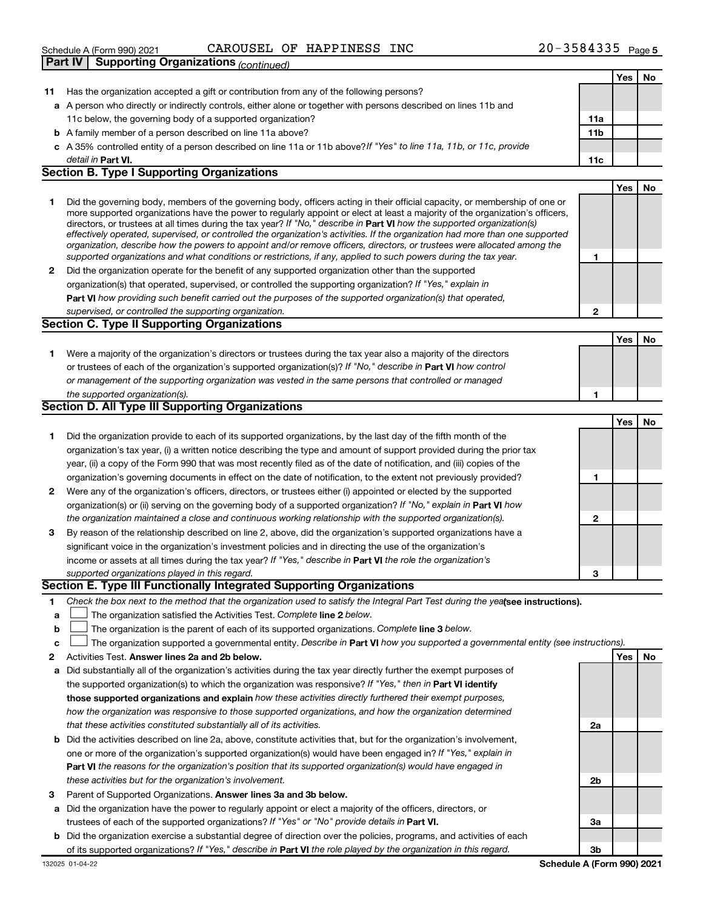| Schedule A (Form 990) 2021 |  | CAROUSEL OF HAPPINESS INC | 3584335<br>$20 -$ | Page 5 |
|----------------------------|--|---------------------------|-------------------|--------|
|                            |  |                           |                   |        |

|              | Part IV   Supporting Organizations (continued)                                                                                                                                                                                                                                                                                                                                                                                                                                                                                                                                                                                                       |                 |     |    |
|--------------|------------------------------------------------------------------------------------------------------------------------------------------------------------------------------------------------------------------------------------------------------------------------------------------------------------------------------------------------------------------------------------------------------------------------------------------------------------------------------------------------------------------------------------------------------------------------------------------------------------------------------------------------------|-----------------|-----|----|
|              |                                                                                                                                                                                                                                                                                                                                                                                                                                                                                                                                                                                                                                                      |                 | Yes | No |
| 11           | Has the organization accepted a gift or contribution from any of the following persons?                                                                                                                                                                                                                                                                                                                                                                                                                                                                                                                                                              |                 |     |    |
|              | a A person who directly or indirectly controls, either alone or together with persons described on lines 11b and                                                                                                                                                                                                                                                                                                                                                                                                                                                                                                                                     |                 |     |    |
|              | 11c below, the governing body of a supported organization?                                                                                                                                                                                                                                                                                                                                                                                                                                                                                                                                                                                           | 11a             |     |    |
|              | <b>b</b> A family member of a person described on line 11a above?                                                                                                                                                                                                                                                                                                                                                                                                                                                                                                                                                                                    | 11 <sub>b</sub> |     |    |
|              | c A 35% controlled entity of a person described on line 11a or 11b above?If "Yes" to line 11a, 11b, or 11c, provide                                                                                                                                                                                                                                                                                                                                                                                                                                                                                                                                  |                 |     |    |
|              | detail in Part VI.                                                                                                                                                                                                                                                                                                                                                                                                                                                                                                                                                                                                                                   | 11c             |     |    |
|              | <b>Section B. Type I Supporting Organizations</b>                                                                                                                                                                                                                                                                                                                                                                                                                                                                                                                                                                                                    |                 |     |    |
|              |                                                                                                                                                                                                                                                                                                                                                                                                                                                                                                                                                                                                                                                      |                 | Yes | No |
| 1.           | Did the governing body, members of the governing body, officers acting in their official capacity, or membership of one or<br>more supported organizations have the power to regularly appoint or elect at least a majority of the organization's officers,<br>directors, or trustees at all times during the tax year? If "No," describe in Part VI how the supported organization(s)<br>effectively operated, supervised, or controlled the organization's activities. If the organization had more than one supported<br>organization, describe how the powers to appoint and/or remove officers, directors, or trustees were allocated among the |                 |     |    |
|              | supported organizations and what conditions or restrictions, if any, applied to such powers during the tax year.                                                                                                                                                                                                                                                                                                                                                                                                                                                                                                                                     | 1               |     |    |
| $\mathbf{2}$ | Did the organization operate for the benefit of any supported organization other than the supported                                                                                                                                                                                                                                                                                                                                                                                                                                                                                                                                                  |                 |     |    |
|              | organization(s) that operated, supervised, or controlled the supporting organization? If "Yes," explain in                                                                                                                                                                                                                                                                                                                                                                                                                                                                                                                                           |                 |     |    |
|              | Part VI how providing such benefit carried out the purposes of the supported organization(s) that operated,                                                                                                                                                                                                                                                                                                                                                                                                                                                                                                                                          |                 |     |    |
|              | supervised, or controlled the supporting organization.                                                                                                                                                                                                                                                                                                                                                                                                                                                                                                                                                                                               | $\mathbf{2}$    |     |    |
|              | <b>Section C. Type II Supporting Organizations</b>                                                                                                                                                                                                                                                                                                                                                                                                                                                                                                                                                                                                   |                 |     |    |
|              |                                                                                                                                                                                                                                                                                                                                                                                                                                                                                                                                                                                                                                                      |                 | Yes | No |
| 1.           | Were a majority of the organization's directors or trustees during the tax year also a majority of the directors                                                                                                                                                                                                                                                                                                                                                                                                                                                                                                                                     |                 |     |    |
|              | or trustees of each of the organization's supported organization(s)? If "No," describe in Part VI how control                                                                                                                                                                                                                                                                                                                                                                                                                                                                                                                                        |                 |     |    |
|              | or management of the supporting organization was vested in the same persons that controlled or managed                                                                                                                                                                                                                                                                                                                                                                                                                                                                                                                                               |                 |     |    |
|              | the supported organization(s).                                                                                                                                                                                                                                                                                                                                                                                                                                                                                                                                                                                                                       | 1               |     |    |
|              | <b>Section D. All Type III Supporting Organizations</b>                                                                                                                                                                                                                                                                                                                                                                                                                                                                                                                                                                                              |                 |     |    |
|              |                                                                                                                                                                                                                                                                                                                                                                                                                                                                                                                                                                                                                                                      |                 | Yes | No |
| 1.           | Did the organization provide to each of its supported organizations, by the last day of the fifth month of the                                                                                                                                                                                                                                                                                                                                                                                                                                                                                                                                       |                 |     |    |
|              | organization's tax year, (i) a written notice describing the type and amount of support provided during the prior tax                                                                                                                                                                                                                                                                                                                                                                                                                                                                                                                                |                 |     |    |
|              | year, (ii) a copy of the Form 990 that was most recently filed as of the date of notification, and (iii) copies of the                                                                                                                                                                                                                                                                                                                                                                                                                                                                                                                               |                 |     |    |
|              | organization's governing documents in effect on the date of notification, to the extent not previously provided?                                                                                                                                                                                                                                                                                                                                                                                                                                                                                                                                     | 1               |     |    |
| 2            | Were any of the organization's officers, directors, or trustees either (i) appointed or elected by the supported                                                                                                                                                                                                                                                                                                                                                                                                                                                                                                                                     |                 |     |    |
|              | organization(s) or (ii) serving on the governing body of a supported organization? If "No," explain in Part VI how                                                                                                                                                                                                                                                                                                                                                                                                                                                                                                                                   |                 |     |    |
|              | the organization maintained a close and continuous working relationship with the supported organization(s).                                                                                                                                                                                                                                                                                                                                                                                                                                                                                                                                          | $\mathbf{2}$    |     |    |
| 3            | By reason of the relationship described on line 2, above, did the organization's supported organizations have a                                                                                                                                                                                                                                                                                                                                                                                                                                                                                                                                      |                 |     |    |
|              | significant voice in the organization's investment policies and in directing the use of the organization's                                                                                                                                                                                                                                                                                                                                                                                                                                                                                                                                           |                 |     |    |
|              | income or assets at all times during the tax year? If "Yes," describe in Part VI the role the organization's                                                                                                                                                                                                                                                                                                                                                                                                                                                                                                                                         |                 |     |    |
|              | supported organizations played in this regard.                                                                                                                                                                                                                                                                                                                                                                                                                                                                                                                                                                                                       | з               |     |    |
|              | Section E. Type III Functionally Integrated Supporting Organizations                                                                                                                                                                                                                                                                                                                                                                                                                                                                                                                                                                                 |                 |     |    |
| 1.           | Check the box next to the method that the organization used to satisfy the Integral Part Test during the yealsee instructions).                                                                                                                                                                                                                                                                                                                                                                                                                                                                                                                      |                 |     |    |
| a            | The organization satisfied the Activities Test. Complete line 2 below.                                                                                                                                                                                                                                                                                                                                                                                                                                                                                                                                                                               |                 |     |    |
| b            | The organization is the parent of each of its supported organizations. Complete line 3 below.                                                                                                                                                                                                                                                                                                                                                                                                                                                                                                                                                        |                 |     |    |
| c            | The organization supported a governmental entity. Describe in Part VI how you supported a governmental entity (see instructions).                                                                                                                                                                                                                                                                                                                                                                                                                                                                                                                    |                 |     |    |
| 2            | Activities Test. Answer lines 2a and 2b below.                                                                                                                                                                                                                                                                                                                                                                                                                                                                                                                                                                                                       |                 | Yes | No |
| а            | Did substantially all of the organization's activities during the tax year directly further the exempt purposes of                                                                                                                                                                                                                                                                                                                                                                                                                                                                                                                                   |                 |     |    |
|              | the supported organization(s) to which the organization was responsive? If "Yes," then in Part VI identify                                                                                                                                                                                                                                                                                                                                                                                                                                                                                                                                           |                 |     |    |
|              | those supported organizations and explain how these activities directly furthered their exempt purposes,                                                                                                                                                                                                                                                                                                                                                                                                                                                                                                                                             |                 |     |    |
|              | how the organization was responsive to those supported organizations, and how the organization determined                                                                                                                                                                                                                                                                                                                                                                                                                                                                                                                                            |                 |     |    |
|              | that these activities constituted substantially all of its activities.                                                                                                                                                                                                                                                                                                                                                                                                                                                                                                                                                                               | 2a              |     |    |
|              | <b>b</b> Did the activities described on line 2a, above, constitute activities that, but for the organization's involvement,                                                                                                                                                                                                                                                                                                                                                                                                                                                                                                                         |                 |     |    |
|              | one or more of the organization's supported organization(s) would have been engaged in? If "Yes," explain in                                                                                                                                                                                                                                                                                                                                                                                                                                                                                                                                         |                 |     |    |
|              | Part VI the reasons for the organization's position that its supported organization(s) would have engaged in                                                                                                                                                                                                                                                                                                                                                                                                                                                                                                                                         |                 |     |    |
|              | these activities but for the organization's involvement.                                                                                                                                                                                                                                                                                                                                                                                                                                                                                                                                                                                             | 2b              |     |    |
| 3            | Parent of Supported Organizations. Answer lines 3a and 3b below.                                                                                                                                                                                                                                                                                                                                                                                                                                                                                                                                                                                     |                 |     |    |
|              | a Did the organization have the power to regularly appoint or elect a majority of the officers, directors, or                                                                                                                                                                                                                                                                                                                                                                                                                                                                                                                                        |                 |     |    |
|              | trustees of each of the supported organizations? If "Yes" or "No" provide details in Part VI.                                                                                                                                                                                                                                                                                                                                                                                                                                                                                                                                                        | За              |     |    |

**b** Did the organization exercise a substantial degree of direction over the policies, programs, and activities of each trustees of each of the supported organizations? If "Yes" or "No" provide details in Part VI. of its supported organizations? If "Yes," describe in Part VI the role played by the organization in this regard.

**3b Schedule A (Form 990) 2021**

132025 01-04-22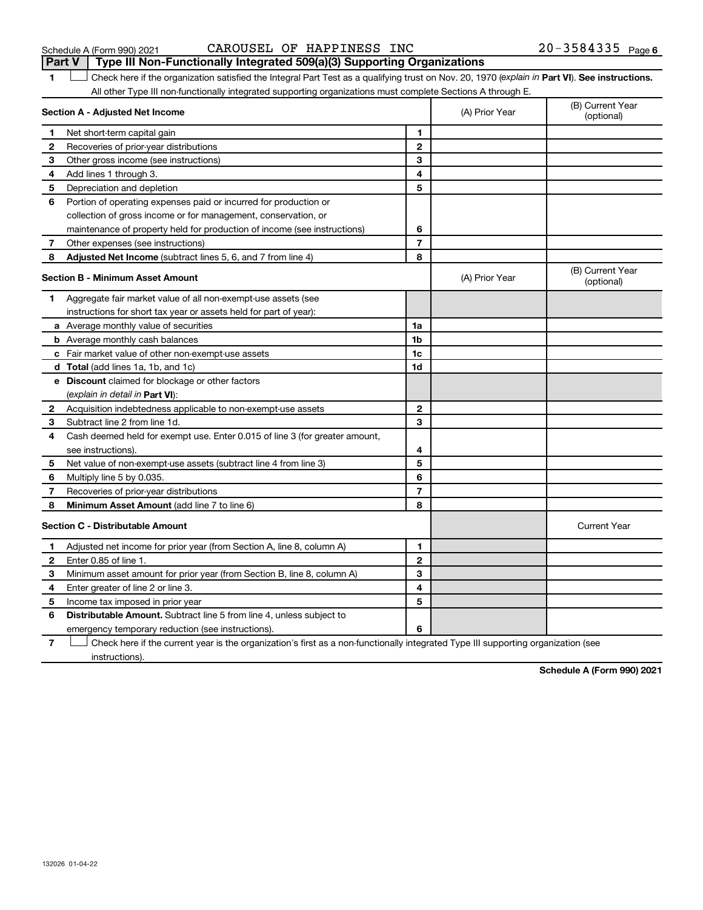#### Schedule A (Form 990) 2021  $\hbox{CAROUSEL OF HAPPINESS INC}$   $\hbox{NCC}$   $\hbox{20-3584335}$   $\hbox{Page}$ **Part V Type III Non-Functionally Integrated 509(a)(3) Supporting Organizations**

1 **Letter See instructions.** Check here if the organization satisfied the Integral Part Test as a qualifying trust on Nov. 20, 1970 (*explain in* Part **VI**). See instructions. All other Type III non-functionally integrated supporting organizations must complete Sections A through E.

|                | Section A - Adjusted Net Income                                                                                                   |                | (A) Prior Year | (B) Current Year<br>(optional) |  |  |  |
|----------------|-----------------------------------------------------------------------------------------------------------------------------------|----------------|----------------|--------------------------------|--|--|--|
| 1              | Net short-term capital gain                                                                                                       | 1              |                |                                |  |  |  |
| $\mathbf{2}$   | Recoveries of prior-year distributions                                                                                            | $\mathbf{2}$   |                |                                |  |  |  |
| 3              | Other gross income (see instructions)                                                                                             | 3              |                |                                |  |  |  |
| 4              | Add lines 1 through 3.                                                                                                            | 4              |                |                                |  |  |  |
| 5              | Depreciation and depletion                                                                                                        | 5              |                |                                |  |  |  |
| 6              | Portion of operating expenses paid or incurred for production or                                                                  |                |                |                                |  |  |  |
|                | collection of gross income or for management, conservation, or                                                                    |                |                |                                |  |  |  |
|                | maintenance of property held for production of income (see instructions)                                                          | 6              |                |                                |  |  |  |
| $\overline{7}$ | Other expenses (see instructions)                                                                                                 | $\overline{7}$ |                |                                |  |  |  |
| 8              | Adjusted Net Income (subtract lines 5, 6, and 7 from line 4)                                                                      | 8              |                |                                |  |  |  |
|                | <b>Section B - Minimum Asset Amount</b>                                                                                           |                | (A) Prior Year | (B) Current Year<br>(optional) |  |  |  |
| 1              | Aggregate fair market value of all non-exempt-use assets (see                                                                     |                |                |                                |  |  |  |
|                | instructions for short tax year or assets held for part of year):                                                                 |                |                |                                |  |  |  |
|                | <b>a</b> Average monthly value of securities                                                                                      | 1a             |                |                                |  |  |  |
|                | <b>b</b> Average monthly cash balances                                                                                            | 1 <sub>b</sub> |                |                                |  |  |  |
|                | c Fair market value of other non-exempt-use assets                                                                                | 1c             |                |                                |  |  |  |
|                | <b>d</b> Total (add lines 1a, 1b, and 1c)                                                                                         | 1d             |                |                                |  |  |  |
|                | e Discount claimed for blockage or other factors                                                                                  |                |                |                                |  |  |  |
|                | (explain in detail in <b>Part VI</b> ):                                                                                           |                |                |                                |  |  |  |
| 2              | Acquisition indebtedness applicable to non-exempt-use assets                                                                      | $\mathbf{2}$   |                |                                |  |  |  |
| 3              | Subtract line 2 from line 1d.                                                                                                     | 3              |                |                                |  |  |  |
| 4              | Cash deemed held for exempt use. Enter 0.015 of line 3 (for greater amount,                                                       |                |                |                                |  |  |  |
|                | see instructions).                                                                                                                | 4              |                |                                |  |  |  |
| 5              | Net value of non-exempt-use assets (subtract line 4 from line 3)                                                                  | 5              |                |                                |  |  |  |
| 6              | Multiply line 5 by 0.035.                                                                                                         | 6              |                |                                |  |  |  |
| 7              | Recoveries of prior-year distributions                                                                                            | $\overline{7}$ |                |                                |  |  |  |
| 8              | <b>Minimum Asset Amount (add line 7 to line 6)</b>                                                                                | 8              |                |                                |  |  |  |
|                | <b>Section C - Distributable Amount</b>                                                                                           |                |                | <b>Current Year</b>            |  |  |  |
| 1              | Adjusted net income for prior year (from Section A, line 8, column A)                                                             | 1              |                |                                |  |  |  |
| 2              | Enter 0.85 of line 1.                                                                                                             | $\mathbf{2}$   |                |                                |  |  |  |
| 3              | Minimum asset amount for prior year (from Section B, line 8, column A)                                                            | 3              |                |                                |  |  |  |
| 4              | Enter greater of line 2 or line 3.                                                                                                | 4              |                |                                |  |  |  |
| 5              | Income tax imposed in prior year                                                                                                  | 5              |                |                                |  |  |  |
| 6              | <b>Distributable Amount.</b> Subtract line 5 from line 4, unless subject to                                                       |                |                |                                |  |  |  |
|                | emergency temporary reduction (see instructions).                                                                                 | 6              |                |                                |  |  |  |
| $\overline{7}$ | Check here if the current year is the organization's first as a non-functionally integrated Type III supporting organization (see |                |                |                                |  |  |  |

instructions).

**Schedule A (Form 990) 2021**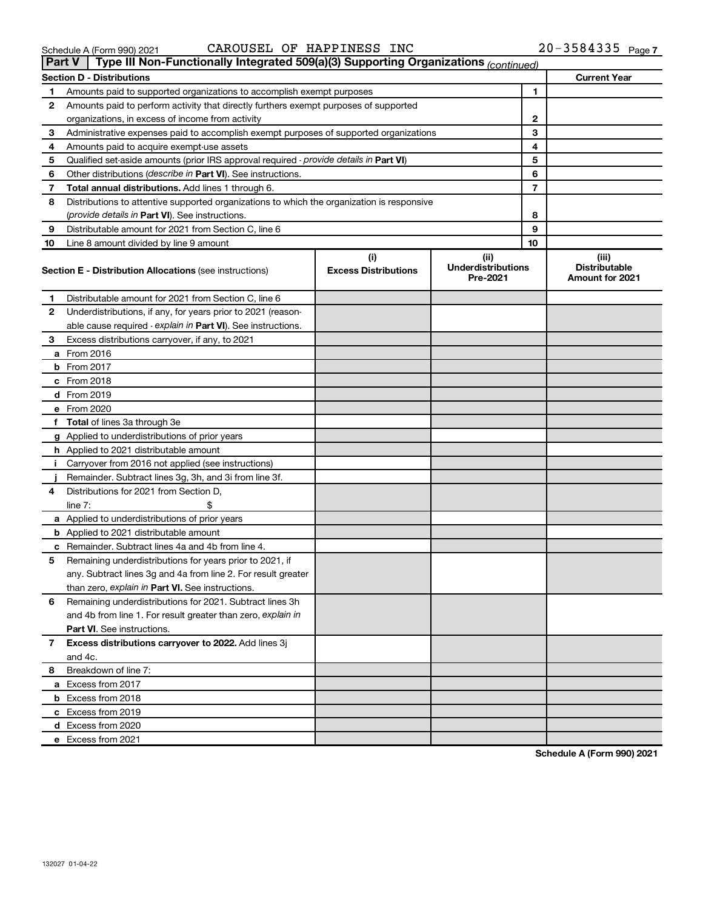| Schedule A (Form 990) 2021 |  |
|----------------------------|--|
|                            |  |

| Schedule A (Form 990) 2021 | $20 - 3584335$ Page 7<br>CAROUSEL OF HAPPINESS INC |
|----------------------------|----------------------------------------------------|
|----------------------------|----------------------------------------------------|

#### **Section D - Distributions Current Year 1 2 3 4 5 6 7 8 9 10 1 2 3 4 5 6 7 8 9 10** Qualified set-aside amounts (prior IRS approval required - provide details in Part VI) Other distributions (describe in Part VI). See instructions. **Total annual distributions.** Add lines 1 through 6. (provide details in Part VI). See instructions. **(i) Excess Distributions (ii) Underdistributions Pre-2021 (iii) Distributable**<br>**Amount for 2021** Section E - Distribution Allocations (see instructions) **Bection E - Distributions (See instructions** Excess Distributions Pre-2021 Amount for 2021 **1 2 3 4 5 6** Remaining underdistributions for 2021. Subtract lines 3h **7 8** Breakdown of line 7: able cause required - explain in Part VI). See instructions. **a** From 2016 **b** From 2017 **c** From 2018 **d** From 2019 **e** From 2020 **f Total**  of lines 3a through 3e **g** Applied to underdistributions of prior years **h** Applied to 2021 distributable amount **i** Carryover from 2016 not applied (see instructions) **j a** Applied to underdistributions of prior years **b** Applied to 2021 distributable amount **c** Remainder. Subtract lines 4a and 4b from line 4. than zero, explain in Part VI. See instructions. **Part VI** . See instructions. **Excess distributions carryover to 2022.**  Add lines 3j **a** Excess from 2017 **b** Excess from 2018 **c** Excess from 2019 **d** Excess from 2020 **e** Excess from 2021 and 4b from line 1. For result greater than zero, explain in Amounts paid to supported organizations to accomplish exempt purposes Amounts paid to perform activity that directly furthers exempt purposes of supported organizations, in excess of income from activity Administrative expenses paid to accomplish exempt purposes of supported organizations Amounts paid to acquire exempt-use assets Distributions to attentive supported organizations to which the organization is responsive Distributable amount for 2021 from Section C, line 6 Line 8 amount divided by line 9 amount Distributable amount for 2021 from Section C, line 6 Underdistributions, if any, for years prior to 2021 (reason-Excess distributions carryover, if any, to 2021 Remainder. Subtract lines 3g, 3h, and 3i from line 3f. Distributions for 2021 from Section D,  $line 7:$   $\frac{1}{2}$ Remaining underdistributions for years prior to 2021, if any. Subtract lines 3g and 4a from line 2. For result greater and 4c. **Part V Type III Non-Functionally Integrated 509(a)(3) Supporting Organizations** *(continued)*

**Schedule A (Form 990) 2021**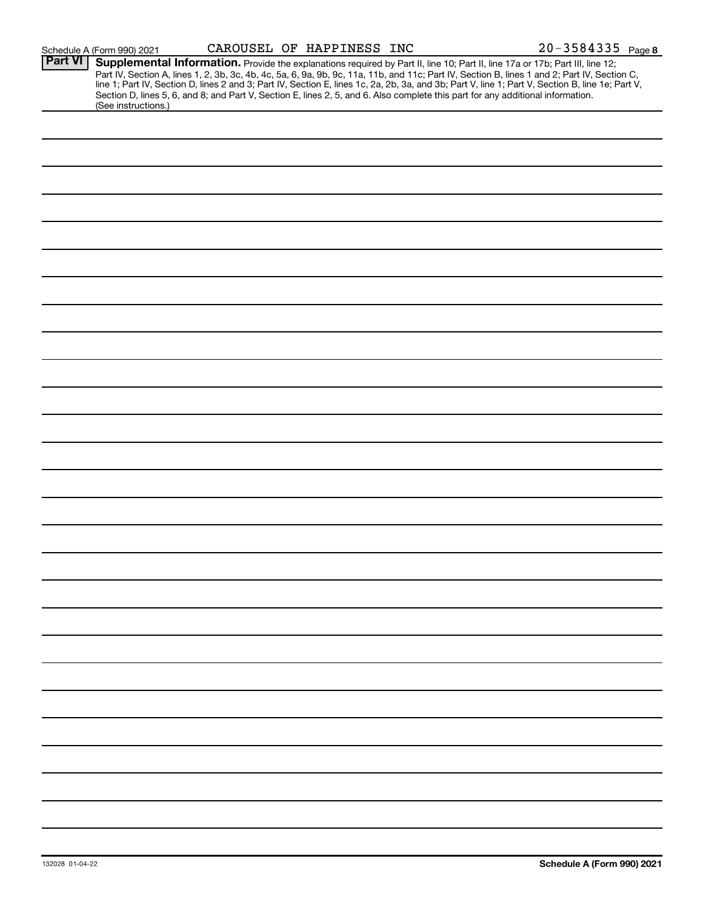| Schedule A (Form 990) 2021 |  |  |
|----------------------------|--|--|
|----------------------------|--|--|

| <b>Part VI</b> | Supplemental Information. Provide the explanations required by Part II, line 10; Part II, line 17a or 17b; Part III, line 12;                    |  |  |  |
|----------------|--------------------------------------------------------------------------------------------------------------------------------------------------|--|--|--|
|                | Part IV, Section A, lines 1, 2, 3b, 3c, 4b, 4c, 5a, 6, 9a, 9b, 9c, 11a, 11b, and 11c; Part IV, Section B, lines 1 and 2; Part IV, Section C,     |  |  |  |
|                | line 1; Part IV, Section D, lines 2 and 3; Part IV, Section E, lines 1c, 2a, 2b, 3a, and 3b; Part V, line 1; Part V, Section B, line 1e; Part V, |  |  |  |
|                | Section D, lines 5, 6, and 8; and Part V, Section E, lines 2, 5, and 6. Also complete this part for any additional information.                  |  |  |  |
|                | (See instructions.)                                                                                                                              |  |  |  |
|                |                                                                                                                                                  |  |  |  |
|                |                                                                                                                                                  |  |  |  |
|                |                                                                                                                                                  |  |  |  |
|                |                                                                                                                                                  |  |  |  |
|                |                                                                                                                                                  |  |  |  |
|                |                                                                                                                                                  |  |  |  |
|                |                                                                                                                                                  |  |  |  |
|                |                                                                                                                                                  |  |  |  |
|                |                                                                                                                                                  |  |  |  |
|                |                                                                                                                                                  |  |  |  |
|                |                                                                                                                                                  |  |  |  |
|                |                                                                                                                                                  |  |  |  |
|                |                                                                                                                                                  |  |  |  |
|                |                                                                                                                                                  |  |  |  |
|                |                                                                                                                                                  |  |  |  |
|                |                                                                                                                                                  |  |  |  |
|                |                                                                                                                                                  |  |  |  |
|                |                                                                                                                                                  |  |  |  |
|                |                                                                                                                                                  |  |  |  |
|                |                                                                                                                                                  |  |  |  |
|                |                                                                                                                                                  |  |  |  |
|                |                                                                                                                                                  |  |  |  |
|                |                                                                                                                                                  |  |  |  |
|                |                                                                                                                                                  |  |  |  |
|                |                                                                                                                                                  |  |  |  |
|                |                                                                                                                                                  |  |  |  |
|                |                                                                                                                                                  |  |  |  |
|                |                                                                                                                                                  |  |  |  |
|                |                                                                                                                                                  |  |  |  |
|                |                                                                                                                                                  |  |  |  |
|                |                                                                                                                                                  |  |  |  |
|                |                                                                                                                                                  |  |  |  |
|                |                                                                                                                                                  |  |  |  |
|                |                                                                                                                                                  |  |  |  |
|                |                                                                                                                                                  |  |  |  |
|                |                                                                                                                                                  |  |  |  |
|                |                                                                                                                                                  |  |  |  |
|                |                                                                                                                                                  |  |  |  |
|                |                                                                                                                                                  |  |  |  |
|                |                                                                                                                                                  |  |  |  |
|                |                                                                                                                                                  |  |  |  |
|                |                                                                                                                                                  |  |  |  |
|                |                                                                                                                                                  |  |  |  |
|                |                                                                                                                                                  |  |  |  |
|                |                                                                                                                                                  |  |  |  |
|                |                                                                                                                                                  |  |  |  |
|                |                                                                                                                                                  |  |  |  |
|                |                                                                                                                                                  |  |  |  |
|                |                                                                                                                                                  |  |  |  |
|                |                                                                                                                                                  |  |  |  |
|                |                                                                                                                                                  |  |  |  |
|                |                                                                                                                                                  |  |  |  |
|                |                                                                                                                                                  |  |  |  |
|                |                                                                                                                                                  |  |  |  |
|                |                                                                                                                                                  |  |  |  |
|                |                                                                                                                                                  |  |  |  |
|                |                                                                                                                                                  |  |  |  |
|                |                                                                                                                                                  |  |  |  |
|                |                                                                                                                                                  |  |  |  |
|                |                                                                                                                                                  |  |  |  |
|                |                                                                                                                                                  |  |  |  |
|                |                                                                                                                                                  |  |  |  |
|                |                                                                                                                                                  |  |  |  |
|                |                                                                                                                                                  |  |  |  |
|                |                                                                                                                                                  |  |  |  |
|                |                                                                                                                                                  |  |  |  |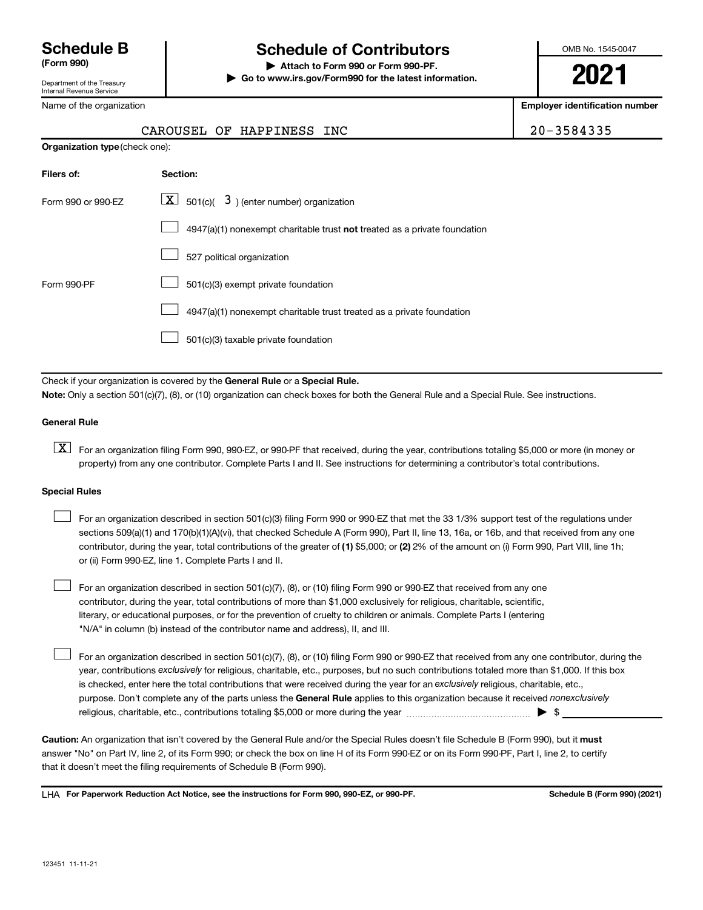Department of the Treasury

#### Internal Revenue Service

Name of the organization

### **Schedule B Schedule of Contributors**

**(Form 990) | Attach to Form 990 or Form 990-PF. | Go to www.irs.gov/Form990 for the latest information.** OMB No. 1545-0047

**2021**

**Employer identification number**

| $0 - 3584335$ |  |
|---------------|--|
|---------------|--|

| CAROUSEL OF HAPPINESS INC |  | 20-3584335 |
|---------------------------|--|------------|
|---------------------------|--|------------|

|                    | <b>Organization type (check one):</b>                                     |  |  |  |  |  |
|--------------------|---------------------------------------------------------------------------|--|--|--|--|--|
| Filers of:         | Section:                                                                  |  |  |  |  |  |
| Form 990 or 990-EZ | $\boxed{\textbf{X}}$ 501(c)( 3) (enter number) organization               |  |  |  |  |  |
|                    | 4947(a)(1) nonexempt charitable trust not treated as a private foundation |  |  |  |  |  |
|                    | 527 political organization                                                |  |  |  |  |  |
| Form 990-PF        | 501(c)(3) exempt private foundation                                       |  |  |  |  |  |
|                    | 4947(a)(1) nonexempt charitable trust treated as a private foundation     |  |  |  |  |  |
|                    | 501(c)(3) taxable private foundation                                      |  |  |  |  |  |

Check if your organization is covered by the General Rule or a Special Rule.

**Note:**  Only a section 501(c)(7), (8), or (10) organization can check boxes for both the General Rule and a Special Rule. See instructions.

#### **General Rule**

**K** For an organization filing Form 990, 990-EZ, or 990-PF that received, during the year, contributions totaling \$5,000 or more (in money or property) from any one contributor. Complete Parts I and II. See instructions for determining a contributor's total contributions.

#### **Special Rules**

 $\Box$ 

contributor, during the year, total contributions of the greater of (1) \$5,000; or (2) 2% of the amount on (i) Form 990, Part VIII, line 1h; For an organization described in section 501(c)(3) filing Form 990 or 990-EZ that met the 33 1/3% support test of the regulations under sections 509(a)(1) and 170(b)(1)(A)(vi), that checked Schedule A (Form 990), Part II, line 13, 16a, or 16b, and that received from any one or (ii) Form 990-EZ, line 1. Complete Parts I and II.  $\Box$ 

For an organization described in section 501(c)(7), (8), or (10) filing Form 990 or 990-EZ that received from any one contributor, during the year, total contributions of more than \$1,000 exclusively for religious, charitable, scientific, literary, or educational purposes, or for the prevention of cruelty to children or animals. Complete Parts I (entering "N/A" in column (b) instead of the contributor name and address), II, and III.  $\Box$ 

purpose. Don't complete any of the parts unless the General Rule applies to this organization because it received nonexclusively year, contributions exclusively for religious, charitable, etc., purposes, but no such contributions totaled more than \$1,000. If this box is checked, enter here the total contributions that were received during the year for an exclusively religious, charitable, etc., For an organization described in section 501(c)(7), (8), or (10) filing Form 990 or 990-EZ that received from any one contributor, during the religious, charitable, etc., contributions totaling \$5,000 or more during the year  $\ldots$  $\ldots$  $\ldots$  $\ldots$  $\ldots$  $\ldots$ 

Caution: An organization that isn't covered by the General Rule and/or the Special Rules doesn't file Schedule B (Form 990), but it must answer "No" on Part IV, line 2, of its Form 990; or check the box on line H of its Form 990-EZ or on its Form 990-PF, Part I, line 2, to certify that it doesn't meet the filing requirements of Schedule B (Form 990).

LHA For Paperwork Reduction Act Notice, see the instructions for Form 990, 990-EZ, or 990-PF. **Schell B (Form 990)** (2021)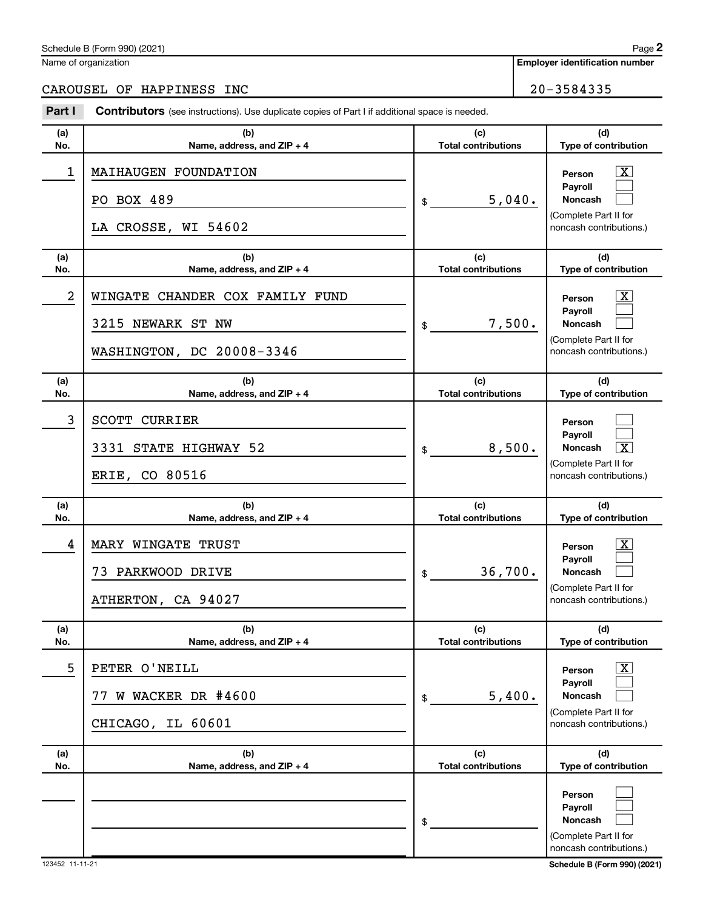| Schedule<br>990) (2021)<br>-<br>-or<br>. .<br>$\overline{\phantom{a}}$<br>וו כב | Page |
|---------------------------------------------------------------------------------|------|
|                                                                                 |      |

Name of organization

CAROUSEL OF HAPPINESS INC<br>
20-3584335

| Part I         | <b>Contributors</b> (see instructions). Use duplicate copies of Part I if additional space is needed. |                                   |                                                                                                                  |
|----------------|-------------------------------------------------------------------------------------------------------|-----------------------------------|------------------------------------------------------------------------------------------------------------------|
| (a)<br>No.     | (b)<br>Name, address, and ZIP + 4                                                                     | (c)<br><b>Total contributions</b> | (d)<br>Type of contribution                                                                                      |
| $\mathbf 1$    | MAIHAUGEN FOUNDATION<br>PO BOX 489<br>LA CROSSE, WI 54602                                             | 5,040.<br>\$                      | $\overline{\text{X}}$<br>Person<br>Pavroll<br>Noncash<br>(Complete Part II for<br>noncash contributions.)        |
| (a)<br>No.     | (b)<br>Name, address, and $ZIP + 4$                                                                   | (c)<br><b>Total contributions</b> | (d)<br>Type of contribution                                                                                      |
| $\overline{a}$ | WINGATE CHANDER COX FAMILY FUND<br>3215 NEWARK ST NW<br>WASHINGTON, DC 20008-3346                     | 7,500.<br>\$                      | $\overline{\text{X}}$<br>Person<br>Payroll<br>Noncash<br>(Complete Part II for<br>noncash contributions.)        |
| (a)<br>No.     | (b)<br>Name, address, and ZIP + 4                                                                     | (c)<br><b>Total contributions</b> | (d)<br>Type of contribution                                                                                      |
| 3              | <b>SCOTT CURRIER</b><br>3331 STATE HIGHWAY 52<br>ERIE, CO 80516                                       | 8,500.<br>\$                      | Person<br>Payroll<br>$\overline{\mathbf{X}}$<br>Noncash<br>(Complete Part II for<br>noncash contributions.)      |
| (a)<br>No.     | (b)<br>Name, address, and ZIP + 4                                                                     | (c)<br><b>Total contributions</b> | (d)<br>Type of contribution                                                                                      |
| 4              | MARY WINGATE TRUST<br>73 PARKWOOD DRIVE<br>ATHERTON, CA 94027                                         | 36,700.<br>\$                     | $\overline{\text{X}}$<br>Person<br>Payroll<br><b>Noncash</b><br>(Complete Part II for<br>noncash contributions.) |
| (a)<br>No.     | (b)<br>Name, address, and ZIP + 4                                                                     | (c)<br><b>Total contributions</b> | (d)<br>Type of contribution                                                                                      |
| 5              | PETER O'NEILL<br>W WACKER DR #4600<br>77<br>CHICAGO, IL 60601                                         | 5,400.<br>\$                      | $\mathbf{X}$<br>Person<br>Payroll<br><b>Noncash</b><br>(Complete Part II for<br>noncash contributions.)          |
| (a)<br>No.     | (b)<br>Name, address, and ZIP + 4                                                                     | (c)<br><b>Total contributions</b> | (d)<br>Type of contribution                                                                                      |
|                |                                                                                                       | \$                                | Person<br>Payroll<br><b>Noncash</b><br>(Complete Part II for<br>noncash contributions.)                          |

#### **Employer identification number**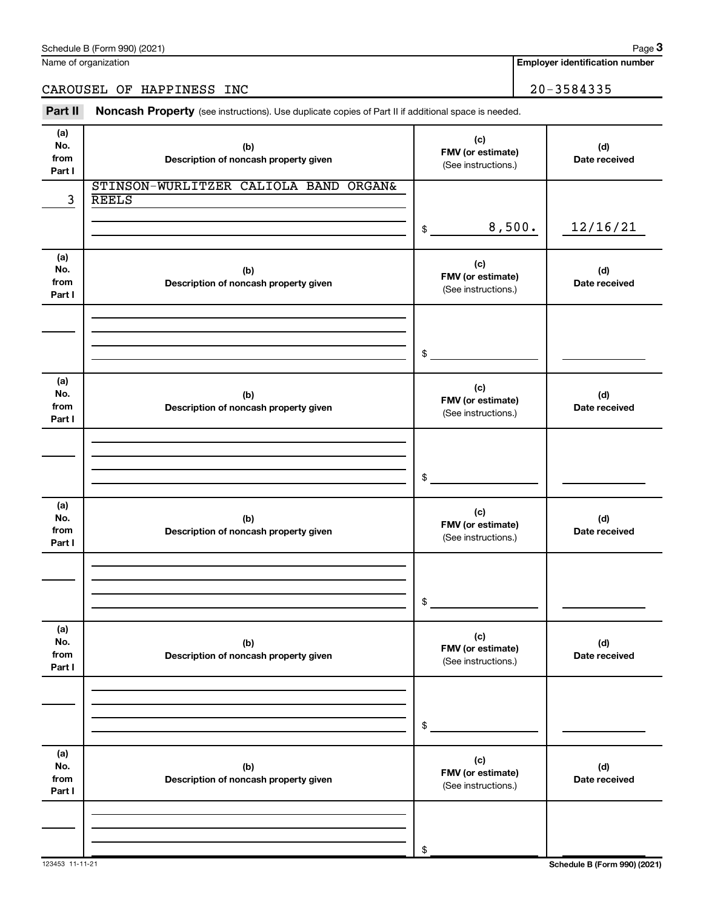Name of organization

### CAROUSEL OF HAPPINESS INC<br>
20-3584335

Part II Noncash Property (see instructions). Use duplicate copies of Part II if additional space is needed.

| (a)<br>No.<br>from<br>Part I | (b)<br>Description of noncash property given          | (c)<br>FMV (or estimate)<br>(See instructions.) | (d)<br>Date received         |
|------------------------------|-------------------------------------------------------|-------------------------------------------------|------------------------------|
| 3                            | STINSON-WURLITZER CALIOLA BAND ORGAN&<br><b>REELS</b> |                                                 |                              |
|                              |                                                       | 8,500.<br>\$                                    | 12/16/21                     |
| (a)<br>No.<br>from<br>Part I | (b)<br>Description of noncash property given          | (c)<br>FMV (or estimate)<br>(See instructions.) | (d)<br>Date received         |
|                              |                                                       | \$                                              |                              |
| (a)<br>No.<br>from<br>Part I | (b)<br>Description of noncash property given          | (c)<br>FMV (or estimate)<br>(See instructions.) | (d)<br>Date received         |
|                              |                                                       | \$                                              |                              |
| (a)<br>No.<br>from<br>Part I | (b)<br>Description of noncash property given          | (c)<br>FMV (or estimate)<br>(See instructions.) | (d)<br>Date received         |
|                              |                                                       | \$                                              |                              |
| (a)<br>No.<br>from<br>Part I | (b)<br>Description of noncash property given          | (c)<br>FMV (or estimate)<br>(See instructions.) | (d)<br>Date received         |
|                              |                                                       | \$                                              |                              |
| (a)<br>No.<br>from<br>Part I | (b)<br>Description of noncash property given          | (c)<br>FMV (or estimate)<br>(See instructions.) | (d)<br>Date received         |
|                              |                                                       | \$                                              |                              |
| 123453 11-11-21              |                                                       |                                                 | Schedule B (Form 990) (2021) |

**Employer identification number**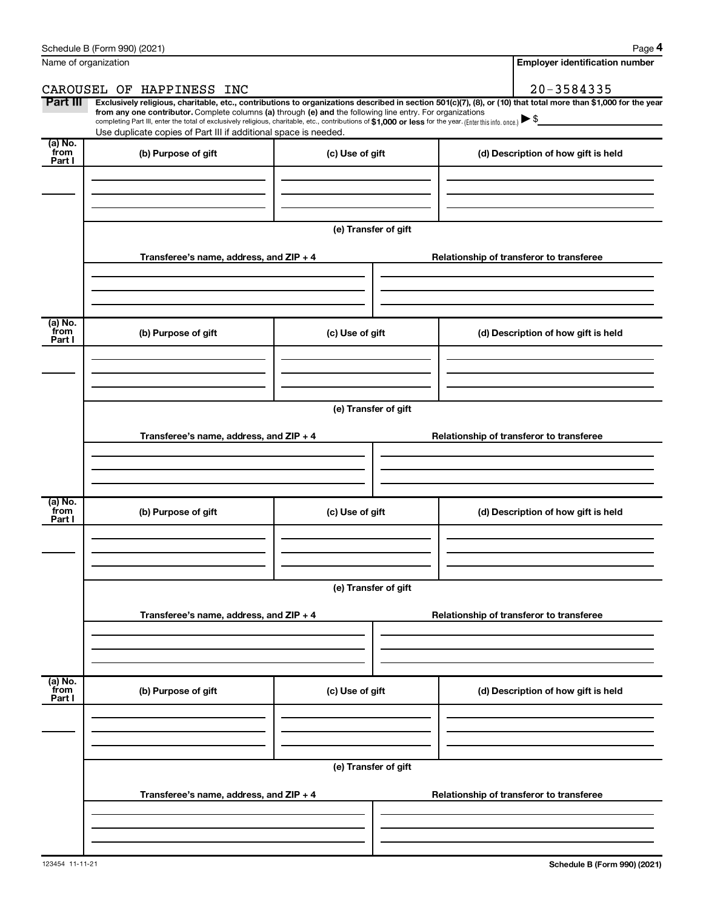|                           | Schedule B (Form 990) (2021)                                                                                                                                                                                                                                                                                                                                                                                                                                                                                |                      |  | Page 4                                   |  |  |
|---------------------------|-------------------------------------------------------------------------------------------------------------------------------------------------------------------------------------------------------------------------------------------------------------------------------------------------------------------------------------------------------------------------------------------------------------------------------------------------------------------------------------------------------------|----------------------|--|------------------------------------------|--|--|
|                           | Name of organization                                                                                                                                                                                                                                                                                                                                                                                                                                                                                        |                      |  | <b>Employer identification number</b>    |  |  |
|                           | CAROUSEL OF HAPPINESS INC                                                                                                                                                                                                                                                                                                                                                                                                                                                                                   |                      |  | 20-3584335                               |  |  |
| Part III                  | Exclusively religious, charitable, etc., contributions to organizations described in section 501(c)(7), (8), or (10) that total more than \$1,000 for the year<br>from any one contributor. Complete columns (a) through (e) and the following line entry. For organizations<br>completing Part III, enter the total of exclusively religious, charitable, etc., contributions of \$1,000 or less for the year. [Enter this info. once.]<br>Use duplicate copies of Part III if additional space is needed. |                      |  |                                          |  |  |
| (a) No.<br>from<br>Part I | (b) Purpose of gift                                                                                                                                                                                                                                                                                                                                                                                                                                                                                         | (c) Use of gift      |  | (d) Description of how gift is held      |  |  |
|                           |                                                                                                                                                                                                                                                                                                                                                                                                                                                                                                             |                      |  |                                          |  |  |
|                           |                                                                                                                                                                                                                                                                                                                                                                                                                                                                                                             | (e) Transfer of gift |  |                                          |  |  |
|                           | Transferee's name, address, and $ZIP + 4$                                                                                                                                                                                                                                                                                                                                                                                                                                                                   |                      |  | Relationship of transferor to transferee |  |  |
|                           |                                                                                                                                                                                                                                                                                                                                                                                                                                                                                                             |                      |  |                                          |  |  |
| (a) No.<br>from<br>Part I | (b) Purpose of gift                                                                                                                                                                                                                                                                                                                                                                                                                                                                                         | (c) Use of gift      |  | (d) Description of how gift is held      |  |  |
|                           |                                                                                                                                                                                                                                                                                                                                                                                                                                                                                                             |                      |  |                                          |  |  |
|                           | (e) Transfer of gift                                                                                                                                                                                                                                                                                                                                                                                                                                                                                        |                      |  |                                          |  |  |
|                           | Transferee's name, address, and $ZIP + 4$                                                                                                                                                                                                                                                                                                                                                                                                                                                                   |                      |  | Relationship of transferor to transferee |  |  |
|                           |                                                                                                                                                                                                                                                                                                                                                                                                                                                                                                             |                      |  |                                          |  |  |
| (a) No.<br>from<br>Part I | (b) Purpose of gift                                                                                                                                                                                                                                                                                                                                                                                                                                                                                         | (c) Use of gift      |  | (d) Description of how gift is held      |  |  |
|                           |                                                                                                                                                                                                                                                                                                                                                                                                                                                                                                             |                      |  |                                          |  |  |
|                           |                                                                                                                                                                                                                                                                                                                                                                                                                                                                                                             | (e) Transfer of gift |  |                                          |  |  |
|                           | Transferee's name, address, and ZIP + 4                                                                                                                                                                                                                                                                                                                                                                                                                                                                     |                      |  | Relationship of transferor to transferee |  |  |
|                           |                                                                                                                                                                                                                                                                                                                                                                                                                                                                                                             |                      |  |                                          |  |  |
| (a) No.<br>from<br>Part I | (b) Purpose of gift                                                                                                                                                                                                                                                                                                                                                                                                                                                                                         | (c) Use of gift      |  | (d) Description of how gift is held      |  |  |
|                           |                                                                                                                                                                                                                                                                                                                                                                                                                                                                                                             |                      |  |                                          |  |  |
|                           | (e) Transfer of gift                                                                                                                                                                                                                                                                                                                                                                                                                                                                                        |                      |  |                                          |  |  |
|                           | Transferee's name, address, and ZIP + 4                                                                                                                                                                                                                                                                                                                                                                                                                                                                     |                      |  | Relationship of transferor to transferee |  |  |
|                           |                                                                                                                                                                                                                                                                                                                                                                                                                                                                                                             |                      |  |                                          |  |  |
|                           |                                                                                                                                                                                                                                                                                                                                                                                                                                                                                                             |                      |  |                                          |  |  |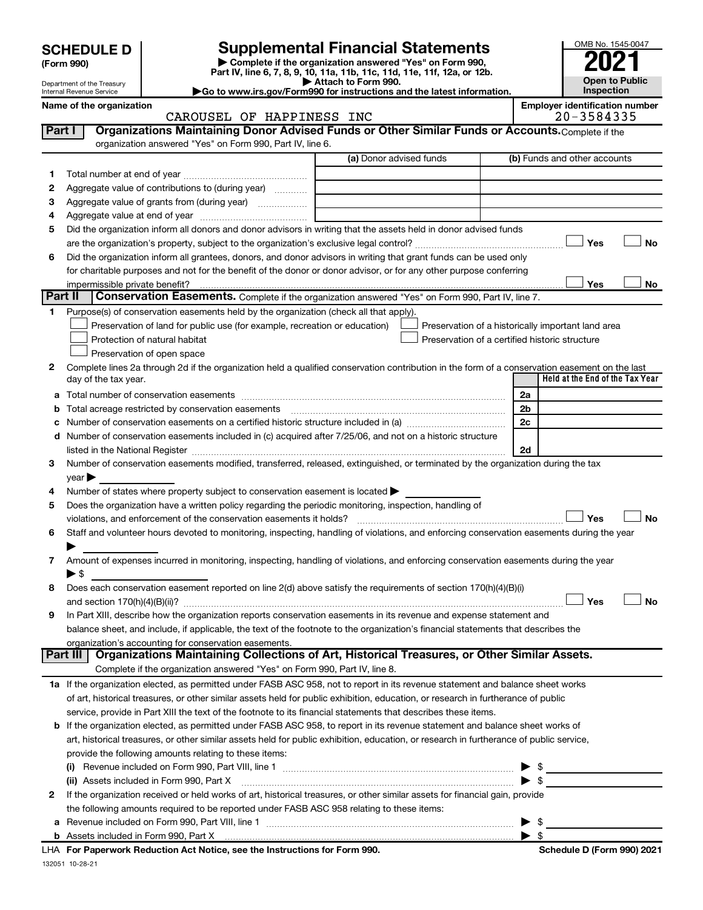**| Complete if the organization answered "Yes" on Form 990, Part IV, line 6, 7, 8, 9, 10, 11a, 11b, 11c, 11d, 11e, 11f, 12a, or 12b. SCHEDULE D Supplemental Financial Statements**<br> **Form 990 Example 5 2021**<br>
Part IV. line 6, 7, 8, 9, 10, 11a, 11b, 11c, 11d, 11e, 11f, 12a, or 12b.

**| Attach to Form 990. |Go to www.irs.gov/Form990 for instructions and the latest information.**

**Part I** | Organizations Maintaining Donor Advised Funds or Other Similar Funds or Accounts. Complete if the



Department of the Treasury Internal Revenue Service

#### Name of the organization<br>CAROUSEL OF HAPPINESS INC **Employer identification number**<br>20-3584335 CAROUSEL OF HAPPINESS INC

|              | organization answered "Yes" on Form 990, Part IV, line 6.                                                                                                        |                         |  |                         |                                                    |           |
|--------------|------------------------------------------------------------------------------------------------------------------------------------------------------------------|-------------------------|--|-------------------------|----------------------------------------------------|-----------|
|              |                                                                                                                                                                  | (a) Donor advised funds |  |                         | (b) Funds and other accounts                       |           |
| 1.           |                                                                                                                                                                  |                         |  |                         |                                                    |           |
| 2            | Aggregate value of contributions to (during year)                                                                                                                |                         |  |                         |                                                    |           |
| З            | Aggregate value of grants from (during year)                                                                                                                     |                         |  |                         |                                                    |           |
| 4            |                                                                                                                                                                  |                         |  |                         |                                                    |           |
| 5            | Did the organization inform all donors and donor advisors in writing that the assets held in donor advised funds                                                 |                         |  |                         |                                                    |           |
|              |                                                                                                                                                                  |                         |  |                         | Yes                                                | No        |
| 6            | Did the organization inform all grantees, donors, and donor advisors in writing that grant funds can be used only                                                |                         |  |                         |                                                    |           |
|              | for charitable purposes and not for the benefit of the donor or donor advisor, or for any other purpose conferring                                               |                         |  |                         |                                                    |           |
|              |                                                                                                                                                                  |                         |  |                         | Yes                                                | No        |
| Part II      | Conservation Easements. Complete if the organization answered "Yes" on Form 990, Part IV, line 7.                                                                |                         |  |                         |                                                    |           |
| 1.           | Purpose(s) of conservation easements held by the organization (check all that apply).                                                                            |                         |  |                         |                                                    |           |
|              | Preservation of land for public use (for example, recreation or education)                                                                                       |                         |  |                         | Preservation of a historically important land area |           |
|              | Protection of natural habitat                                                                                                                                    |                         |  |                         | Preservation of a certified historic structure     |           |
|              | Preservation of open space                                                                                                                                       |                         |  |                         |                                                    |           |
| 2            | Complete lines 2a through 2d if the organization held a qualified conservation contribution in the form of a conservation easement on the last                   |                         |  |                         |                                                    |           |
|              | day of the tax year.                                                                                                                                             |                         |  |                         | Held at the End of the Tax Year                    |           |
| а            |                                                                                                                                                                  |                         |  | 2a                      |                                                    |           |
| b            |                                                                                                                                                                  |                         |  | 2b                      |                                                    |           |
|              |                                                                                                                                                                  |                         |  | 2c                      |                                                    |           |
| d            | Number of conservation easements included in (c) acquired after 7/25/06, and not on a historic structure                                                         |                         |  |                         |                                                    |           |
|              |                                                                                                                                                                  |                         |  | 2d                      |                                                    |           |
| 3            | Number of conservation easements modified, transferred, released, extinguished, or terminated by the organization during the tax                                 |                         |  |                         |                                                    |           |
|              | $\mathsf{year}$                                                                                                                                                  |                         |  |                         |                                                    |           |
| 4            | Number of states where property subject to conservation easement is located >                                                                                    |                         |  |                         |                                                    |           |
| 5            | Does the organization have a written policy regarding the periodic monitoring, inspection, handling of                                                           |                         |  |                         |                                                    |           |
|              | violations, and enforcement of the conservation easements it holds?                                                                                              |                         |  |                         | Yes                                                | <b>No</b> |
| 6            | Staff and volunteer hours devoted to monitoring, inspecting, handling of violations, and enforcing conservation easements during the year                        |                         |  |                         |                                                    |           |
|              |                                                                                                                                                                  |                         |  |                         |                                                    |           |
| 7            | Amount of expenses incurred in monitoring, inspecting, handling of violations, and enforcing conservation easements during the year                              |                         |  |                         |                                                    |           |
|              | $\blacktriangleright$ s                                                                                                                                          |                         |  |                         |                                                    |           |
| 8            | Does each conservation easement reported on line 2(d) above satisfy the requirements of section 170(h)(4)(B)(i)                                                  |                         |  |                         |                                                    |           |
|              |                                                                                                                                                                  |                         |  |                         | Yes                                                | No        |
| 9            | In Part XIII, describe how the organization reports conservation easements in its revenue and expense statement and                                              |                         |  |                         |                                                    |           |
|              | balance sheet, and include, if applicable, the text of the footnote to the organization's financial statements that describes the                                |                         |  |                         |                                                    |           |
|              | organization's accounting for conservation easements.<br>Part III   Organizations Maintaining Collections of Art, Historical Treasures, or Other Similar Assets. |                         |  |                         |                                                    |           |
|              | Complete if the organization answered "Yes" on Form 990, Part IV, line 8.                                                                                        |                         |  |                         |                                                    |           |
|              | 1a If the organization elected, as permitted under FASB ASC 958, not to report in its revenue statement and balance sheet works                                  |                         |  |                         |                                                    |           |
|              | of art, historical treasures, or other similar assets held for public exhibition, education, or research in furtherance of public                                |                         |  |                         |                                                    |           |
|              | service, provide in Part XIII the text of the footnote to its financial statements that describes these items.                                                   |                         |  |                         |                                                    |           |
| b            | If the organization elected, as permitted under FASB ASC 958, to report in its revenue statement and balance sheet works of                                      |                         |  |                         |                                                    |           |
|              | art, historical treasures, or other similar assets held for public exhibition, education, or research in furtherance of public service,                          |                         |  |                         |                                                    |           |
|              | provide the following amounts relating to these items:                                                                                                           |                         |  |                         |                                                    |           |
|              |                                                                                                                                                                  |                         |  |                         |                                                    |           |
|              | (ii) Assets included in Form 990, Part X                                                                                                                         |                         |  |                         | $\blacktriangleright$ \$                           |           |
| $\mathbf{2}$ | If the organization received or held works of art, historical treasures, or other similar assets for financial gain, provide                                     |                         |  |                         |                                                    |           |
|              | the following amounts required to be reported under FASB ASC 958 relating to these items:                                                                        |                         |  |                         |                                                    |           |
|              |                                                                                                                                                                  |                         |  |                         | \$                                                 |           |
|              |                                                                                                                                                                  |                         |  | $\blacktriangleright$ s |                                                    |           |
|              | LHA For Paperwork Reduction Act Notice, see the Instructions for Form 990.                                                                                       |                         |  |                         | Schedule D (Form 990) 2021                         |           |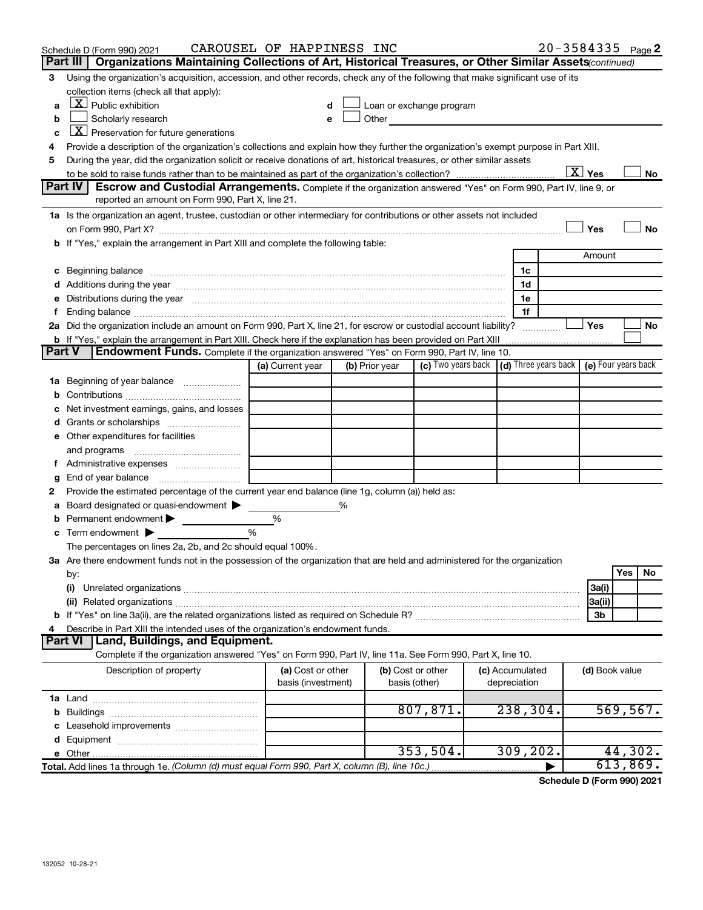| Part III   Organizations Maintaining Collections of Art, Historical Treasures, or Other Similar Assets (continued)<br>Using the organization's acquisition, accession, and other records, check any of the following that make significant use of its<br>3<br>collection items (check all that apply):<br>$\lfloor x \rfloor$ Public exhibition<br>Loan or exchange program<br>a<br>d<br>Scholarly research<br>Other and the contract of the contract of the contract of the contract of the contract of the contract of the contract of the contract of the contract of the contract of the contract of the contract of the contract of the<br>b<br>e<br>$X$ Preservation for future generations<br>c<br>Provide a description of the organization's collections and explain how they further the organization's exempt purpose in Part XIII.<br>During the year, did the organization solicit or receive donations of art, historical treasures, or other similar assets<br>5<br>$\boxed{\text{X}}$ Yes<br>No<br>Part IV<br><b>Escrow and Custodial Arrangements.</b> Complete if the organization answered "Yes" on Form 990, Part IV, line 9, or<br>reported an amount on Form 990, Part X, line 21.<br>1a Is the organization an agent, trustee, custodian or other intermediary for contributions or other assets not included<br>Yes<br>No<br>b If "Yes," explain the arrangement in Part XIII and complete the following table:<br>Amount<br>1 <sub>c</sub><br>c Beginning balance measurements and the contract of Beginning balance measurements are all the contract of the contract of the contract of the contract of the contract of the contract of the contract of the contract of th<br>d Additions during the year manufactured and contain an account of a distribution of the year manufactured and the year manufactured and a distribution of the year manufactured and a distribution of the state of the state<br>1d<br>e Distributions during the year with the continuum continuum continuum control of the control of the set of the control of the control of the control of the control of the control of the control of the control of the contr<br>1e<br>1f<br>2a Did the organization include an amount on Form 990, Part X, line 21, for escrow or custodial account liability?<br>Yes<br>No<br><b>b</b> If "Yes," explain the arrangement in Part XIII. Check here if the explanation has been provided on Part XIII<br><b>Endowment Funds.</b> Complete if the organization answered "Yes" on Form 990, Part IV, line 10.<br>Part V<br>(c) Two years back   (d) Three years back   (e) Four years back<br>(a) Current year<br>(b) Prior year<br>c Net investment earnings, gains, and losses<br>e Other expenditures for facilities<br>End of year balance <i>manually contained</i><br>g<br>Provide the estimated percentage of the current year end balance (line 1g, column (a)) held as:<br>2<br>a Board designated or quasi-endowment<br>%<br><b>b</b> Permanent endowment $\blacktriangleright$<br>%<br>%<br><b>c</b> Term endowment $\blacktriangleright$<br>The percentages on lines 2a, 2b, and 2c should equal 100%.<br>3a Are there endowment funds not in the possession of the organization that are held and administered for the organization<br>Yes<br>No<br>by:<br>(i)<br>3a(i)<br>3a(ii)<br>3b<br>Describe in Part XIII the intended uses of the organization's endowment funds.<br>Land, Buildings, and Equipment.<br><b>Part VI</b><br>Complete if the organization answered "Yes" on Form 990, Part IV, line 11a. See Form 990, Part X, line 10.<br>Description of property<br>(a) Cost or other<br>(b) Cost or other<br>(c) Accumulated<br>(d) Book value<br>basis (investment)<br>depreciation<br>basis (other)<br>807,871.<br>238,304.<br>569, 567.<br>44,302.<br>353,504.<br>309, 202.<br>613,869.<br>Total. Add lines 1a through 1e. (Column (d) must equal Form 990, Part X, column (B), line 10c.) | Schedule D (Form 990) 2021 | CAROUSEL OF HAPPINESS INC |  |  |  | $20 - 3584335$ Page 2 |
|-------------------------------------------------------------------------------------------------------------------------------------------------------------------------------------------------------------------------------------------------------------------------------------------------------------------------------------------------------------------------------------------------------------------------------------------------------------------------------------------------------------------------------------------------------------------------------------------------------------------------------------------------------------------------------------------------------------------------------------------------------------------------------------------------------------------------------------------------------------------------------------------------------------------------------------------------------------------------------------------------------------------------------------------------------------------------------------------------------------------------------------------------------------------------------------------------------------------------------------------------------------------------------------------------------------------------------------------------------------------------------------------------------------------------------------------------------------------------------------------------------------------------------------------------------------------------------------------------------------------------------------------------------------------------------------------------------------------------------------------------------------------------------------------------------------------------------------------------------------------------------------------------------------------------------------------------------------------------------------------------------------------------------------------------------------------------------------------------------------------------------------------------------------------------------------------------------------------------------------------------------------------------------------------------------------------------------------------------------------------------------------------------------------------------------------------------------------------------------------------------------------------------------------------------------------------------------------------------------------------------------------------------------------------------------------------------------------------------------------------------------------------------------------------------------------------------------------------------------------------------------------------------------------------------------------------------------------------------------------------------------------------------------------------------------------------------------------------------------------------------------------------------------------------------------------------------------------------------------------------------------------------------------------------------------------------------------------------------------------------------------------------------------------------------------------------------------------------------------------------------------------------------------------------------------------------------------------------------------------------------------------------------------------------------------------------------------------------------------------------------------------------------------------------------------------------------------------------------------------------------------------------------------------------------------------------------------------------|----------------------------|---------------------------|--|--|--|-----------------------|
|                                                                                                                                                                                                                                                                                                                                                                                                                                                                                                                                                                                                                                                                                                                                                                                                                                                                                                                                                                                                                                                                                                                                                                                                                                                                                                                                                                                                                                                                                                                                                                                                                                                                                                                                                                                                                                                                                                                                                                                                                                                                                                                                                                                                                                                                                                                                                                                                                                                                                                                                                                                                                                                                                                                                                                                                                                                                                                                                                                                                                                                                                                                                                                                                                                                                                                                                                                                                                                                                                                                                                                                                                                                                                                                                                                                                                                                                                                                                                                   |                            |                           |  |  |  |                       |
|                                                                                                                                                                                                                                                                                                                                                                                                                                                                                                                                                                                                                                                                                                                                                                                                                                                                                                                                                                                                                                                                                                                                                                                                                                                                                                                                                                                                                                                                                                                                                                                                                                                                                                                                                                                                                                                                                                                                                                                                                                                                                                                                                                                                                                                                                                                                                                                                                                                                                                                                                                                                                                                                                                                                                                                                                                                                                                                                                                                                                                                                                                                                                                                                                                                                                                                                                                                                                                                                                                                                                                                                                                                                                                                                                                                                                                                                                                                                                                   |                            |                           |  |  |  |                       |
|                                                                                                                                                                                                                                                                                                                                                                                                                                                                                                                                                                                                                                                                                                                                                                                                                                                                                                                                                                                                                                                                                                                                                                                                                                                                                                                                                                                                                                                                                                                                                                                                                                                                                                                                                                                                                                                                                                                                                                                                                                                                                                                                                                                                                                                                                                                                                                                                                                                                                                                                                                                                                                                                                                                                                                                                                                                                                                                                                                                                                                                                                                                                                                                                                                                                                                                                                                                                                                                                                                                                                                                                                                                                                                                                                                                                                                                                                                                                                                   |                            |                           |  |  |  |                       |
|                                                                                                                                                                                                                                                                                                                                                                                                                                                                                                                                                                                                                                                                                                                                                                                                                                                                                                                                                                                                                                                                                                                                                                                                                                                                                                                                                                                                                                                                                                                                                                                                                                                                                                                                                                                                                                                                                                                                                                                                                                                                                                                                                                                                                                                                                                                                                                                                                                                                                                                                                                                                                                                                                                                                                                                                                                                                                                                                                                                                                                                                                                                                                                                                                                                                                                                                                                                                                                                                                                                                                                                                                                                                                                                                                                                                                                                                                                                                                                   |                            |                           |  |  |  |                       |
|                                                                                                                                                                                                                                                                                                                                                                                                                                                                                                                                                                                                                                                                                                                                                                                                                                                                                                                                                                                                                                                                                                                                                                                                                                                                                                                                                                                                                                                                                                                                                                                                                                                                                                                                                                                                                                                                                                                                                                                                                                                                                                                                                                                                                                                                                                                                                                                                                                                                                                                                                                                                                                                                                                                                                                                                                                                                                                                                                                                                                                                                                                                                                                                                                                                                                                                                                                                                                                                                                                                                                                                                                                                                                                                                                                                                                                                                                                                                                                   |                            |                           |  |  |  |                       |
|                                                                                                                                                                                                                                                                                                                                                                                                                                                                                                                                                                                                                                                                                                                                                                                                                                                                                                                                                                                                                                                                                                                                                                                                                                                                                                                                                                                                                                                                                                                                                                                                                                                                                                                                                                                                                                                                                                                                                                                                                                                                                                                                                                                                                                                                                                                                                                                                                                                                                                                                                                                                                                                                                                                                                                                                                                                                                                                                                                                                                                                                                                                                                                                                                                                                                                                                                                                                                                                                                                                                                                                                                                                                                                                                                                                                                                                                                                                                                                   |                            |                           |  |  |  |                       |
|                                                                                                                                                                                                                                                                                                                                                                                                                                                                                                                                                                                                                                                                                                                                                                                                                                                                                                                                                                                                                                                                                                                                                                                                                                                                                                                                                                                                                                                                                                                                                                                                                                                                                                                                                                                                                                                                                                                                                                                                                                                                                                                                                                                                                                                                                                                                                                                                                                                                                                                                                                                                                                                                                                                                                                                                                                                                                                                                                                                                                                                                                                                                                                                                                                                                                                                                                                                                                                                                                                                                                                                                                                                                                                                                                                                                                                                                                                                                                                   |                            |                           |  |  |  |                       |
|                                                                                                                                                                                                                                                                                                                                                                                                                                                                                                                                                                                                                                                                                                                                                                                                                                                                                                                                                                                                                                                                                                                                                                                                                                                                                                                                                                                                                                                                                                                                                                                                                                                                                                                                                                                                                                                                                                                                                                                                                                                                                                                                                                                                                                                                                                                                                                                                                                                                                                                                                                                                                                                                                                                                                                                                                                                                                                                                                                                                                                                                                                                                                                                                                                                                                                                                                                                                                                                                                                                                                                                                                                                                                                                                                                                                                                                                                                                                                                   |                            |                           |  |  |  |                       |
|                                                                                                                                                                                                                                                                                                                                                                                                                                                                                                                                                                                                                                                                                                                                                                                                                                                                                                                                                                                                                                                                                                                                                                                                                                                                                                                                                                                                                                                                                                                                                                                                                                                                                                                                                                                                                                                                                                                                                                                                                                                                                                                                                                                                                                                                                                                                                                                                                                                                                                                                                                                                                                                                                                                                                                                                                                                                                                                                                                                                                                                                                                                                                                                                                                                                                                                                                                                                                                                                                                                                                                                                                                                                                                                                                                                                                                                                                                                                                                   |                            |                           |  |  |  |                       |
|                                                                                                                                                                                                                                                                                                                                                                                                                                                                                                                                                                                                                                                                                                                                                                                                                                                                                                                                                                                                                                                                                                                                                                                                                                                                                                                                                                                                                                                                                                                                                                                                                                                                                                                                                                                                                                                                                                                                                                                                                                                                                                                                                                                                                                                                                                                                                                                                                                                                                                                                                                                                                                                                                                                                                                                                                                                                                                                                                                                                                                                                                                                                                                                                                                                                                                                                                                                                                                                                                                                                                                                                                                                                                                                                                                                                                                                                                                                                                                   |                            |                           |  |  |  |                       |
|                                                                                                                                                                                                                                                                                                                                                                                                                                                                                                                                                                                                                                                                                                                                                                                                                                                                                                                                                                                                                                                                                                                                                                                                                                                                                                                                                                                                                                                                                                                                                                                                                                                                                                                                                                                                                                                                                                                                                                                                                                                                                                                                                                                                                                                                                                                                                                                                                                                                                                                                                                                                                                                                                                                                                                                                                                                                                                                                                                                                                                                                                                                                                                                                                                                                                                                                                                                                                                                                                                                                                                                                                                                                                                                                                                                                                                                                                                                                                                   |                            |                           |  |  |  |                       |
|                                                                                                                                                                                                                                                                                                                                                                                                                                                                                                                                                                                                                                                                                                                                                                                                                                                                                                                                                                                                                                                                                                                                                                                                                                                                                                                                                                                                                                                                                                                                                                                                                                                                                                                                                                                                                                                                                                                                                                                                                                                                                                                                                                                                                                                                                                                                                                                                                                                                                                                                                                                                                                                                                                                                                                                                                                                                                                                                                                                                                                                                                                                                                                                                                                                                                                                                                                                                                                                                                                                                                                                                                                                                                                                                                                                                                                                                                                                                                                   |                            |                           |  |  |  |                       |
|                                                                                                                                                                                                                                                                                                                                                                                                                                                                                                                                                                                                                                                                                                                                                                                                                                                                                                                                                                                                                                                                                                                                                                                                                                                                                                                                                                                                                                                                                                                                                                                                                                                                                                                                                                                                                                                                                                                                                                                                                                                                                                                                                                                                                                                                                                                                                                                                                                                                                                                                                                                                                                                                                                                                                                                                                                                                                                                                                                                                                                                                                                                                                                                                                                                                                                                                                                                                                                                                                                                                                                                                                                                                                                                                                                                                                                                                                                                                                                   |                            |                           |  |  |  |                       |
|                                                                                                                                                                                                                                                                                                                                                                                                                                                                                                                                                                                                                                                                                                                                                                                                                                                                                                                                                                                                                                                                                                                                                                                                                                                                                                                                                                                                                                                                                                                                                                                                                                                                                                                                                                                                                                                                                                                                                                                                                                                                                                                                                                                                                                                                                                                                                                                                                                                                                                                                                                                                                                                                                                                                                                                                                                                                                                                                                                                                                                                                                                                                                                                                                                                                                                                                                                                                                                                                                                                                                                                                                                                                                                                                                                                                                                                                                                                                                                   |                            |                           |  |  |  |                       |
|                                                                                                                                                                                                                                                                                                                                                                                                                                                                                                                                                                                                                                                                                                                                                                                                                                                                                                                                                                                                                                                                                                                                                                                                                                                                                                                                                                                                                                                                                                                                                                                                                                                                                                                                                                                                                                                                                                                                                                                                                                                                                                                                                                                                                                                                                                                                                                                                                                                                                                                                                                                                                                                                                                                                                                                                                                                                                                                                                                                                                                                                                                                                                                                                                                                                                                                                                                                                                                                                                                                                                                                                                                                                                                                                                                                                                                                                                                                                                                   |                            |                           |  |  |  |                       |
|                                                                                                                                                                                                                                                                                                                                                                                                                                                                                                                                                                                                                                                                                                                                                                                                                                                                                                                                                                                                                                                                                                                                                                                                                                                                                                                                                                                                                                                                                                                                                                                                                                                                                                                                                                                                                                                                                                                                                                                                                                                                                                                                                                                                                                                                                                                                                                                                                                                                                                                                                                                                                                                                                                                                                                                                                                                                                                                                                                                                                                                                                                                                                                                                                                                                                                                                                                                                                                                                                                                                                                                                                                                                                                                                                                                                                                                                                                                                                                   |                            |                           |  |  |  |                       |
|                                                                                                                                                                                                                                                                                                                                                                                                                                                                                                                                                                                                                                                                                                                                                                                                                                                                                                                                                                                                                                                                                                                                                                                                                                                                                                                                                                                                                                                                                                                                                                                                                                                                                                                                                                                                                                                                                                                                                                                                                                                                                                                                                                                                                                                                                                                                                                                                                                                                                                                                                                                                                                                                                                                                                                                                                                                                                                                                                                                                                                                                                                                                                                                                                                                                                                                                                                                                                                                                                                                                                                                                                                                                                                                                                                                                                                                                                                                                                                   |                            |                           |  |  |  |                       |
|                                                                                                                                                                                                                                                                                                                                                                                                                                                                                                                                                                                                                                                                                                                                                                                                                                                                                                                                                                                                                                                                                                                                                                                                                                                                                                                                                                                                                                                                                                                                                                                                                                                                                                                                                                                                                                                                                                                                                                                                                                                                                                                                                                                                                                                                                                                                                                                                                                                                                                                                                                                                                                                                                                                                                                                                                                                                                                                                                                                                                                                                                                                                                                                                                                                                                                                                                                                                                                                                                                                                                                                                                                                                                                                                                                                                                                                                                                                                                                   |                            |                           |  |  |  |                       |
|                                                                                                                                                                                                                                                                                                                                                                                                                                                                                                                                                                                                                                                                                                                                                                                                                                                                                                                                                                                                                                                                                                                                                                                                                                                                                                                                                                                                                                                                                                                                                                                                                                                                                                                                                                                                                                                                                                                                                                                                                                                                                                                                                                                                                                                                                                                                                                                                                                                                                                                                                                                                                                                                                                                                                                                                                                                                                                                                                                                                                                                                                                                                                                                                                                                                                                                                                                                                                                                                                                                                                                                                                                                                                                                                                                                                                                                                                                                                                                   |                            |                           |  |  |  |                       |
|                                                                                                                                                                                                                                                                                                                                                                                                                                                                                                                                                                                                                                                                                                                                                                                                                                                                                                                                                                                                                                                                                                                                                                                                                                                                                                                                                                                                                                                                                                                                                                                                                                                                                                                                                                                                                                                                                                                                                                                                                                                                                                                                                                                                                                                                                                                                                                                                                                                                                                                                                                                                                                                                                                                                                                                                                                                                                                                                                                                                                                                                                                                                                                                                                                                                                                                                                                                                                                                                                                                                                                                                                                                                                                                                                                                                                                                                                                                                                                   |                            |                           |  |  |  |                       |
|                                                                                                                                                                                                                                                                                                                                                                                                                                                                                                                                                                                                                                                                                                                                                                                                                                                                                                                                                                                                                                                                                                                                                                                                                                                                                                                                                                                                                                                                                                                                                                                                                                                                                                                                                                                                                                                                                                                                                                                                                                                                                                                                                                                                                                                                                                                                                                                                                                                                                                                                                                                                                                                                                                                                                                                                                                                                                                                                                                                                                                                                                                                                                                                                                                                                                                                                                                                                                                                                                                                                                                                                                                                                                                                                                                                                                                                                                                                                                                   |                            |                           |  |  |  |                       |
|                                                                                                                                                                                                                                                                                                                                                                                                                                                                                                                                                                                                                                                                                                                                                                                                                                                                                                                                                                                                                                                                                                                                                                                                                                                                                                                                                                                                                                                                                                                                                                                                                                                                                                                                                                                                                                                                                                                                                                                                                                                                                                                                                                                                                                                                                                                                                                                                                                                                                                                                                                                                                                                                                                                                                                                                                                                                                                                                                                                                                                                                                                                                                                                                                                                                                                                                                                                                                                                                                                                                                                                                                                                                                                                                                                                                                                                                                                                                                                   |                            |                           |  |  |  |                       |
|                                                                                                                                                                                                                                                                                                                                                                                                                                                                                                                                                                                                                                                                                                                                                                                                                                                                                                                                                                                                                                                                                                                                                                                                                                                                                                                                                                                                                                                                                                                                                                                                                                                                                                                                                                                                                                                                                                                                                                                                                                                                                                                                                                                                                                                                                                                                                                                                                                                                                                                                                                                                                                                                                                                                                                                                                                                                                                                                                                                                                                                                                                                                                                                                                                                                                                                                                                                                                                                                                                                                                                                                                                                                                                                                                                                                                                                                                                                                                                   |                            |                           |  |  |  |                       |
|                                                                                                                                                                                                                                                                                                                                                                                                                                                                                                                                                                                                                                                                                                                                                                                                                                                                                                                                                                                                                                                                                                                                                                                                                                                                                                                                                                                                                                                                                                                                                                                                                                                                                                                                                                                                                                                                                                                                                                                                                                                                                                                                                                                                                                                                                                                                                                                                                                                                                                                                                                                                                                                                                                                                                                                                                                                                                                                                                                                                                                                                                                                                                                                                                                                                                                                                                                                                                                                                                                                                                                                                                                                                                                                                                                                                                                                                                                                                                                   |                            |                           |  |  |  |                       |
|                                                                                                                                                                                                                                                                                                                                                                                                                                                                                                                                                                                                                                                                                                                                                                                                                                                                                                                                                                                                                                                                                                                                                                                                                                                                                                                                                                                                                                                                                                                                                                                                                                                                                                                                                                                                                                                                                                                                                                                                                                                                                                                                                                                                                                                                                                                                                                                                                                                                                                                                                                                                                                                                                                                                                                                                                                                                                                                                                                                                                                                                                                                                                                                                                                                                                                                                                                                                                                                                                                                                                                                                                                                                                                                                                                                                                                                                                                                                                                   |                            |                           |  |  |  |                       |
|                                                                                                                                                                                                                                                                                                                                                                                                                                                                                                                                                                                                                                                                                                                                                                                                                                                                                                                                                                                                                                                                                                                                                                                                                                                                                                                                                                                                                                                                                                                                                                                                                                                                                                                                                                                                                                                                                                                                                                                                                                                                                                                                                                                                                                                                                                                                                                                                                                                                                                                                                                                                                                                                                                                                                                                                                                                                                                                                                                                                                                                                                                                                                                                                                                                                                                                                                                                                                                                                                                                                                                                                                                                                                                                                                                                                                                                                                                                                                                   |                            |                           |  |  |  |                       |
|                                                                                                                                                                                                                                                                                                                                                                                                                                                                                                                                                                                                                                                                                                                                                                                                                                                                                                                                                                                                                                                                                                                                                                                                                                                                                                                                                                                                                                                                                                                                                                                                                                                                                                                                                                                                                                                                                                                                                                                                                                                                                                                                                                                                                                                                                                                                                                                                                                                                                                                                                                                                                                                                                                                                                                                                                                                                                                                                                                                                                                                                                                                                                                                                                                                                                                                                                                                                                                                                                                                                                                                                                                                                                                                                                                                                                                                                                                                                                                   |                            |                           |  |  |  |                       |
|                                                                                                                                                                                                                                                                                                                                                                                                                                                                                                                                                                                                                                                                                                                                                                                                                                                                                                                                                                                                                                                                                                                                                                                                                                                                                                                                                                                                                                                                                                                                                                                                                                                                                                                                                                                                                                                                                                                                                                                                                                                                                                                                                                                                                                                                                                                                                                                                                                                                                                                                                                                                                                                                                                                                                                                                                                                                                                                                                                                                                                                                                                                                                                                                                                                                                                                                                                                                                                                                                                                                                                                                                                                                                                                                                                                                                                                                                                                                                                   |                            |                           |  |  |  |                       |
|                                                                                                                                                                                                                                                                                                                                                                                                                                                                                                                                                                                                                                                                                                                                                                                                                                                                                                                                                                                                                                                                                                                                                                                                                                                                                                                                                                                                                                                                                                                                                                                                                                                                                                                                                                                                                                                                                                                                                                                                                                                                                                                                                                                                                                                                                                                                                                                                                                                                                                                                                                                                                                                                                                                                                                                                                                                                                                                                                                                                                                                                                                                                                                                                                                                                                                                                                                                                                                                                                                                                                                                                                                                                                                                                                                                                                                                                                                                                                                   |                            |                           |  |  |  |                       |
|                                                                                                                                                                                                                                                                                                                                                                                                                                                                                                                                                                                                                                                                                                                                                                                                                                                                                                                                                                                                                                                                                                                                                                                                                                                                                                                                                                                                                                                                                                                                                                                                                                                                                                                                                                                                                                                                                                                                                                                                                                                                                                                                                                                                                                                                                                                                                                                                                                                                                                                                                                                                                                                                                                                                                                                                                                                                                                                                                                                                                                                                                                                                                                                                                                                                                                                                                                                                                                                                                                                                                                                                                                                                                                                                                                                                                                                                                                                                                                   |                            |                           |  |  |  |                       |
|                                                                                                                                                                                                                                                                                                                                                                                                                                                                                                                                                                                                                                                                                                                                                                                                                                                                                                                                                                                                                                                                                                                                                                                                                                                                                                                                                                                                                                                                                                                                                                                                                                                                                                                                                                                                                                                                                                                                                                                                                                                                                                                                                                                                                                                                                                                                                                                                                                                                                                                                                                                                                                                                                                                                                                                                                                                                                                                                                                                                                                                                                                                                                                                                                                                                                                                                                                                                                                                                                                                                                                                                                                                                                                                                                                                                                                                                                                                                                                   |                            |                           |  |  |  |                       |
|                                                                                                                                                                                                                                                                                                                                                                                                                                                                                                                                                                                                                                                                                                                                                                                                                                                                                                                                                                                                                                                                                                                                                                                                                                                                                                                                                                                                                                                                                                                                                                                                                                                                                                                                                                                                                                                                                                                                                                                                                                                                                                                                                                                                                                                                                                                                                                                                                                                                                                                                                                                                                                                                                                                                                                                                                                                                                                                                                                                                                                                                                                                                                                                                                                                                                                                                                                                                                                                                                                                                                                                                                                                                                                                                                                                                                                                                                                                                                                   |                            |                           |  |  |  |                       |
|                                                                                                                                                                                                                                                                                                                                                                                                                                                                                                                                                                                                                                                                                                                                                                                                                                                                                                                                                                                                                                                                                                                                                                                                                                                                                                                                                                                                                                                                                                                                                                                                                                                                                                                                                                                                                                                                                                                                                                                                                                                                                                                                                                                                                                                                                                                                                                                                                                                                                                                                                                                                                                                                                                                                                                                                                                                                                                                                                                                                                                                                                                                                                                                                                                                                                                                                                                                                                                                                                                                                                                                                                                                                                                                                                                                                                                                                                                                                                                   |                            |                           |  |  |  |                       |
|                                                                                                                                                                                                                                                                                                                                                                                                                                                                                                                                                                                                                                                                                                                                                                                                                                                                                                                                                                                                                                                                                                                                                                                                                                                                                                                                                                                                                                                                                                                                                                                                                                                                                                                                                                                                                                                                                                                                                                                                                                                                                                                                                                                                                                                                                                                                                                                                                                                                                                                                                                                                                                                                                                                                                                                                                                                                                                                                                                                                                                                                                                                                                                                                                                                                                                                                                                                                                                                                                                                                                                                                                                                                                                                                                                                                                                                                                                                                                                   |                            |                           |  |  |  |                       |
|                                                                                                                                                                                                                                                                                                                                                                                                                                                                                                                                                                                                                                                                                                                                                                                                                                                                                                                                                                                                                                                                                                                                                                                                                                                                                                                                                                                                                                                                                                                                                                                                                                                                                                                                                                                                                                                                                                                                                                                                                                                                                                                                                                                                                                                                                                                                                                                                                                                                                                                                                                                                                                                                                                                                                                                                                                                                                                                                                                                                                                                                                                                                                                                                                                                                                                                                                                                                                                                                                                                                                                                                                                                                                                                                                                                                                                                                                                                                                                   |                            |                           |  |  |  |                       |
|                                                                                                                                                                                                                                                                                                                                                                                                                                                                                                                                                                                                                                                                                                                                                                                                                                                                                                                                                                                                                                                                                                                                                                                                                                                                                                                                                                                                                                                                                                                                                                                                                                                                                                                                                                                                                                                                                                                                                                                                                                                                                                                                                                                                                                                                                                                                                                                                                                                                                                                                                                                                                                                                                                                                                                                                                                                                                                                                                                                                                                                                                                                                                                                                                                                                                                                                                                                                                                                                                                                                                                                                                                                                                                                                                                                                                                                                                                                                                                   |                            |                           |  |  |  |                       |
|                                                                                                                                                                                                                                                                                                                                                                                                                                                                                                                                                                                                                                                                                                                                                                                                                                                                                                                                                                                                                                                                                                                                                                                                                                                                                                                                                                                                                                                                                                                                                                                                                                                                                                                                                                                                                                                                                                                                                                                                                                                                                                                                                                                                                                                                                                                                                                                                                                                                                                                                                                                                                                                                                                                                                                                                                                                                                                                                                                                                                                                                                                                                                                                                                                                                                                                                                                                                                                                                                                                                                                                                                                                                                                                                                                                                                                                                                                                                                                   |                            |                           |  |  |  |                       |
|                                                                                                                                                                                                                                                                                                                                                                                                                                                                                                                                                                                                                                                                                                                                                                                                                                                                                                                                                                                                                                                                                                                                                                                                                                                                                                                                                                                                                                                                                                                                                                                                                                                                                                                                                                                                                                                                                                                                                                                                                                                                                                                                                                                                                                                                                                                                                                                                                                                                                                                                                                                                                                                                                                                                                                                                                                                                                                                                                                                                                                                                                                                                                                                                                                                                                                                                                                                                                                                                                                                                                                                                                                                                                                                                                                                                                                                                                                                                                                   |                            |                           |  |  |  |                       |
|                                                                                                                                                                                                                                                                                                                                                                                                                                                                                                                                                                                                                                                                                                                                                                                                                                                                                                                                                                                                                                                                                                                                                                                                                                                                                                                                                                                                                                                                                                                                                                                                                                                                                                                                                                                                                                                                                                                                                                                                                                                                                                                                                                                                                                                                                                                                                                                                                                                                                                                                                                                                                                                                                                                                                                                                                                                                                                                                                                                                                                                                                                                                                                                                                                                                                                                                                                                                                                                                                                                                                                                                                                                                                                                                                                                                                                                                                                                                                                   |                            |                           |  |  |  |                       |
|                                                                                                                                                                                                                                                                                                                                                                                                                                                                                                                                                                                                                                                                                                                                                                                                                                                                                                                                                                                                                                                                                                                                                                                                                                                                                                                                                                                                                                                                                                                                                                                                                                                                                                                                                                                                                                                                                                                                                                                                                                                                                                                                                                                                                                                                                                                                                                                                                                                                                                                                                                                                                                                                                                                                                                                                                                                                                                                                                                                                                                                                                                                                                                                                                                                                                                                                                                                                                                                                                                                                                                                                                                                                                                                                                                                                                                                                                                                                                                   |                            |                           |  |  |  |                       |
|                                                                                                                                                                                                                                                                                                                                                                                                                                                                                                                                                                                                                                                                                                                                                                                                                                                                                                                                                                                                                                                                                                                                                                                                                                                                                                                                                                                                                                                                                                                                                                                                                                                                                                                                                                                                                                                                                                                                                                                                                                                                                                                                                                                                                                                                                                                                                                                                                                                                                                                                                                                                                                                                                                                                                                                                                                                                                                                                                                                                                                                                                                                                                                                                                                                                                                                                                                                                                                                                                                                                                                                                                                                                                                                                                                                                                                                                                                                                                                   |                            |                           |  |  |  |                       |
|                                                                                                                                                                                                                                                                                                                                                                                                                                                                                                                                                                                                                                                                                                                                                                                                                                                                                                                                                                                                                                                                                                                                                                                                                                                                                                                                                                                                                                                                                                                                                                                                                                                                                                                                                                                                                                                                                                                                                                                                                                                                                                                                                                                                                                                                                                                                                                                                                                                                                                                                                                                                                                                                                                                                                                                                                                                                                                                                                                                                                                                                                                                                                                                                                                                                                                                                                                                                                                                                                                                                                                                                                                                                                                                                                                                                                                                                                                                                                                   |                            |                           |  |  |  |                       |
|                                                                                                                                                                                                                                                                                                                                                                                                                                                                                                                                                                                                                                                                                                                                                                                                                                                                                                                                                                                                                                                                                                                                                                                                                                                                                                                                                                                                                                                                                                                                                                                                                                                                                                                                                                                                                                                                                                                                                                                                                                                                                                                                                                                                                                                                                                                                                                                                                                                                                                                                                                                                                                                                                                                                                                                                                                                                                                                                                                                                                                                                                                                                                                                                                                                                                                                                                                                                                                                                                                                                                                                                                                                                                                                                                                                                                                                                                                                                                                   |                            |                           |  |  |  |                       |
|                                                                                                                                                                                                                                                                                                                                                                                                                                                                                                                                                                                                                                                                                                                                                                                                                                                                                                                                                                                                                                                                                                                                                                                                                                                                                                                                                                                                                                                                                                                                                                                                                                                                                                                                                                                                                                                                                                                                                                                                                                                                                                                                                                                                                                                                                                                                                                                                                                                                                                                                                                                                                                                                                                                                                                                                                                                                                                                                                                                                                                                                                                                                                                                                                                                                                                                                                                                                                                                                                                                                                                                                                                                                                                                                                                                                                                                                                                                                                                   |                            |                           |  |  |  |                       |
|                                                                                                                                                                                                                                                                                                                                                                                                                                                                                                                                                                                                                                                                                                                                                                                                                                                                                                                                                                                                                                                                                                                                                                                                                                                                                                                                                                                                                                                                                                                                                                                                                                                                                                                                                                                                                                                                                                                                                                                                                                                                                                                                                                                                                                                                                                                                                                                                                                                                                                                                                                                                                                                                                                                                                                                                                                                                                                                                                                                                                                                                                                                                                                                                                                                                                                                                                                                                                                                                                                                                                                                                                                                                                                                                                                                                                                                                                                                                                                   |                            |                           |  |  |  |                       |
|                                                                                                                                                                                                                                                                                                                                                                                                                                                                                                                                                                                                                                                                                                                                                                                                                                                                                                                                                                                                                                                                                                                                                                                                                                                                                                                                                                                                                                                                                                                                                                                                                                                                                                                                                                                                                                                                                                                                                                                                                                                                                                                                                                                                                                                                                                                                                                                                                                                                                                                                                                                                                                                                                                                                                                                                                                                                                                                                                                                                                                                                                                                                                                                                                                                                                                                                                                                                                                                                                                                                                                                                                                                                                                                                                                                                                                                                                                                                                                   |                            |                           |  |  |  |                       |
|                                                                                                                                                                                                                                                                                                                                                                                                                                                                                                                                                                                                                                                                                                                                                                                                                                                                                                                                                                                                                                                                                                                                                                                                                                                                                                                                                                                                                                                                                                                                                                                                                                                                                                                                                                                                                                                                                                                                                                                                                                                                                                                                                                                                                                                                                                                                                                                                                                                                                                                                                                                                                                                                                                                                                                                                                                                                                                                                                                                                                                                                                                                                                                                                                                                                                                                                                                                                                                                                                                                                                                                                                                                                                                                                                                                                                                                                                                                                                                   |                            |                           |  |  |  |                       |
|                                                                                                                                                                                                                                                                                                                                                                                                                                                                                                                                                                                                                                                                                                                                                                                                                                                                                                                                                                                                                                                                                                                                                                                                                                                                                                                                                                                                                                                                                                                                                                                                                                                                                                                                                                                                                                                                                                                                                                                                                                                                                                                                                                                                                                                                                                                                                                                                                                                                                                                                                                                                                                                                                                                                                                                                                                                                                                                                                                                                                                                                                                                                                                                                                                                                                                                                                                                                                                                                                                                                                                                                                                                                                                                                                                                                                                                                                                                                                                   |                            |                           |  |  |  |                       |
|                                                                                                                                                                                                                                                                                                                                                                                                                                                                                                                                                                                                                                                                                                                                                                                                                                                                                                                                                                                                                                                                                                                                                                                                                                                                                                                                                                                                                                                                                                                                                                                                                                                                                                                                                                                                                                                                                                                                                                                                                                                                                                                                                                                                                                                                                                                                                                                                                                                                                                                                                                                                                                                                                                                                                                                                                                                                                                                                                                                                                                                                                                                                                                                                                                                                                                                                                                                                                                                                                                                                                                                                                                                                                                                                                                                                                                                                                                                                                                   |                            |                           |  |  |  |                       |
|                                                                                                                                                                                                                                                                                                                                                                                                                                                                                                                                                                                                                                                                                                                                                                                                                                                                                                                                                                                                                                                                                                                                                                                                                                                                                                                                                                                                                                                                                                                                                                                                                                                                                                                                                                                                                                                                                                                                                                                                                                                                                                                                                                                                                                                                                                                                                                                                                                                                                                                                                                                                                                                                                                                                                                                                                                                                                                                                                                                                                                                                                                                                                                                                                                                                                                                                                                                                                                                                                                                                                                                                                                                                                                                                                                                                                                                                                                                                                                   |                            |                           |  |  |  |                       |

**Schedule D (Form 990) 2021**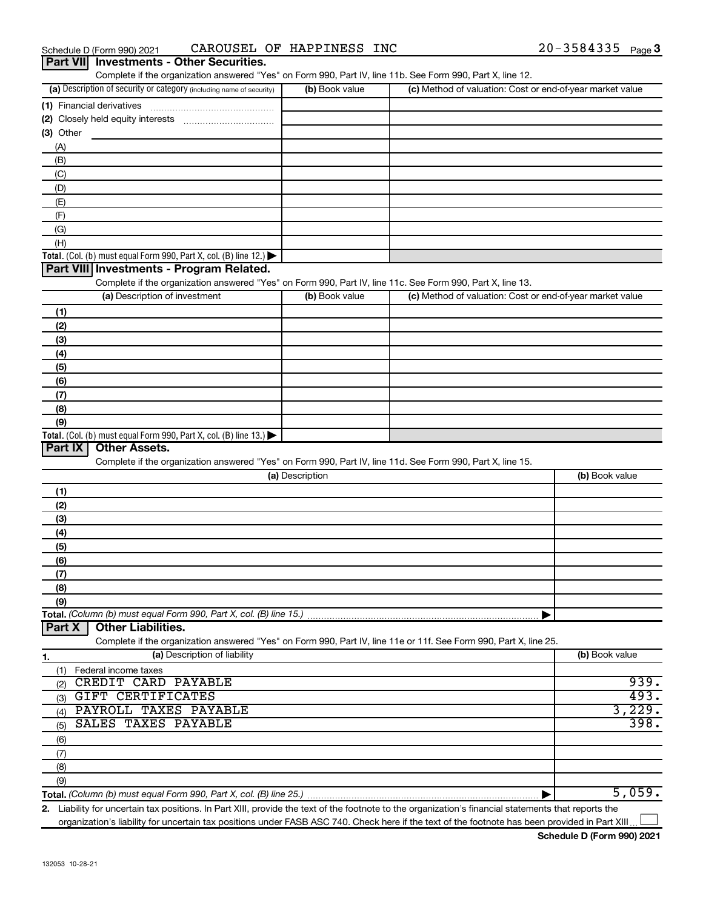| <b>Part VII</b><br><b>Investments - Other Securities.</b><br>Complete if the organization answered "Yes" on Form 990, Part IV, line 11b. See Form 990, Part X, line 12. |                 |                                                           |                |
|-------------------------------------------------------------------------------------------------------------------------------------------------------------------------|-----------------|-----------------------------------------------------------|----------------|
| (a) Description of security or category (including name of security)                                                                                                    | (b) Book value  | (c) Method of valuation: Cost or end-of-year market value |                |
| (1) Financial derivatives                                                                                                                                               |                 |                                                           |                |
|                                                                                                                                                                         |                 |                                                           |                |
| (3) Other                                                                                                                                                               |                 |                                                           |                |
| (A)                                                                                                                                                                     |                 |                                                           |                |
| (B)                                                                                                                                                                     |                 |                                                           |                |
| (C)                                                                                                                                                                     |                 |                                                           |                |
| (D)                                                                                                                                                                     |                 |                                                           |                |
| (E)                                                                                                                                                                     |                 |                                                           |                |
| (F)                                                                                                                                                                     |                 |                                                           |                |
| (G)                                                                                                                                                                     |                 |                                                           |                |
| (H)                                                                                                                                                                     |                 |                                                           |                |
| <b>Total.</b> (Col. (b) must equal Form 990, Part X, col. (B) line 12.) $\blacktriangleright$                                                                           |                 |                                                           |                |
| Part VIII Investments - Program Related.                                                                                                                                |                 |                                                           |                |
| Complete if the organization answered "Yes" on Form 990, Part IV, line 11c. See Form 990, Part X, line 13.<br>(a) Description of investment                             | (b) Book value  | (c) Method of valuation: Cost or end-of-year market value |                |
|                                                                                                                                                                         |                 |                                                           |                |
| (1)                                                                                                                                                                     |                 |                                                           |                |
| (2)                                                                                                                                                                     |                 |                                                           |                |
| (3)<br>(4)                                                                                                                                                              |                 |                                                           |                |
| (5)                                                                                                                                                                     |                 |                                                           |                |
| (6)                                                                                                                                                                     |                 |                                                           |                |
| (7)                                                                                                                                                                     |                 |                                                           |                |
| (8)                                                                                                                                                                     |                 |                                                           |                |
| (9)                                                                                                                                                                     |                 |                                                           |                |
| Total. (Col. (b) must equal Form 990, Part X, col. (B) line $13.$ )                                                                                                     |                 |                                                           |                |
| <b>Other Assets.</b><br>Part IX                                                                                                                                         |                 |                                                           |                |
| Complete if the organization answered "Yes" on Form 990, Part IV, line 11d. See Form 990, Part X, line 15.                                                              |                 |                                                           |                |
|                                                                                                                                                                         | (a) Description |                                                           | (b) Book value |
| (1)                                                                                                                                                                     |                 |                                                           |                |
| (2)                                                                                                                                                                     |                 |                                                           |                |
| (3)                                                                                                                                                                     |                 |                                                           |                |
| (4)                                                                                                                                                                     |                 |                                                           |                |
| (5)                                                                                                                                                                     |                 |                                                           |                |
| (6)                                                                                                                                                                     |                 |                                                           |                |
| (7)                                                                                                                                                                     |                 |                                                           |                |
| (8)<br>(9)                                                                                                                                                              |                 |                                                           |                |
| Total. (Column (b) must equal Form 990, Part X, col. (B) line 15.)                                                                                                      |                 |                                                           |                |
| <b>Other Liabilities.</b><br>Part X                                                                                                                                     |                 |                                                           |                |
| Complete if the organization answered "Yes" on Form 990, Part IV, line 11e or 11f. See Form 990, Part X, line 25.                                                       |                 |                                                           |                |
| (a) Description of liability<br>1.                                                                                                                                      |                 |                                                           | (b) Book value |
| (1) Federal income taxes                                                                                                                                                |                 |                                                           |                |
| CREDIT CARD PAYABLE<br>(2)                                                                                                                                              |                 |                                                           | 939.           |
| GIFT CERTIFICATES<br>(3)                                                                                                                                                |                 |                                                           | 493.           |
| PAYROLL TAXES PAYABLE<br>(4)                                                                                                                                            |                 |                                                           | 3,229.         |
| SALES TAXES PAYABLE<br>(5)                                                                                                                                              |                 |                                                           | 398.           |
| (6)                                                                                                                                                                     |                 |                                                           |                |
| (7)                                                                                                                                                                     |                 |                                                           |                |
| (8)                                                                                                                                                                     |                 |                                                           |                |
| (9)                                                                                                                                                                     |                 |                                                           |                |
|                                                                                                                                                                         |                 |                                                           | 5,059.         |
| 2. Liability for uncertain tax positions. In Part XIII, provide the text of the footnote to the organization's financial statements that reports the                    |                 |                                                           |                |

organization's liability for uncertain tax positions under FASB ASC 740. Check here if the text of the footnote has been provided in Part XIII...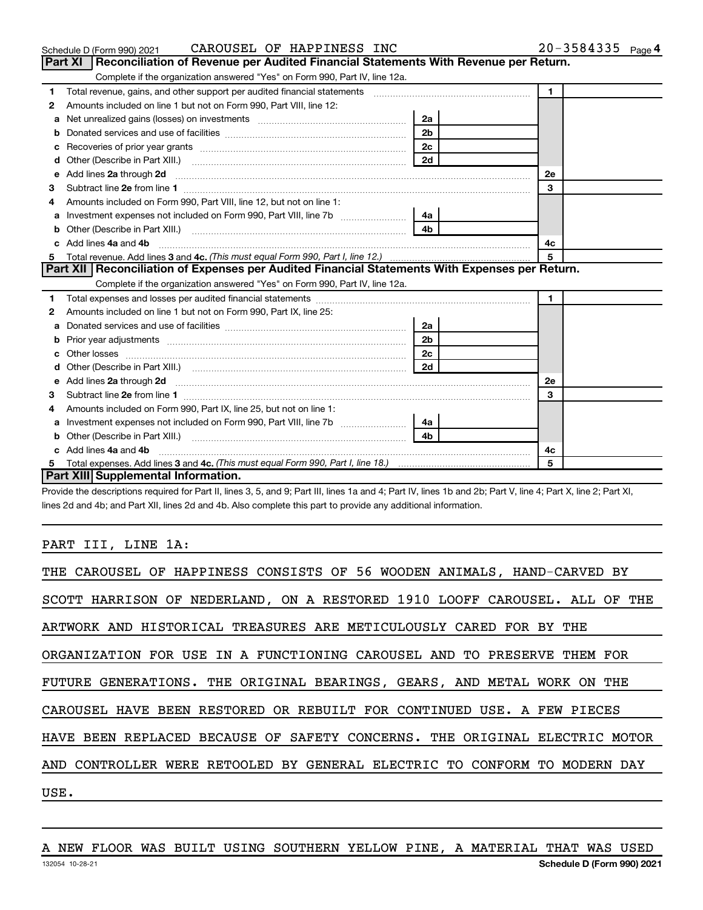|    | CAROUSEL OF HAPPINESS INC<br>Schedule D (Form 990) 2021                                                                 |                | $20 - 3584335$ Page 4 |  |
|----|-------------------------------------------------------------------------------------------------------------------------|----------------|-----------------------|--|
|    | Reconciliation of Revenue per Audited Financial Statements With Revenue per Return.<br>Part XI                          |                |                       |  |
|    | Complete if the organization answered "Yes" on Form 990, Part IV, line 12a.                                             |                |                       |  |
| 1  | Total revenue, gains, and other support per audited financial statements [[[[[[[[[[[[[[[[[[[[[[[]]]]]]]]]]]]]           |                | $\mathbf{1}$          |  |
| 2  | Amounts included on line 1 but not on Form 990, Part VIII, line 12:                                                     |                |                       |  |
| а  | Net unrealized gains (losses) on investments [111] [12] matter and all the unrealized gains (losses) on investments     | 2a             |                       |  |
|    |                                                                                                                         | 2 <sub>b</sub> |                       |  |
| с  |                                                                                                                         | 2c             |                       |  |
| d  |                                                                                                                         | 2d             |                       |  |
| е  | Add lines 2a through 2d <b>contract and a contract and a contract a</b> contract a contract and a contract a contract a |                | 2e                    |  |
| 3  |                                                                                                                         |                | 3                     |  |
|    | Amounts included on Form 990, Part VIII, line 12, but not on line 1:                                                    |                |                       |  |
| а  |                                                                                                                         | 4a             |                       |  |
| b  |                                                                                                                         |                |                       |  |
|    | c Add lines 4a and 4b                                                                                                   |                | 4c                    |  |
| 5. |                                                                                                                         |                | 5                     |  |
|    | Part XII Reconciliation of Expenses per Audited Financial Statements With Expenses per Return.                          |                |                       |  |
|    | Complete if the organization answered "Yes" on Form 990, Part IV, line 12a.                                             |                |                       |  |
| 1  |                                                                                                                         |                | $\mathbf{1}$          |  |
| 2  | Amounts included on line 1 but not on Form 990, Part IX, line 25:                                                       |                |                       |  |
| a  |                                                                                                                         | 2a             |                       |  |
| b  |                                                                                                                         | 2 <sub>b</sub> |                       |  |
|    |                                                                                                                         | 2c             |                       |  |
|    |                                                                                                                         |                |                       |  |
| е  |                                                                                                                         |                | 2e                    |  |
| 3  |                                                                                                                         |                | 3                     |  |
| 4  | Amounts included on Form 990, Part IX, line 25, but not on line 1:                                                      |                |                       |  |
| а  | Investment expenses not included on Form 990, Part VIII, line 7b [                                                      | - 4a           |                       |  |
|    |                                                                                                                         |                |                       |  |
|    | c Add lines 4a and 4b                                                                                                   |                | 4с                    |  |
|    |                                                                                                                         |                | 5                     |  |
|    | Part XIII Supplemental Information.                                                                                     |                |                       |  |

Provide the descriptions required for Part II, lines 3, 5, and 9; Part III, lines 1a and 4; Part IV, lines 1b and 2b; Part V, line 4; Part X, line 2; Part XI, lines 2d and 4b; and Part XII, lines 2d and 4b. Also complete this part to provide any additional information.

#### PART III, LINE 1A:

| THE CAROUSEL OF HAPPINESS CONSISTS OF 56 WOODEN ANIMALS, HAND-CARVED BY    |
|----------------------------------------------------------------------------|
| SCOTT HARRISON OF NEDERLAND, ON A RESTORED 1910 LOOFF CAROUSEL. ALL OF THE |
| ARTWORK AND HISTORICAL TREASURES ARE METICULOUSLY CARED FOR BY THE         |
| ORGANIZATION FOR USE IN A FUNCTIONING CAROUSEL AND TO PRESERVE THEM FOR    |
| FUTURE GENERATIONS. THE ORIGINAL BEARINGS, GEARS, AND METAL WORK ON THE    |
| CAROUSEL HAVE BEEN RESTORED OR REBUILT FOR CONTINUED USE. A FEW PIECES     |
| HAVE BEEN REPLACED BECAUSE OF SAFETY CONCERNS. THE ORIGINAL ELECTRIC MOTOR |
| AND CONTROLLER WERE RETOOLED BY GENERAL ELECTRIC TO CONFORM TO MODERN DAY  |
| USE.                                                                       |

132054 10-28-21 **Schedule D (Form 990) 2021** A NEW FLOOR WAS BUILT USING SOUTHERN YELLOW PINE, A MATERIAL THAT WAS USED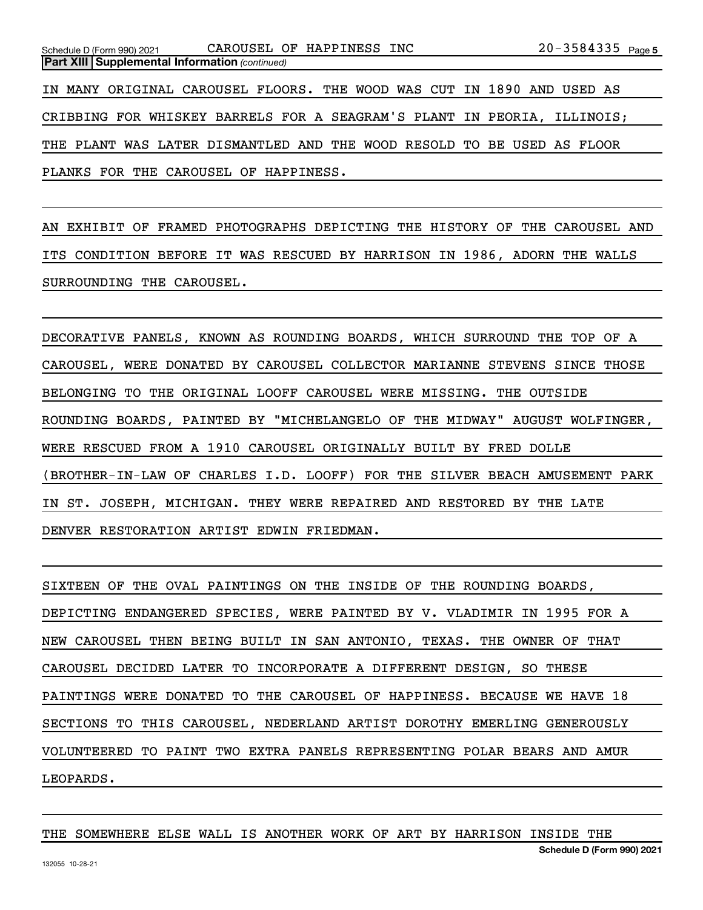AN EXHIBIT OF FRAMED PHOTOGRAPHS DEPICTING THE HISTORY OF THE CAROUSEL AND ITS CONDITION BEFORE IT WAS RESCUED BY HARRISON IN 1986, ADORN THE WALLS SURROUNDING THE CAROUSEL.

DECORATIVE PANELS, KNOWN AS ROUNDING BOARDS, WHICH SURROUND THE TOP OF A CAROUSEL, WERE DONATED BY CAROUSEL COLLECTOR MARIANNE STEVENS SINCE THOSE BELONGING TO THE ORIGINAL LOOFF CAROUSEL WERE MISSING. THE OUTSIDE ROUNDING BOARDS, PAINTED BY "MICHELANGELO OF THE MIDWAY" AUGUST WOLFINGER, WERE RESCUED FROM A 1910 CAROUSEL ORIGINALLY BUILT BY FRED DOLLE (BROTHER-IN-LAW OF CHARLES I.D. LOOFF) FOR THE SILVER BEACH AMUSEMENT PARK IN ST. JOSEPH, MICHIGAN. THEY WERE REPAIRED AND RESTORED BY THE LATE DENVER RESTORATION ARTIST EDWIN FRIEDMAN.

SIXTEEN OF THE OVAL PAINTINGS ON THE INSIDE OF THE ROUNDING BOARDS, DEPICTING ENDANGERED SPECIES, WERE PAINTED BY V. VLADIMIR IN 1995 FOR A NEW CAROUSEL THEN BEING BUILT IN SAN ANTONIO, TEXAS. THE OWNER OF THAT CAROUSEL DECIDED LATER TO INCORPORATE A DIFFERENT DESIGN, SO THESE PAINTINGS WERE DONATED TO THE CAROUSEL OF HAPPINESS. BECAUSE WE HAVE 18 SECTIONS TO THIS CAROUSEL, NEDERLAND ARTIST DOROTHY EMERLING GENEROUSLY VOLUNTEERED TO PAINT TWO EXTRA PANELS REPRESENTING POLAR BEARS AND AMUR LEOPARDS.

#### THE SOMEWHERE ELSE WALL IS ANOTHER WORK OF ART BY HARRISON INSIDE THE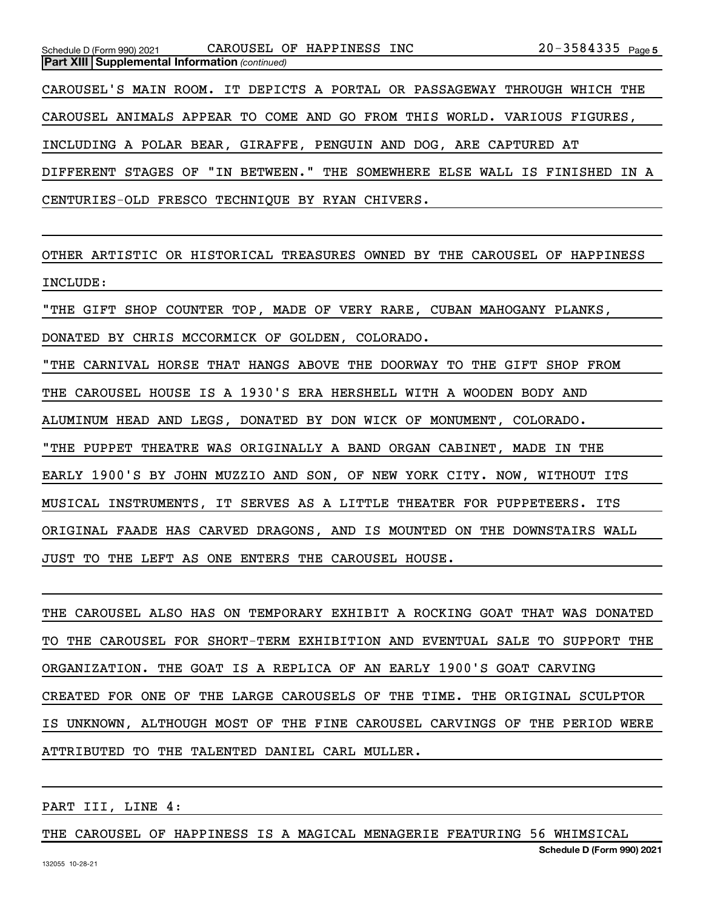| Schedule D (Form 990) 2021 CAROUSEL OF HAPPINESS INC                       |  |  |  |  |  |  |  | $20 - 3584335$ Page 5 |  |
|----------------------------------------------------------------------------|--|--|--|--|--|--|--|-----------------------|--|
| <b>Part XIII Supplemental Information (continued)</b>                      |  |  |  |  |  |  |  |                       |  |
| CAROUSEL'S MAIN ROOM. IT DEPICTS A PORTAL OR PASSAGEWAY THROUGH WHICH THE  |  |  |  |  |  |  |  |                       |  |
| CAROUSEL ANIMALS APPEAR TO COME AND GO FROM THIS WORLD. VARIOUS FIGURES,   |  |  |  |  |  |  |  |                       |  |
| INCLUDING A POLAR BEAR, GIRAFFE, PENGUIN AND DOG, ARE CAPTURED AT          |  |  |  |  |  |  |  |                       |  |
| DIFFERENT STAGES OF "IN BETWEEN." THE SOMEWHERE ELSE WALL IS FINISHED IN A |  |  |  |  |  |  |  |                       |  |
| CENTURIES-OLD FRESCO TECHNIQUE BY RYAN CHIVERS.                            |  |  |  |  |  |  |  |                       |  |

OTHER ARTISTIC OR HISTORICAL TREASURES OWNED BY THE CAROUSEL OF HAPPINESS INCLUDE:

"THE GIFT SHOP COUNTER TOP, MADE OF VERY RARE, CUBAN MAHOGANY PLANKS, DONATED BY CHRIS MCCORMICK OF GOLDEN, COLORADO.

"THE CARNIVAL HORSE THAT HANGS ABOVE THE DOORWAY TO THE GIFT SHOP FROM THE CAROUSEL HOUSE IS A 1930'S ERA HERSHELL WITH A WOODEN BODY AND ALUMINUM HEAD AND LEGS, DONATED BY DON WICK OF MONUMENT, COLORADO. "THE PUPPET THEATRE WAS ORIGINALLY A BAND ORGAN CABINET, MADE IN THE EARLY 1900'S BY JOHN MUZZIO AND SON, OF NEW YORK CITY. NOW, WITHOUT ITS MUSICAL INSTRUMENTS, IT SERVES AS A LITTLE THEATER FOR PUPPETEERS. ITS ORIGINAL FAADE HAS CARVED DRAGONS, AND IS MOUNTED ON THE DOWNSTAIRS WALL JUST TO THE LEFT AS ONE ENTERS THE CAROUSEL HOUSE.

THE CAROUSEL ALSO HAS ON TEMPORARY EXHIBIT A ROCKING GOAT THAT WAS DONATED TO THE CAROUSEL FOR SHORT-TERM EXHIBITION AND EVENTUAL SALE TO SUPPORT THE ORGANIZATION. THE GOAT IS A REPLICA OF AN EARLY 1900'S GOAT CARVING CREATED FOR ONE OF THE LARGE CAROUSELS OF THE TIME. THE ORIGINAL SCULPTOR IS UNKNOWN, ALTHOUGH MOST OF THE FINE CAROUSEL CARVINGS OF THE PERIOD WERE ATTRIBUTED TO THE TALENTED DANIEL CARL MULLER.

PART III, LINE 4:

#### THE CAROUSEL OF HAPPINESS IS A MAGICAL MENAGERIE FEATURING 56 WHIMSICAL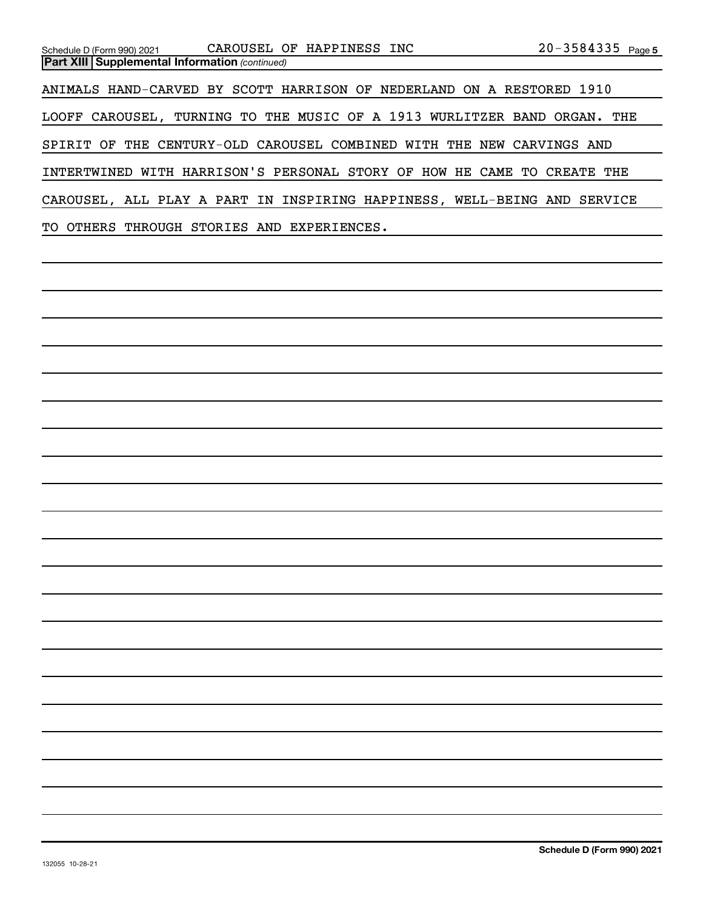| Schedule D (Form 990) 2021                            | CAROUSEL OF HAPPINESS INC                                               | $20 - 3584335$ Page 5                                                    |
|-------------------------------------------------------|-------------------------------------------------------------------------|--------------------------------------------------------------------------|
| <b>Part XIII Supplemental Information (continued)</b> |                                                                         |                                                                          |
|                                                       | ANIMALS HAND-CARVED BY SCOTT HARRISON OF NEDERLAND ON A RESTORED 1910   |                                                                          |
|                                                       |                                                                         | LOOFF CAROUSEL, TURNING TO THE MUSIC OF A 1913 WURLITZER BAND ORGAN. THE |
| SPIRIT OF                                             | THE CENTURY-OLD CAROUSEL COMBINED WITH THE NEW CARVINGS AND             |                                                                          |
|                                                       | INTERTWINED WITH HARRISON'S PERSONAL STORY OF HOW HE CAME TO CREATE THE |                                                                          |
|                                                       |                                                                         | CAROUSEL, ALL PLAY A PART IN INSPIRING HAPPINESS, WELL-BEING AND SERVICE |
| TO OTHERS                                             | THROUGH STORIES AND<br>EXPERIENCES.                                     |                                                                          |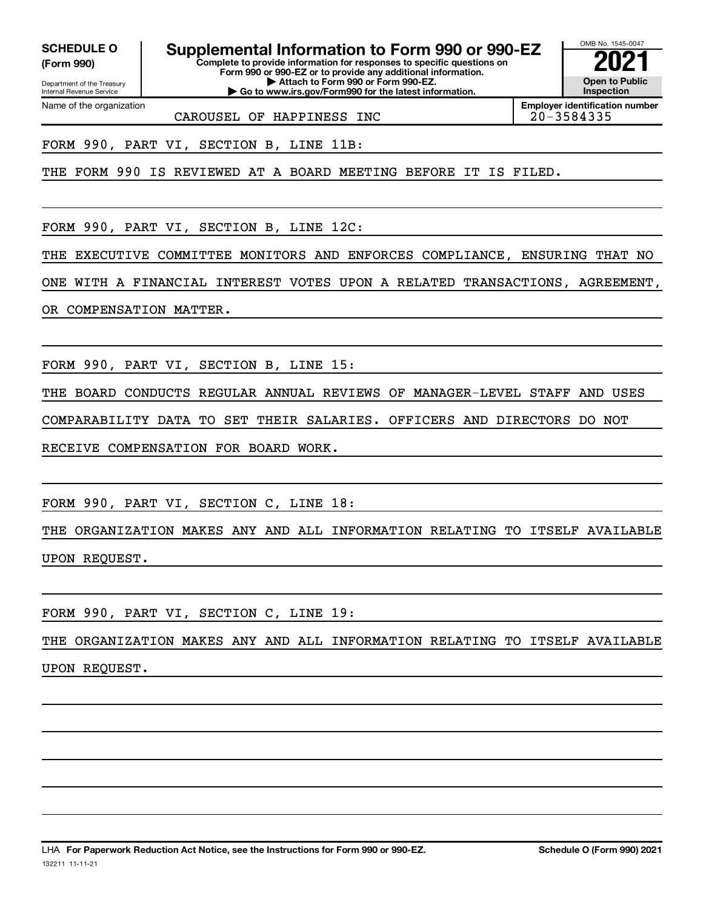**(Form 990)**

Name of the organization

**SCHEDULE O Supplemental Information to Form 990 or 990-EZ**  $\frac{100000}{2}$ 

Department of the Treasury Internal Revenue Service

**Complete to provide information for responses to specific questions on Form 990 or 990-EZ or to provide any additional information. | Attach to Form 990 or Form 990-EZ. | Go to www.irs.gov/Form990 for the latest information.**



**Employer identification number**

CAROUSEL OF HAPPINESS INC

FORM 990, PART VI, SECTION B, LINE 11B:

THE FORM 990 IS REVIEWED AT A BOARD MEETING BEFORE IT IS FILED.

FORM 990, PART VI, SECTION B, LINE 12C:

THE EXECUTIVE COMMITTEE MONITORS AND ENFORCES COMPLIANCE, ENSURING THAT NO

ONE WITH A FINANCIAL INTEREST VOTES UPON A RELATED TRANSACTIONS, AGREEMENT,

OR COMPENSATION MATTER.

FORM 990, PART VI, SECTION B, LINE 15:

THE BOARD CONDUCTS REGULAR ANNUAL REVIEWS OF MANAGER-LEVEL STAFF AND USES COMPARABILITY DATA TO SET THEIR SALARIES. OFFICERS AND DIRECTORS DO NOT RECEIVE COMPENSATION FOR BOARD WORK.

FORM 990, PART VI, SECTION C, LINE 18:

THE ORGANIZATION MAKES ANY AND ALL INFORMATION RELATING TO ITSELF AVAILABLE UPON REQUEST.

FORM 990, PART VI, SECTION C, LINE 19:

THE ORGANIZATION MAKES ANY AND ALL INFORMATION RELATING TO ITSELF AVAILABLE UPON REQUEST.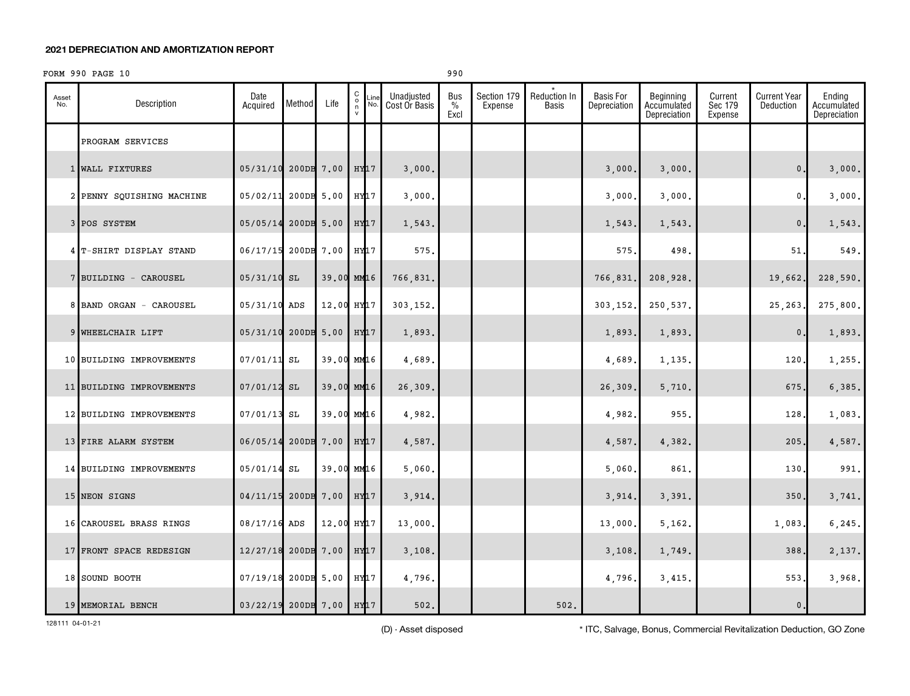#### **2021 DEPRECIATION AND AMORTIZATION REPORT**

#### FORM 990 PAGE 10 990

| Asset<br>No. | Description               | Date<br>Acquired         | Method     | Life                   | $\begin{matrix} 0 \\ 0 \\ n \end{matrix}$<br>Line<br>No.<br>$\mathsf{v}$ | Unadjusted<br>Cost Or Basis | <b>Bus</b><br>$\%$<br>Excl | Section 179<br>Expense | <b>Reduction In</b><br>Basis | <b>Basis For</b><br>Depreciation | Beginning<br>Accumulated<br>Depreciation | Current<br>Sec 179<br>Expense | <b>Current Year</b><br>Deduction | Ending<br>Accumulated<br>Depreciation |
|--------------|---------------------------|--------------------------|------------|------------------------|--------------------------------------------------------------------------|-----------------------------|----------------------------|------------------------|------------------------------|----------------------------------|------------------------------------------|-------------------------------|----------------------------------|---------------------------------------|
|              | PROGRAM SERVICES          |                          |            |                        |                                                                          |                             |                            |                        |                              |                                  |                                          |                               |                                  |                                       |
|              | 1 WALL FIXTURES           | 05/31/10                 |            | 200DB 7.00             | $HY$ $17$                                                                | 3,000.                      |                            |                        |                              | 3,000                            | 3,000.                                   |                               | $\mathbf{0}$ .                   | 3,000.                                |
|              | 2 PENNY SQUISHING MACHINE | 05/02/11                 | 200DB 5.00 |                        | HY17                                                                     | 3,000.                      |                            |                        |                              | 3,000                            | 3,000.                                   |                               | $\mathbf{0}$ .                   | 3,000.                                |
|              | 3 POS SYSTEM              | 05/05/14                 |            | 200DB 5.00             | $HY$ $17$                                                                | 1,543.                      |                            |                        |                              | 1,543                            | 1,543.                                   |                               | 0.                               | 1,543.                                |
|              | 4 T-SHIRT DISPLAY STAND   | 06/17/15 200DB 7.00      |            |                        | HY17                                                                     | 575.                        |                            |                        |                              | 575                              | 498.                                     |                               | 51.                              | 549.                                  |
|              | 7 BUILDING - CAROUSEL     | $05/31/10$ SL            |            |                        | 39.00 MM16                                                               | 766,831.                    |                            |                        |                              | 766,831.                         | 208,928.                                 |                               | 19,662.                          | 228,590.                              |
|              | 8 BAND ORGAN - CAROUSEL   | 05/31/10 ADS             |            | 12.00 HY <sub>17</sub> |                                                                          | 303,152.                    |                            |                        |                              | 303,152.                         | 250,537.                                 |                               | 25,263                           | 275,800.                              |
|              | 9 WHEELCHAIR LIFT         | 05/31/10                 | 200DB      | 5.00                   | HY17                                                                     | 1,893.                      |                            |                        |                              | 1,893                            | 1,893.                                   |                               | $\mathbf{0}$                     | 1,893.                                |
|              | 10 BUILDING IMPROVEMENTS  | $07/01/11$ SL            |            |                        | 39.00 MM16                                                               | 4,689.                      |                            |                        |                              | 4,689                            | 1,135.                                   |                               | 120.                             | 1,255.                                |
|              | 11 BUILDING IMPROVEMENTS  | $07/01/12$ SL            |            |                        | 39.00 MM16                                                               | 26,309.                     |                            |                        |                              | 26,309                           | 5,710.                                   |                               | 675.                             | 6,385.                                |
|              | 12 BUILDING IMPROVEMENTS  | $07/01/13$ SL            |            |                        | 39.00 MM16                                                               | 4,982.                      |                            |                        |                              | 4,982                            | 955.                                     |                               | 128.                             | 1,083.                                |
|              | 13 FIRE ALARM SYSTEM      | 06/05/14                 |            | 200DB 7.00             | HY17                                                                     | 4,587.                      |                            |                        |                              | 4,587.                           | 4,382.                                   |                               | 205.                             | 4,587.                                |
|              | 14 BUILDING IMPROVEMENTS  | 05/01/14                 | SL         |                        | 39.00 MM16                                                               | 5,060.                      |                            |                        |                              | 5,060                            | 861.                                     |                               | 130.                             | 991.                                  |
|              | 15 NEON SIGNS             | 04/11/15                 |            | 200DB 7.00             | HY17                                                                     | 3,914.                      |                            |                        |                              | 3,914.                           | 3,391.                                   |                               | 350.                             | 3,741.                                |
|              | 16 CAROUSEL BRASS RINGS   | 08/17/16 ADS             |            | 12.00 HY17             |                                                                          | 13,000.                     |                            |                        |                              | 13,000                           | 5, 162.                                  |                               | 1,083.                           | 6,245.                                |
|              | 17 FRONT SPACE REDESIGN   | 12/27/18                 |            | 200DB 7.00             | HY <sub>17</sub>                                                         | 3,108.                      |                            |                        |                              | 3,108                            | 1,749.                                   |                               | 388.                             | 2,137.                                |
|              | 18 SOUND BOOTH            | 07/19/18                 |            | 200DB 5.00             | HY17                                                                     | 4,796.                      |                            |                        |                              | 4,796                            | 3,415,                                   |                               | 553.                             | 3,968.                                |
|              | 19 MEMORIAL BENCH         | 03/22/19 200DB 7.00 HY17 |            |                        |                                                                          | 502.                        |                            |                        | 502.                         |                                  |                                          |                               | $\mathbf{0}$ .                   |                                       |

128111 04-01-21

(D) - Asset disposed \* ITC, Salvage, Bonus, Commercial Revitalization Deduction, GO Zone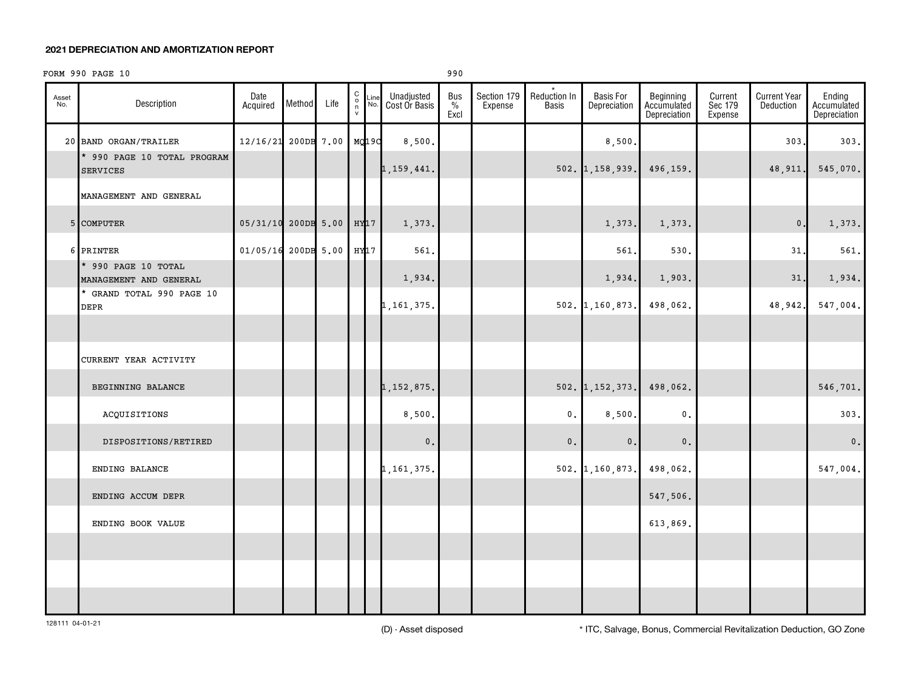#### **2021 DEPRECIATION AND AMORTIZATION REPORT**

#### FORM 990 PAGE 10 990

| Asset<br>No. | Description                                    | Date<br>Acquired    | Method | Life | 00000 | Line<br>No. | Unadjusted<br>Cost Or Basis | Bus<br>$\frac{0}{2}$<br>Excl | Section 179<br>Expense | Reduction In<br><b>Basis</b> | <b>Basis For</b><br>Depreciation | Beginning<br>Accumulated<br>Depreciation | Current<br>Sec 179<br>Expense | <b>Current Year</b><br><b>Deduction</b> | Ending<br>Accumulated<br>Depreciation |
|--------------|------------------------------------------------|---------------------|--------|------|-------|-------------|-----------------------------|------------------------------|------------------------|------------------------------|----------------------------------|------------------------------------------|-------------------------------|-----------------------------------------|---------------------------------------|
|              | 20 BAND ORGAN/TRAILER                          | 12/16/21 200DB 7.00 |        |      | MQ19C |             | 8,500.                      |                              |                        |                              | 8,500                            |                                          |                               | 303                                     | 303.                                  |
|              | * 990 PAGE 10 TOTAL PROGRAM<br><b>SERVICES</b> |                     |        |      |       |             | 1, 159, 441.                |                              |                        |                              | $502.$ 1, 158, 939.              | 496,159.                                 |                               | 48,911.                                 | 545,070.                              |
|              | MANAGEMENT AND GENERAL                         |                     |        |      |       |             |                             |                              |                        |                              |                                  |                                          |                               |                                         |                                       |
|              | 5 COMPUTER                                     | 05/31/10 200DB 5.00 |        |      | HY17  |             | 1,373.                      |                              |                        |                              | 1,373.                           | 1,373.                                   |                               | $\mathbf{0}$ .                          | 1,373.                                |
|              | 6 PRINTER                                      | 01/05/16 200DB 5.00 |        |      | HY17  |             | 561.                        |                              |                        |                              | 561.                             | 530.                                     |                               | 31                                      | 561.                                  |
|              | * 990 PAGE 10 TOTAL<br>MANAGEMENT AND GENERAL  |                     |        |      |       |             | 1,934.                      |                              |                        |                              | 1,934.                           | 1,903.                                   |                               | 31                                      | 1,934.                                |
|              | * GRAND TOTAL 990 PAGE 10<br>DEPR              |                     |        |      |       |             | 1, 161, 375.                |                              |                        |                              | 502. 1,160,873.                  | 498,062.                                 |                               | 48,942.                                 | 547,004.                              |
|              |                                                |                     |        |      |       |             |                             |                              |                        |                              |                                  |                                          |                               |                                         |                                       |
|              | CURRENT YEAR ACTIVITY                          |                     |        |      |       |             |                             |                              |                        |                              |                                  |                                          |                               |                                         |                                       |
|              | BEGINNING BALANCE                              |                     |        |      |       |             | 1, 152, 875.                |                              |                        |                              | $502.$ 1, 152, 373.              | 498,062.                                 |                               |                                         | 546,701.                              |
|              | ACQUISITIONS                                   |                     |        |      |       |             | 8,500.                      |                              |                        | 0.                           | 8,500                            | $\mathsf{0}$ .                           |                               |                                         | 303.                                  |
|              | DISPOSITIONS/RETIRED                           |                     |        |      |       |             | $\mathbf 0$ .               |                              |                        | $0$ .                        | $\mathbf 0$ .                    | $\mathbf 0$ .                            |                               |                                         | $\mathbf 0$ .                         |
|              | ENDING BALANCE                                 |                     |        |      |       |             | 1, 161, 375.                |                              |                        |                              | $502. \vert 1, 160, 873. \vert$  | 498,062.                                 |                               |                                         | 547,004.                              |
|              | ENDING ACCUM DEPR                              |                     |        |      |       |             |                             |                              |                        |                              |                                  | 547,506.                                 |                               |                                         |                                       |
|              | ENDING BOOK VALUE                              |                     |        |      |       |             |                             |                              |                        |                              |                                  | 613,869.                                 |                               |                                         |                                       |
|              |                                                |                     |        |      |       |             |                             |                              |                        |                              |                                  |                                          |                               |                                         |                                       |
|              |                                                |                     |        |      |       |             |                             |                              |                        |                              |                                  |                                          |                               |                                         |                                       |
|              |                                                |                     |        |      |       |             |                             |                              |                        |                              |                                  |                                          |                               |                                         |                                       |

(D) - Asset disposed \* ITC, Salvage, Bonus, Commercial Revitalization Deduction, GO Zone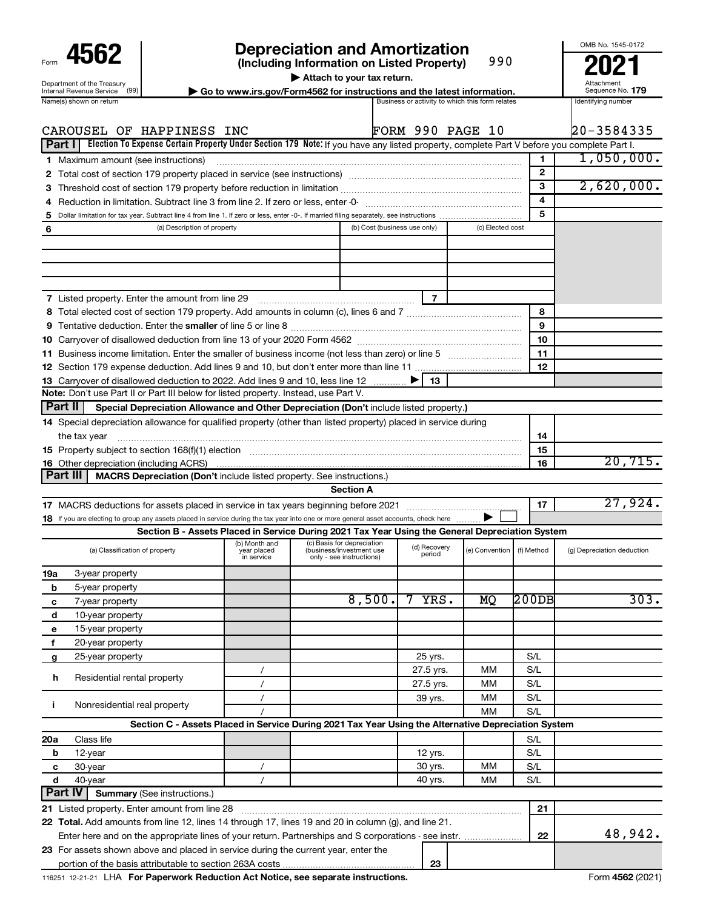| Form                                                   |
|--------------------------------------------------------|
| Department of the Treasury<br>Internal Revenue Service |
| ıma(c)                                                 |

# **4562 Depreciation and Amortization**<br>(Including Information on Listed Property) 990 **2021**

**(Including Information on Listed Property)**

990

**| Attach to your tax return.**

**nternal Revenue Service**  $\left(99\right)$  **Go to www.irs.gov/Form4562 for instructions and the latest information.** Sequence No. 179<br>Name(s) shown on return and the lates and the lates are activity to which this form relates and

Attachment Sequence No.

OMB No. 1545-0172

|                | CAROUSEL OF HAPPINESS INC                                                                                                                                                                                                      |                                                                                                                  |                                                      |                              | FORM 990 PAGE 10       |                  |              | 20-3584335                 |
|----------------|--------------------------------------------------------------------------------------------------------------------------------------------------------------------------------------------------------------------------------|------------------------------------------------------------------------------------------------------------------|------------------------------------------------------|------------------------------|------------------------|------------------|--------------|----------------------------|
| Part I         | Election To Expense Certain Property Under Section 179 Note: If you have any listed property, complete Part V before you complete Part I.                                                                                      |                                                                                                                  |                                                      |                              |                        |                  |              |                            |
|                | <b>1</b> Maximum amount (see instructions)                                                                                                                                                                                     |                                                                                                                  |                                                      |                              |                        |                  | 1            | 1,050,000.                 |
|                |                                                                                                                                                                                                                                |                                                                                                                  |                                                      |                              |                        |                  | $\mathbf{2}$ |                            |
| З              | Threshold cost of section 179 property before reduction in limitation [11] manuscription control cost of section 179 property before reduction in limitation [11] manuscription of the section 179 property of the section in  |                                                                                                                  |                                                      |                              |                        |                  | 3            | 2,620,000.                 |
| 4              |                                                                                                                                                                                                                                |                                                                                                                  |                                                      |                              |                        |                  | 4            |                            |
| 5              |                                                                                                                                                                                                                                |                                                                                                                  |                                                      |                              |                        |                  | 5            |                            |
| 6              | (a) Description of property                                                                                                                                                                                                    |                                                                                                                  |                                                      | (b) Cost (business use only) |                        | (c) Elected cost |              |                            |
|                |                                                                                                                                                                                                                                |                                                                                                                  |                                                      |                              |                        |                  |              |                            |
|                |                                                                                                                                                                                                                                |                                                                                                                  |                                                      |                              |                        |                  |              |                            |
|                |                                                                                                                                                                                                                                |                                                                                                                  |                                                      |                              |                        |                  |              |                            |
|                |                                                                                                                                                                                                                                |                                                                                                                  |                                                      |                              |                        |                  |              |                            |
|                |                                                                                                                                                                                                                                |                                                                                                                  |                                                      |                              | 7                      |                  |              |                            |
|                |                                                                                                                                                                                                                                |                                                                                                                  |                                                      |                              |                        |                  | 8            |                            |
|                |                                                                                                                                                                                                                                |                                                                                                                  |                                                      |                              |                        |                  | 9            |                            |
|                |                                                                                                                                                                                                                                |                                                                                                                  |                                                      |                              |                        |                  | 10           |                            |
|                |                                                                                                                                                                                                                                |                                                                                                                  |                                                      |                              |                        |                  | 11           |                            |
|                |                                                                                                                                                                                                                                |                                                                                                                  |                                                      |                              |                        |                  | 12           |                            |
|                | 13 Carryover of disallowed deduction to 2022. Add lines 9 and 10, less line 12                                                                                                                                                 |                                                                                                                  |                                                      |                              | 13                     |                  |              |                            |
|                | Note: Don't use Part II or Part III below for listed property. Instead, use Part V.                                                                                                                                            |                                                                                                                  |                                                      |                              |                        |                  |              |                            |
| ∣ Part II      | Special Depreciation Allowance and Other Depreciation (Don't include listed property.)                                                                                                                                         |                                                                                                                  |                                                      |                              |                        |                  |              |                            |
|                | 14 Special depreciation allowance for qualified property (other than listed property) placed in service during                                                                                                                 |                                                                                                                  |                                                      |                              |                        |                  |              |                            |
|                | the tax year                                                                                                                                                                                                                   |                                                                                                                  |                                                      |                              |                        |                  | 14           |                            |
|                | 15 Property subject to section 168(f)(1) election manufactured content to the content of the content of the content of the content of the content of the content of the content of the content of the content of the content o | 15                                                                                                               |                                                      |                              |                        |                  |              |                            |
|                | <b>16</b> Other depreciation (including ACRS)                                                                                                                                                                                  |                                                                                                                  |                                                      |                              |                        |                  | 16           | 20,715.                    |
|                | Part III<br>MACRS Depreciation (Don't include listed property. See instructions.)                                                                                                                                              |                                                                                                                  |                                                      |                              |                        |                  |              |                            |
|                |                                                                                                                                                                                                                                |                                                                                                                  | <b>Section A</b>                                     |                              |                        |                  |              |                            |
|                |                                                                                                                                                                                                                                |                                                                                                                  |                                                      |                              |                        |                  | 17           | 27,924.                    |
|                | 18 If you are electing to group any assets placed in service during the tax year into one or more general asset accounts, check here                                                                                           |                                                                                                                  |                                                      |                              |                        |                  |              |                            |
|                |                                                                                                                                                                                                                                | Section B - Assets Placed in Service During 2021 Tax Year Using the General Depreciation System<br>(b) Month and | (c) Basis for depreciation                           |                              |                        |                  |              |                            |
|                | (a) Classification of property                                                                                                                                                                                                 | year placed<br>in service                                                                                        | (business/investment use<br>only - see instructions) |                              | (d) Recovery<br>period | (e) Convention   | (f) Method   | (g) Depreciation deduction |
|                |                                                                                                                                                                                                                                |                                                                                                                  |                                                      |                              |                        |                  |              |                            |
| 19a            | 3-year property                                                                                                                                                                                                                |                                                                                                                  |                                                      |                              |                        |                  |              |                            |
| b              | 5-year property                                                                                                                                                                                                                |                                                                                                                  |                                                      |                              |                        |                  |              |                            |
| c              | 7-year property                                                                                                                                                                                                                |                                                                                                                  |                                                      | 8,500.                       | YRS.                   | МQ               | $200$ DB     | 303.                       |
| d              | 10-year property                                                                                                                                                                                                               |                                                                                                                  |                                                      |                              |                        |                  |              |                            |
| е              | 15-year property                                                                                                                                                                                                               |                                                                                                                  |                                                      |                              |                        |                  |              |                            |
| f              | 20-year property                                                                                                                                                                                                               |                                                                                                                  |                                                      |                              |                        |                  |              |                            |
| g              | 25-year property                                                                                                                                                                                                               |                                                                                                                  |                                                      |                              | 25 yrs.                |                  | S/L          |                            |
| h              | Residential rental property                                                                                                                                                                                                    | $\prime$                                                                                                         |                                                      |                              | 27.5 yrs.              | MМ               | S/L          |                            |
|                |                                                                                                                                                                                                                                | $\prime$                                                                                                         |                                                      |                              | 27.5 yrs.              | мм               | S/L          |                            |
| Ť.             | Nonresidential real property                                                                                                                                                                                                   | $\prime$                                                                                                         |                                                      |                              | 39 yrs.                | мм               | S/L          |                            |
|                |                                                                                                                                                                                                                                |                                                                                                                  |                                                      |                              |                        | MМ               | S/L          |                            |
|                | Section C - Assets Placed in Service During 2021 Tax Year Using the Alternative Depreciation System                                                                                                                            |                                                                                                                  |                                                      |                              |                        |                  |              |                            |
| 20a            | Class life                                                                                                                                                                                                                     |                                                                                                                  |                                                      |                              |                        |                  | S/L          |                            |
| b              | 12-year                                                                                                                                                                                                                        |                                                                                                                  |                                                      |                              | 12 yrs.                |                  | S/L          |                            |
| с              | 30-year                                                                                                                                                                                                                        | $\prime$                                                                                                         |                                                      |                              | 30 yrs.                | MМ               | S/L          |                            |
| d              | 40-year                                                                                                                                                                                                                        | $\prime$                                                                                                         |                                                      |                              | 40 yrs.                | МM               | S/L          |                            |
| <b>Part IV</b> | <b>Summary (See instructions.)</b>                                                                                                                                                                                             |                                                                                                                  |                                                      |                              |                        |                  |              |                            |
|                | 21 Listed property. Enter amount from line 28                                                                                                                                                                                  |                                                                                                                  |                                                      |                              |                        |                  | 21           |                            |
|                | 22 Total. Add amounts from line 12, lines 14 through 17, lines 19 and 20 in column (g), and line 21.                                                                                                                           |                                                                                                                  |                                                      |                              |                        |                  |              |                            |
|                |                                                                                                                                                                                                                                |                                                                                                                  |                                                      |                              |                        |                  | 22           | 48,942.                    |
|                | 23 For assets shown above and placed in service during the current year, enter the                                                                                                                                             |                                                                                                                  |                                                      |                              |                        |                  |              |                            |
|                |                                                                                                                                                                                                                                |                                                                                                                  |                                                      |                              | 23                     |                  |              |                            |

116251 12-21-21 **For Paperwork Reduction Act Notice, see separate instructions. 4562**  LHA Form (2021)